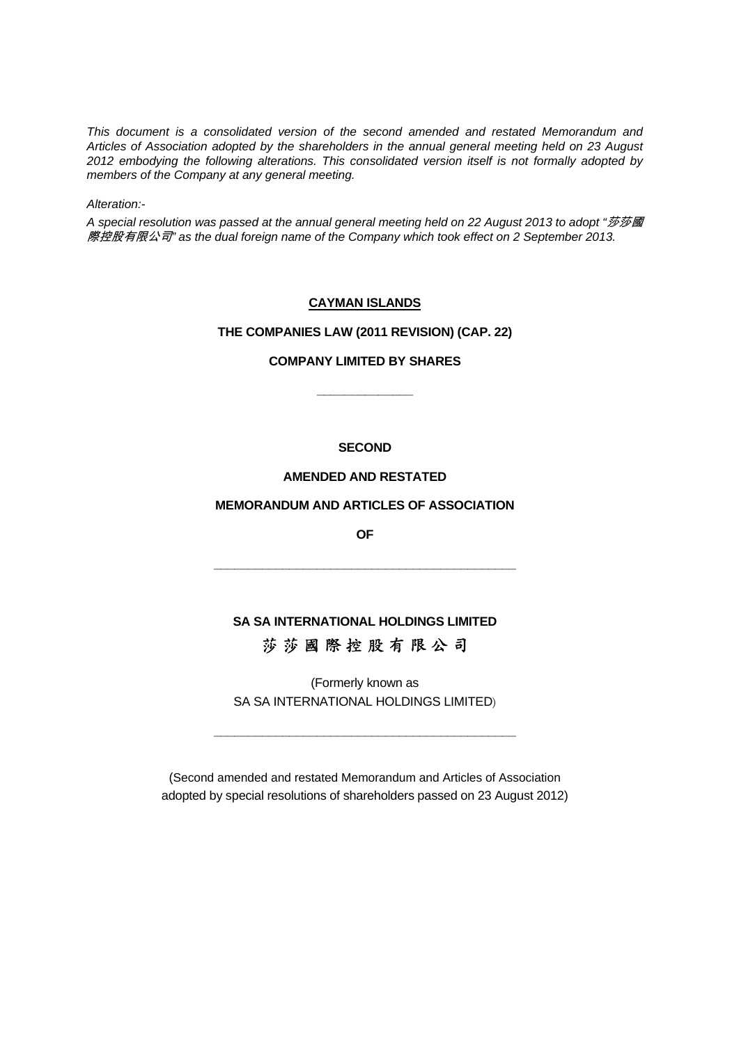*This document is a consolidated version of the second amended and restated Memorandum and Articles of Association adopted by the shareholders in the annual general meeting held on 23 August 2012 embodying the following alterations. This consolidated version itself is not formally adopted by members of the Company at any general meeting.* 

*Alteration:-* 

A special resolution was passed at the annual general meeting held on 22 August 2013 to adopt "莎莎國 際控股有限公司*" as the dual foreign name of the Company which took effect on 2 September 2013.*

#### **CAYMAN ISLANDS**

#### **THE COMPANIES LAW (2011 REVISION) (CAP. 22)**

## **COMPANY LIMITED BY SHARES**

 **\_\_\_\_\_\_\_\_\_\_\_\_\_\_** 

#### **SECOND**

#### **AMENDED AND RESTATED**

#### **MEMORANDUM AND ARTICLES OF ASSOCIATION**

*OF* 

**\_\_\_\_\_\_\_\_\_\_\_\_\_\_\_\_\_\_\_\_\_\_\_\_\_\_\_\_\_\_\_\_\_\_\_\_\_\_\_\_\_\_\_\_** 

# **SA SA INTERNATIONAL HOLDINGS LIMITED**  莎 莎 國 際 控 股 有 限 公 司

(Formerly known as SA SA INTERNATIONAL HOLDINGS LIMITED)

**\_\_\_\_\_\_\_\_\_\_\_\_\_\_\_\_\_\_\_\_\_\_\_\_\_\_\_\_\_\_\_\_\_\_\_\_\_\_\_\_\_\_\_\_** 

(Second amended and restated Memorandum and Articles of Association adopted by special resolutions of shareholders passed on 23 August 2012)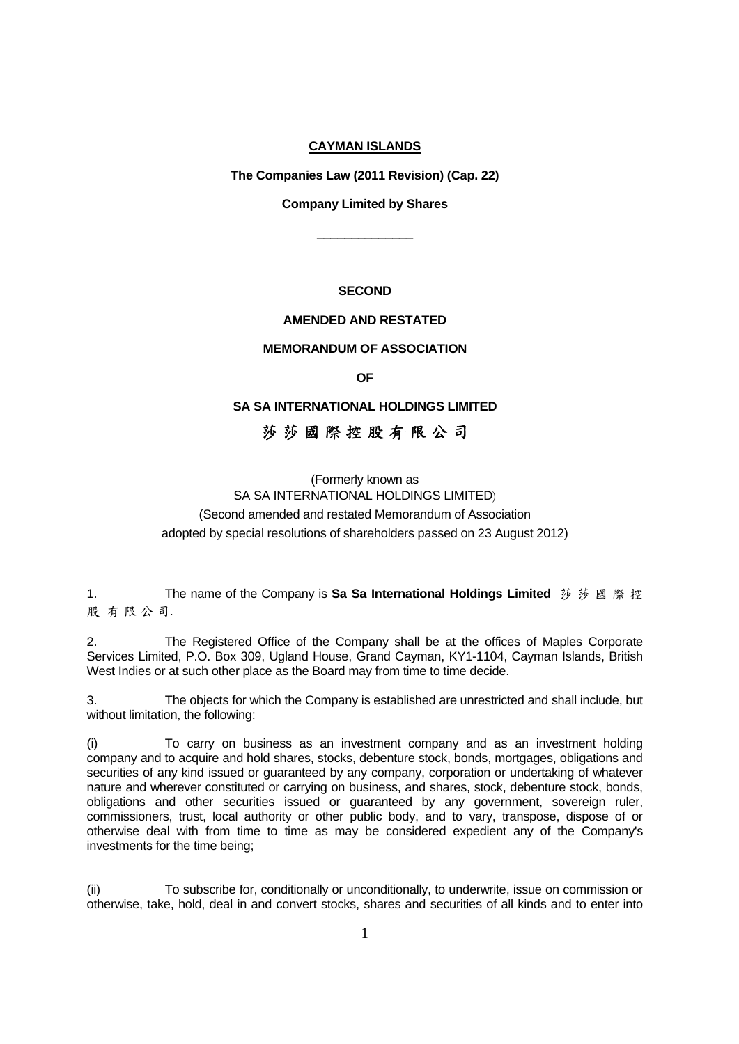#### **CAYMAN ISLANDS**

 **The Companies Law (2011 Revision) (Cap. 22)** 

 **Company Limited by Shares** 

 **\_\_\_\_\_\_\_\_\_\_\_\_\_\_** 

## **SECOND**

## **AMENDED AND RESTATED**

#### **MEMORANDUM OF ASSOCIATION**

*OF* 

#### **SA SA INTERNATIONAL HOLDINGS LIMITED**

## 莎 莎 國 際 控 股 有 限 公 司

## (Formerly known as SA SA INTERNATIONAL HOLDINGS LIMITED) (Second amended and restated Memorandum of Association adopted by special resolutions of shareholders passed on 23 August 2012)

1. The name of the Company is **Sa Sa International Holdings Limited** 莎 莎 國 際 控 股 有 限 公 司.

2. The Registered Office of the Company shall be at the offices of Maples Corporate Services Limited, P.O. Box 309, Ugland House, Grand Cayman, KY1-1104, Cayman Islands, British West Indies or at such other place as the Board may from time to time decide.

3. The objects for which the Company is established are unrestricted and shall include, but without limitation, the following:

To carry on business as an investment company and as an investment holding company and to acquire and hold shares, stocks, debenture stock, bonds, mortgages, obligations and securities of any kind issued or guaranteed by any company, corporation or undertaking of whatever nature and wherever constituted or carrying on business, and shares, stock, debenture stock, bonds, obligations and other securities issued or guaranteed by any government, sovereign ruler, commissioners, trust, local authority or other public body, and to vary, transpose, dispose of or otherwise deal with from time to time as may be considered expedient any of the Company's investments for the time being;

(ii) To subscribe for, conditionally or unconditionally, to underwrite, issue on commission or otherwise, take, hold, deal in and convert stocks, shares and securities of all kinds and to enter into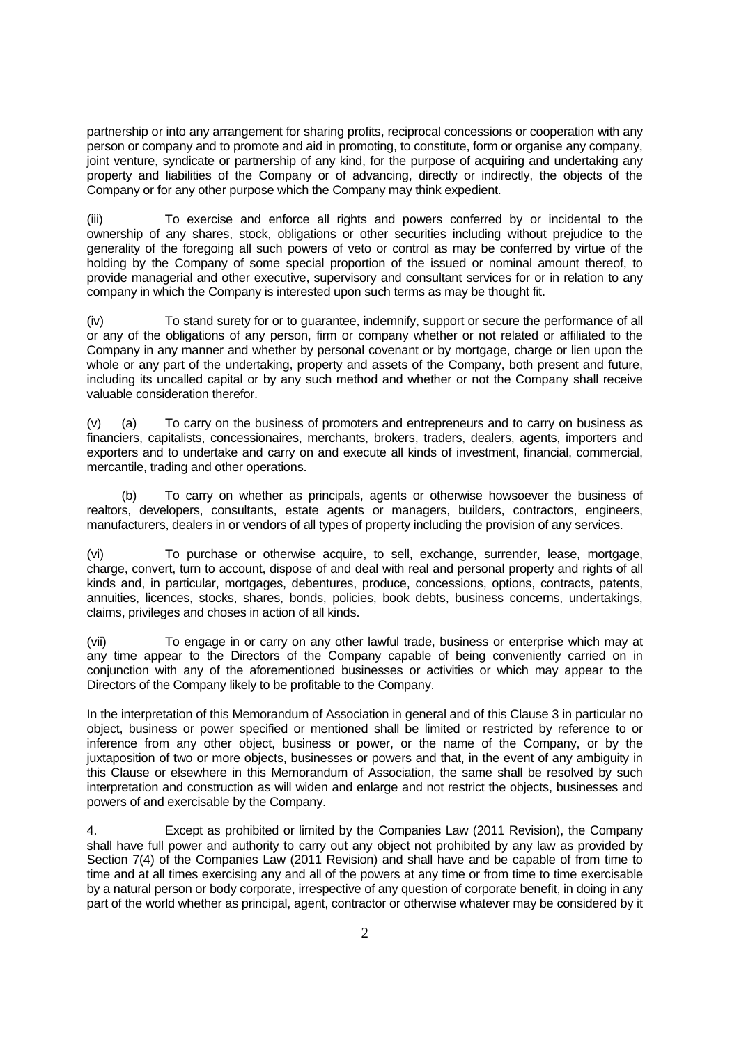partnership or into any arrangement for sharing profits, reciprocal concessions or cooperation with any person or company and to promote and aid in promoting, to constitute, form or organise any company, joint venture, syndicate or partnership of any kind, for the purpose of acquiring and undertaking any property and liabilities of the Company or of advancing, directly or indirectly, the objects of the Company or for any other purpose which the Company may think expedient.

(iii) To exercise and enforce all rights and powers conferred by or incidental to the ownership of any shares, stock, obligations or other securities including without prejudice to the generality of the foregoing all such powers of veto or control as may be conferred by virtue of the holding by the Company of some special proportion of the issued or nominal amount thereof, to provide managerial and other executive, supervisory and consultant services for or in relation to any company in which the Company is interested upon such terms as may be thought fit.

(iv) To stand surety for or to guarantee, indemnify, support or secure the performance of all or any of the obligations of any person, firm or company whether or not related or affiliated to the Company in any manner and whether by personal covenant or by mortgage, charge or lien upon the whole or any part of the undertaking, property and assets of the Company, both present and future, including its uncalled capital or by any such method and whether or not the Company shall receive valuable consideration therefor.

(v) (a) To carry on the business of promoters and entrepreneurs and to carry on business as financiers, capitalists, concessionaires, merchants, brokers, traders, dealers, agents, importers and exporters and to undertake and carry on and execute all kinds of investment, financial, commercial, mercantile, trading and other operations.

 (b) To carry on whether as principals, agents or otherwise howsoever the business of realtors, developers, consultants, estate agents or managers, builders, contractors, engineers, manufacturers, dealers in or vendors of all types of property including the provision of any services.

(vi) To purchase or otherwise acquire, to sell, exchange, surrender, lease, mortgage, charge, convert, turn to account, dispose of and deal with real and personal property and rights of all kinds and, in particular, mortgages, debentures, produce, concessions, options, contracts, patents, annuities, licences, stocks, shares, bonds, policies, book debts, business concerns, undertakings, claims, privileges and choses in action of all kinds.

(vii) To engage in or carry on any other lawful trade, business or enterprise which may at any time appear to the Directors of the Company capable of being conveniently carried on in conjunction with any of the aforementioned businesses or activities or which may appear to the Directors of the Company likely to be profitable to the Company.

In the interpretation of this Memorandum of Association in general and of this Clause 3 in particular no object, business or power specified or mentioned shall be limited or restricted by reference to or inference from any other object, business or power, or the name of the Company, or by the juxtaposition of two or more objects, businesses or powers and that, in the event of any ambiguity in this Clause or elsewhere in this Memorandum of Association, the same shall be resolved by such interpretation and construction as will widen and enlarge and not restrict the objects, businesses and powers of and exercisable by the Company.

4. Except as prohibited or limited by the Companies Law (2011 Revision), the Company shall have full power and authority to carry out any object not prohibited by any law as provided by Section 7(4) of the Companies Law (2011 Revision) and shall have and be capable of from time to time and at all times exercising any and all of the powers at any time or from time to time exercisable by a natural person or body corporate, irrespective of any question of corporate benefit, in doing in any part of the world whether as principal, agent, contractor or otherwise whatever may be considered by it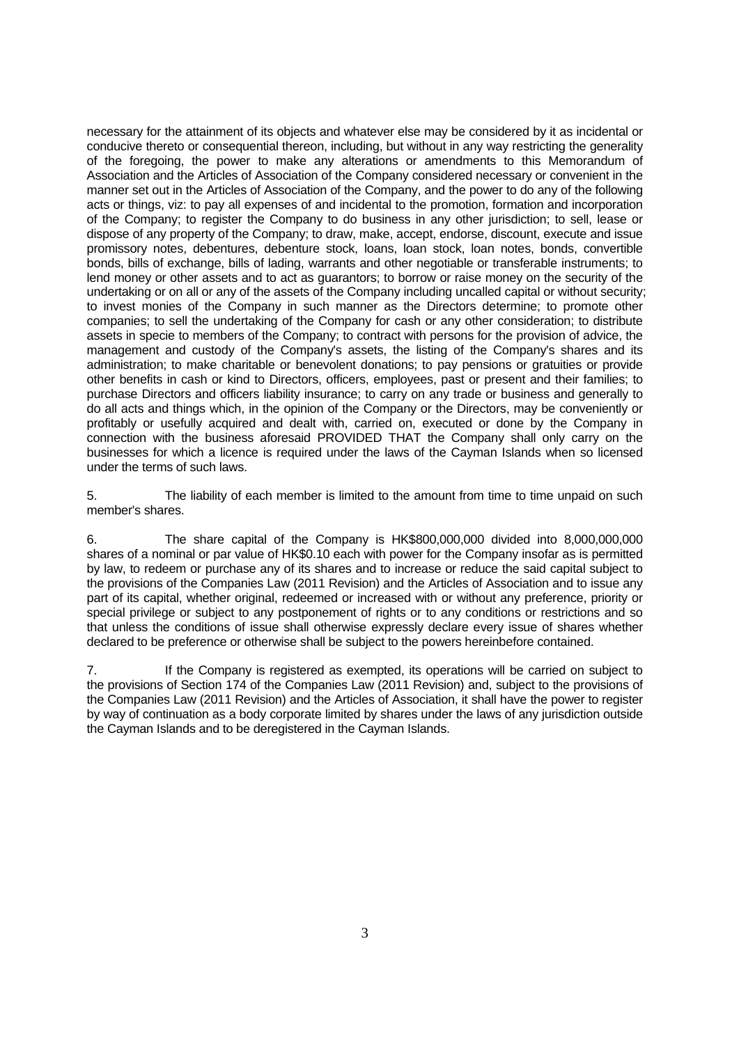necessary for the attainment of its objects and whatever else may be considered by it as incidental or conducive thereto or consequential thereon, including, but without in any way restricting the generality of the foregoing, the power to make any alterations or amendments to this Memorandum of Association and the Articles of Association of the Company considered necessary or convenient in the manner set out in the Articles of Association of the Company, and the power to do any of the following acts or things, viz: to pay all expenses of and incidental to the promotion, formation and incorporation of the Company; to register the Company to do business in any other jurisdiction; to sell, lease or dispose of any property of the Company; to draw, make, accept, endorse, discount, execute and issue promissory notes, debentures, debenture stock, loans, loan stock, loan notes, bonds, convertible bonds, bills of exchange, bills of lading, warrants and other negotiable or transferable instruments; to lend money or other assets and to act as guarantors; to borrow or raise money on the security of the undertaking or on all or any of the assets of the Company including uncalled capital or without security; to invest monies of the Company in such manner as the Directors determine; to promote other companies; to sell the undertaking of the Company for cash or any other consideration; to distribute assets in specie to members of the Company; to contract with persons for the provision of advice, the management and custody of the Company's assets, the listing of the Company's shares and its administration; to make charitable or benevolent donations; to pay pensions or gratuities or provide other benefits in cash or kind to Directors, officers, employees, past or present and their families; to purchase Directors and officers liability insurance; to carry on any trade or business and generally to do all acts and things which, in the opinion of the Company or the Directors, may be conveniently or profitably or usefully acquired and dealt with, carried on, executed or done by the Company in connection with the business aforesaid PROVIDED THAT the Company shall only carry on the businesses for which a licence is required under the laws of the Cayman Islands when so licensed under the terms of such laws.

5. The liability of each member is limited to the amount from time to time unpaid on such member's shares.

6. The share capital of the Company is HK\$800,000,000 divided into 8,000,000,000 shares of a nominal or par value of HK\$0.10 each with power for the Company insofar as is permitted by law, to redeem or purchase any of its shares and to increase or reduce the said capital subject to the provisions of the Companies Law (2011 Revision) and the Articles of Association and to issue any part of its capital, whether original, redeemed or increased with or without any preference, priority or special privilege or subject to any postponement of rights or to any conditions or restrictions and so that unless the conditions of issue shall otherwise expressly declare every issue of shares whether declared to be preference or otherwise shall be subject to the powers hereinbefore contained.

7. If the Company is registered as exempted, its operations will be carried on subject to the provisions of Section 174 of the Companies Law (2011 Revision) and, subject to the provisions of the Companies Law (2011 Revision) and the Articles of Association, it shall have the power to register by way of continuation as a body corporate limited by shares under the laws of any jurisdiction outside the Cayman Islands and to be deregistered in the Cayman Islands.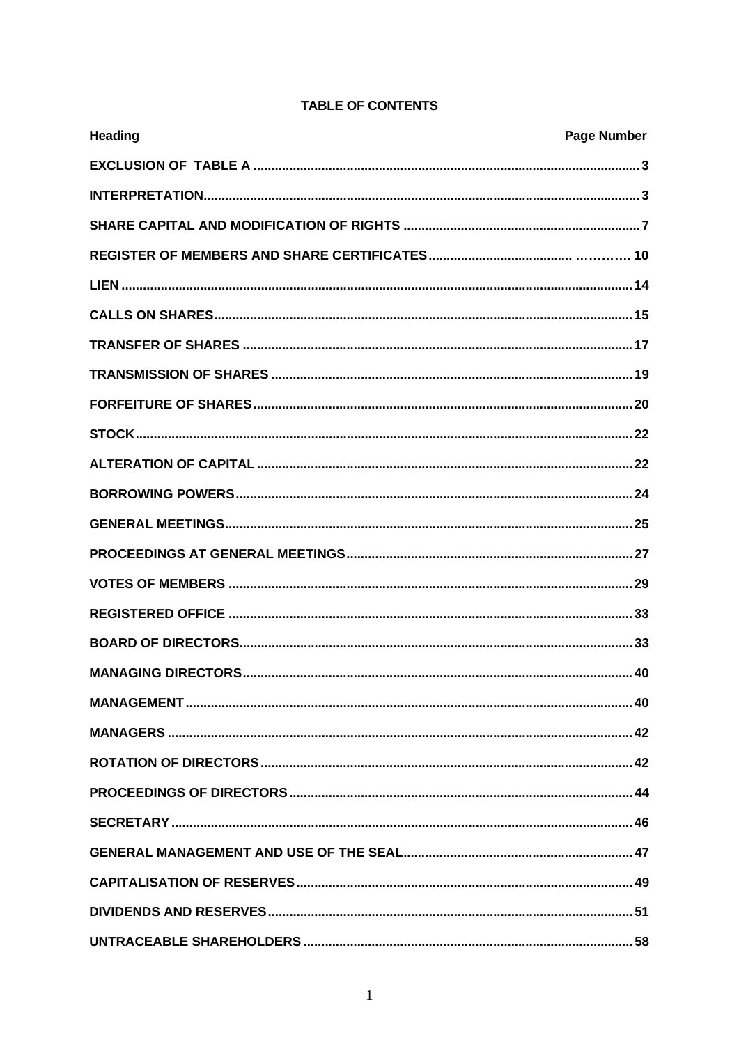| <b>Heading</b> | <b>Page Number</b> |
|----------------|--------------------|
|                |                    |
|                |                    |
|                |                    |
|                |                    |
|                |                    |
|                |                    |
|                |                    |
|                |                    |
|                |                    |
|                |                    |
|                |                    |
|                |                    |
|                |                    |
|                |                    |
|                |                    |
|                |                    |
|                |                    |
|                |                    |
|                |                    |
|                |                    |
|                |                    |
|                |                    |
|                |                    |
|                |                    |
|                |                    |
|                |                    |
|                |                    |

## **TABLE OF CONTENTS**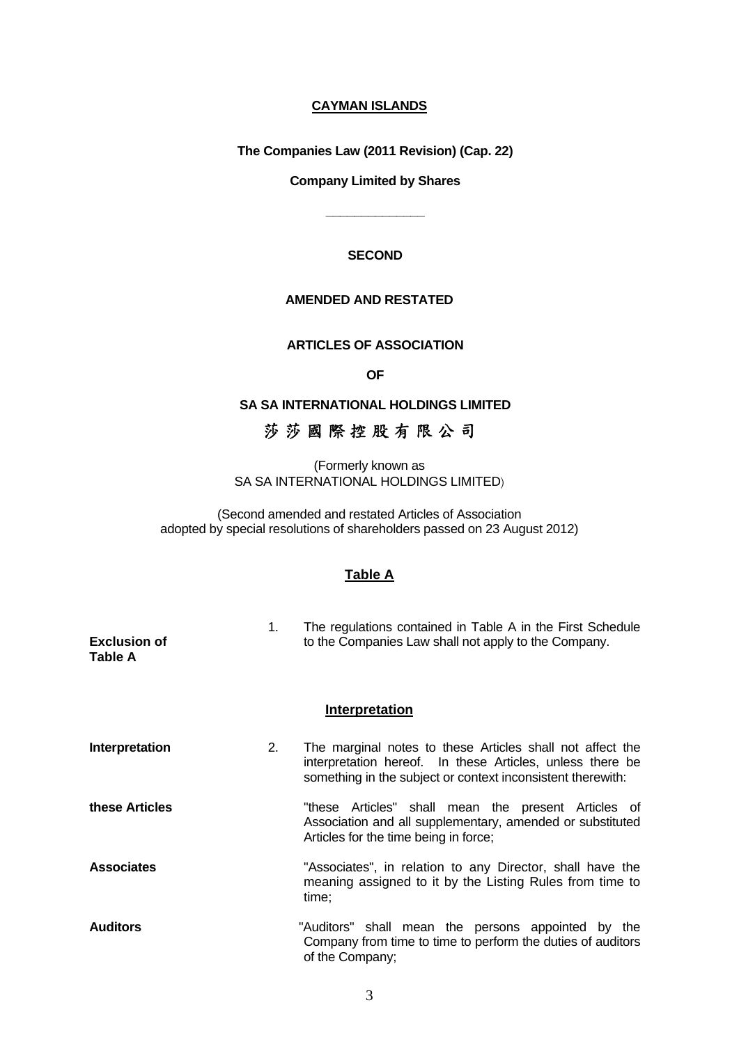## **CAYMAN ISLANDS**

 **The Companies Law (2011 Revision) (Cap. 22)** 

#### **Company Limited by Shares**

 **\_\_\_\_\_\_\_\_\_\_\_\_\_\_** 

## **SECOND**

#### **AMENDED AND RESTATED**

#### **ARTICLES OF ASSOCIATION**

*OF* 

## **SA SA INTERNATIONAL HOLDINGS LIMITED**

# 莎 莎 國 際 控 股 有 限 公 司

(Formerly known as SA SA INTERNATIONAL HOLDINGS LIMITED)

(Second amended and restated Articles of Association adopted by special resolutions of shareholders passed on 23 August 2012)

#### **Table A**

| <b>Exclusion of</b><br>Table A | 1. | The regulations contained in Table A in the First Schedule<br>to the Companies Law shall not apply to the Company.                                                                    |
|--------------------------------|----|---------------------------------------------------------------------------------------------------------------------------------------------------------------------------------------|
|                                |    | <b>Interpretation</b>                                                                                                                                                                 |
| <b>Interpretation</b>          | 2. | The marginal notes to these Articles shall not affect the<br>interpretation hereof. In these Articles, unless there be<br>something in the subject or context inconsistent therewith: |
| these Articles                 |    | "these Articles" shall mean the present Articles of<br>Association and all supplementary, amended or substituted<br>Articles for the time being in force;                             |
| <b>Associates</b>              |    | "Associates", in relation to any Director, shall have the<br>meaning assigned to it by the Listing Rules from time to<br>time;                                                        |
| <b>Auditors</b>                |    | "Auditors" shall mean the persons appointed by the<br>Company from time to time to perform the duties of auditors<br>of the Company;                                                  |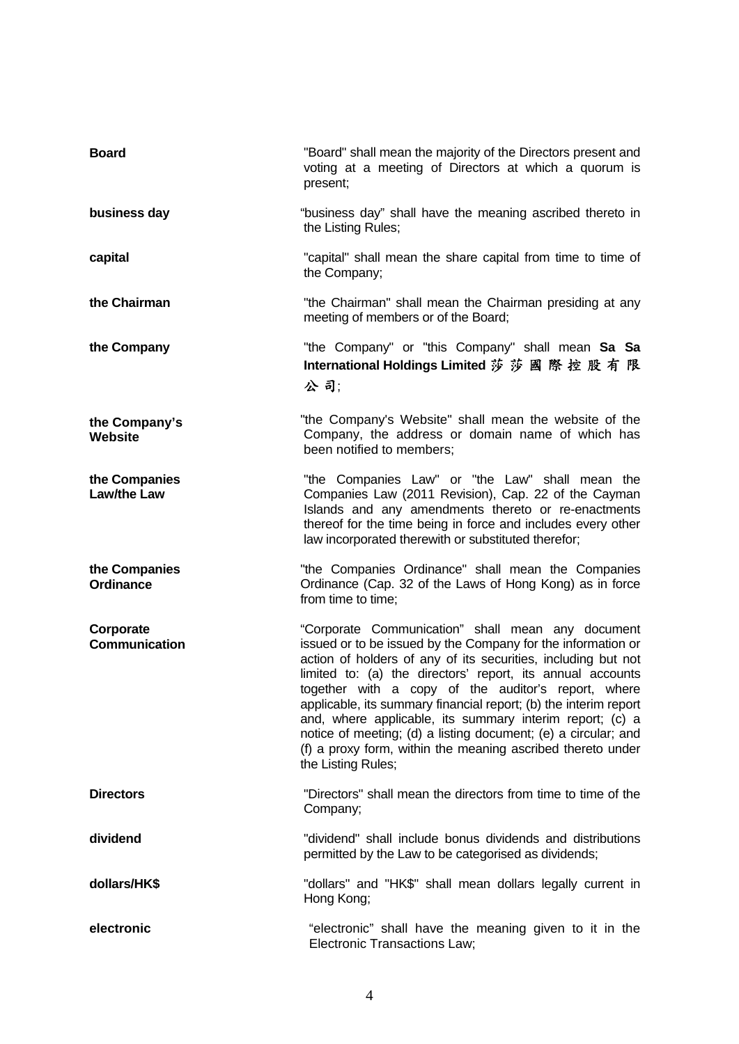| <b>Board</b>                        | "Board" shall mean the majority of the Directors present and<br>voting at a meeting of Directors at which a quorum is<br>present;                                                                                                                                                                                                                                                                                                                                                                                                                                                              |
|-------------------------------------|------------------------------------------------------------------------------------------------------------------------------------------------------------------------------------------------------------------------------------------------------------------------------------------------------------------------------------------------------------------------------------------------------------------------------------------------------------------------------------------------------------------------------------------------------------------------------------------------|
| business day                        | "business day" shall have the meaning ascribed thereto in<br>the Listing Rules;                                                                                                                                                                                                                                                                                                                                                                                                                                                                                                                |
| capital                             | "capital" shall mean the share capital from time to time of<br>the Company;                                                                                                                                                                                                                                                                                                                                                                                                                                                                                                                    |
| the Chairman                        | "the Chairman" shall mean the Chairman presiding at any<br>meeting of members or of the Board;                                                                                                                                                                                                                                                                                                                                                                                                                                                                                                 |
| the Company                         | "the Company" or "this Company" shall mean Sa Sa<br>International Holdings Limited 莎 莎 國 際 控 股 有 限<br>公司:                                                                                                                                                                                                                                                                                                                                                                                                                                                                                      |
| the Company's<br><b>Website</b>     | "the Company's Website" shall mean the website of the<br>Company, the address or domain name of which has<br>been notified to members:                                                                                                                                                                                                                                                                                                                                                                                                                                                         |
| the Companies<br><b>Law/the Law</b> | "the Companies Law" or "the Law" shall mean the<br>Companies Law (2011 Revision), Cap. 22 of the Cayman<br>Islands and any amendments thereto or re-enactments<br>thereof for the time being in force and includes every other<br>law incorporated therewith or substituted therefor;                                                                                                                                                                                                                                                                                                          |
| the Companies<br><b>Ordinance</b>   | "the Companies Ordinance" shall mean the Companies<br>Ordinance (Cap. 32 of the Laws of Hong Kong) as in force<br>from time to time;                                                                                                                                                                                                                                                                                                                                                                                                                                                           |
| Corporate<br><b>Communication</b>   | "Corporate Communication" shall mean any document<br>issued or to be issued by the Company for the information or<br>action of holders of any of its securities, including but not<br>limited to: (a) the directors' report, its annual accounts<br>together with a copy of the auditor's report, where<br>applicable, its summary financial report; (b) the interim report<br>and, where applicable, its summary interim report; (c) a<br>notice of meeting; (d) a listing document; (e) a circular; and<br>(f) a proxy form, within the meaning ascribed thereto under<br>the Listing Rules; |
| <b>Directors</b>                    | "Directors" shall mean the directors from time to time of the<br>Company;                                                                                                                                                                                                                                                                                                                                                                                                                                                                                                                      |
| dividend                            | "dividend" shall include bonus dividends and distributions<br>permitted by the Law to be categorised as dividends;                                                                                                                                                                                                                                                                                                                                                                                                                                                                             |
| dollars/HK\$                        | "dollars" and "HK\$" shall mean dollars legally current in<br>Hong Kong;                                                                                                                                                                                                                                                                                                                                                                                                                                                                                                                       |
| electronic                          | "electronic" shall have the meaning given to it in the<br><b>Electronic Transactions Law;</b>                                                                                                                                                                                                                                                                                                                                                                                                                                                                                                  |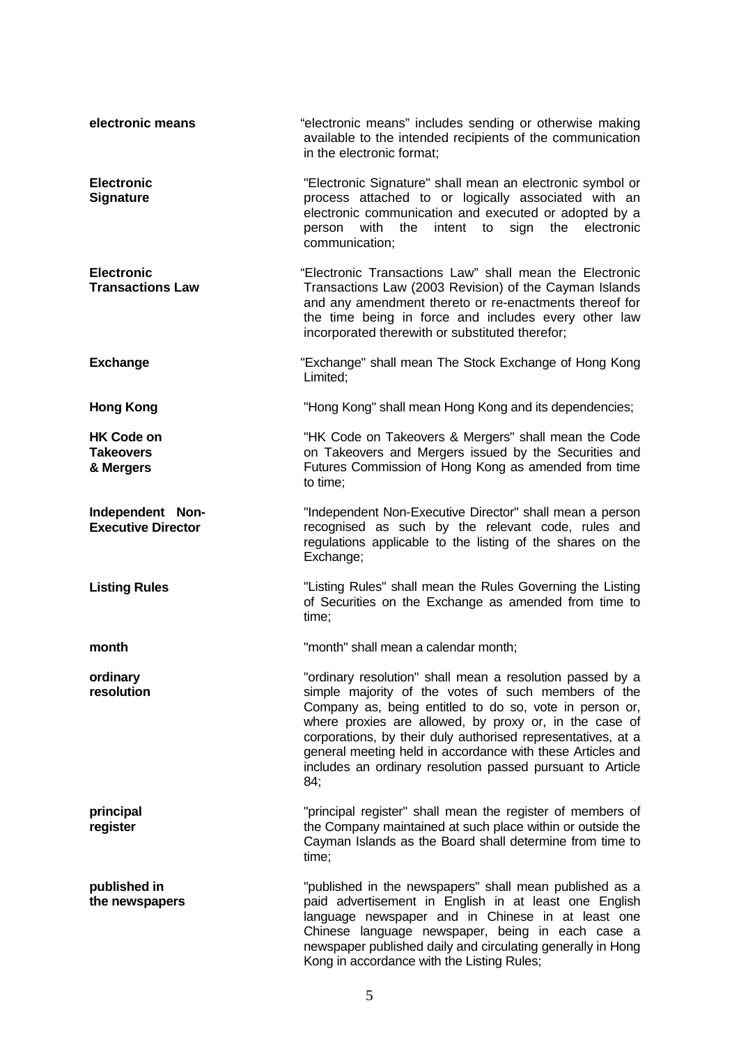| electronic means                                   | "electronic means" includes sending or otherwise making<br>available to the intended recipients of the communication<br>in the electronic format;                                                                                                                                                                                                                                                                                        |
|----------------------------------------------------|------------------------------------------------------------------------------------------------------------------------------------------------------------------------------------------------------------------------------------------------------------------------------------------------------------------------------------------------------------------------------------------------------------------------------------------|
| <b>Electronic</b><br><b>Signature</b>              | "Electronic Signature" shall mean an electronic symbol or<br>process attached to or logically associated with an<br>electronic communication and executed or adopted by a<br>intent to<br>with the<br>sign<br>the<br>electronic<br>person<br>communication;                                                                                                                                                                              |
| <b>Electronic</b><br><b>Transactions Law</b>       | "Electronic Transactions Law" shall mean the Electronic<br>Transactions Law (2003 Revision) of the Cayman Islands<br>and any amendment thereto or re-enactments thereof for<br>the time being in force and includes every other law<br>incorporated therewith or substituted therefor;                                                                                                                                                   |
| <b>Exchange</b>                                    | "Exchange" shall mean The Stock Exchange of Hong Kong<br>Limited;                                                                                                                                                                                                                                                                                                                                                                        |
| <b>Hong Kong</b>                                   | "Hong Kong" shall mean Hong Kong and its dependencies;                                                                                                                                                                                                                                                                                                                                                                                   |
| <b>HK Code on</b><br><b>Takeovers</b><br>& Mergers | "HK Code on Takeovers & Mergers" shall mean the Code<br>on Takeovers and Mergers issued by the Securities and<br>Futures Commission of Hong Kong as amended from time<br>to time;                                                                                                                                                                                                                                                        |
| Independent Non-<br><b>Executive Director</b>      | "Independent Non-Executive Director" shall mean a person<br>recognised as such by the relevant code, rules and<br>regulations applicable to the listing of the shares on the<br>Exchange;                                                                                                                                                                                                                                                |
| <b>Listing Rules</b>                               | "Listing Rules" shall mean the Rules Governing the Listing<br>of Securities on the Exchange as amended from time to<br>time;                                                                                                                                                                                                                                                                                                             |
| month                                              | "month" shall mean a calendar month;                                                                                                                                                                                                                                                                                                                                                                                                     |
| ordinary<br>resolution                             | "ordinary resolution" shall mean a resolution passed by a<br>simple majority of the votes of such members of the<br>Company as, being entitled to do so, vote in person or,<br>where proxies are allowed, by proxy or, in the case of<br>corporations, by their duly authorised representatives, at a<br>general meeting held in accordance with these Articles and<br>includes an ordinary resolution passed pursuant to Article<br>84; |
| principal<br>register                              | "principal register" shall mean the register of members of<br>the Company maintained at such place within or outside the<br>Cayman Islands as the Board shall determine from time to<br>time;                                                                                                                                                                                                                                            |
| published in<br>the newspapers                     | "published in the newspapers" shall mean published as a<br>paid advertisement in English in at least one English<br>language newspaper and in Chinese in at least one<br>Chinese language newspaper, being in each case a<br>newspaper published daily and circulating generally in Hong<br>Kong in accordance with the Listing Rules;                                                                                                   |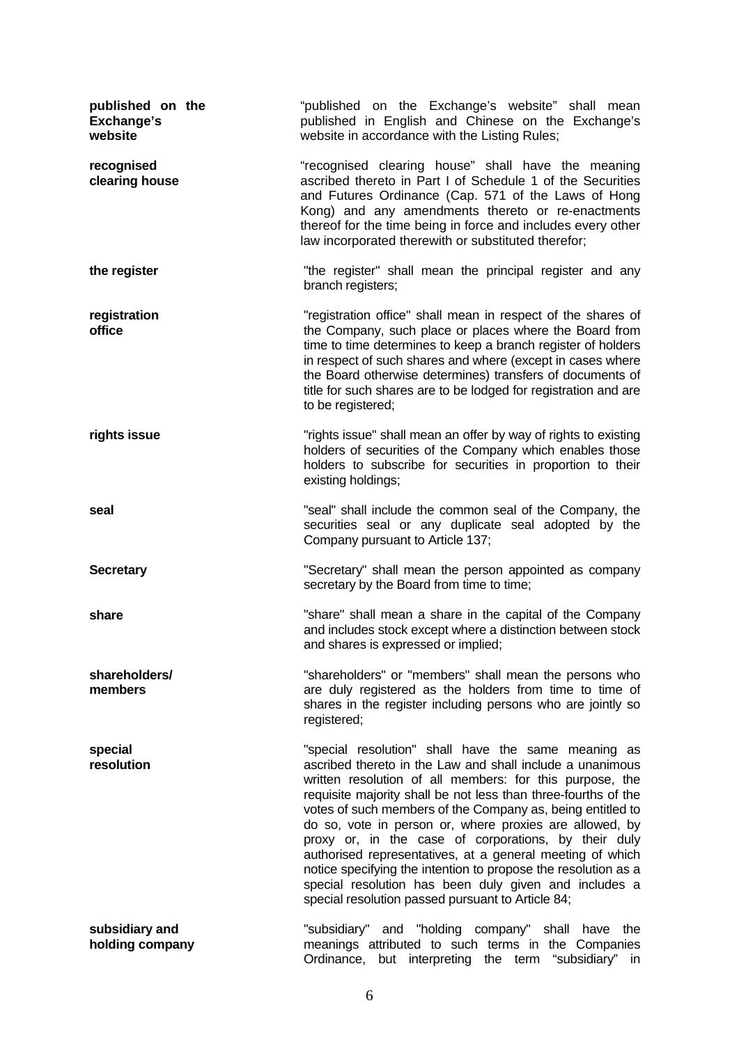| published on the<br><b>Exchange's</b><br>website | "published on the Exchange's website" shall mean<br>published in English and Chinese on the Exchange's<br>website in accordance with the Listing Rules;                                                                                                                                                                                                                                                                                                                                                                                                                                                                                                                      |
|--------------------------------------------------|------------------------------------------------------------------------------------------------------------------------------------------------------------------------------------------------------------------------------------------------------------------------------------------------------------------------------------------------------------------------------------------------------------------------------------------------------------------------------------------------------------------------------------------------------------------------------------------------------------------------------------------------------------------------------|
| recognised<br>clearing house                     | "recognised clearing house" shall have the meaning<br>ascribed thereto in Part I of Schedule 1 of the Securities<br>and Futures Ordinance (Cap. 571 of the Laws of Hong<br>Kong) and any amendments thereto or re-enactments<br>thereof for the time being in force and includes every other<br>law incorporated therewith or substituted therefor;                                                                                                                                                                                                                                                                                                                          |
| the register                                     | "the register" shall mean the principal register and any<br>branch registers;                                                                                                                                                                                                                                                                                                                                                                                                                                                                                                                                                                                                |
| registration<br>office                           | "registration office" shall mean in respect of the shares of<br>the Company, such place or places where the Board from<br>time to time determines to keep a branch register of holders<br>in respect of such shares and where (except in cases where<br>the Board otherwise determines) transfers of documents of<br>title for such shares are to be lodged for registration and are<br>to be registered;                                                                                                                                                                                                                                                                    |
| rights issue                                     | "rights issue" shall mean an offer by way of rights to existing<br>holders of securities of the Company which enables those<br>holders to subscribe for securities in proportion to their<br>existing holdings;                                                                                                                                                                                                                                                                                                                                                                                                                                                              |
| seal                                             | "seal" shall include the common seal of the Company, the<br>securities seal or any duplicate seal adopted by the<br>Company pursuant to Article 137;                                                                                                                                                                                                                                                                                                                                                                                                                                                                                                                         |
| <b>Secretary</b>                                 | "Secretary" shall mean the person appointed as company<br>secretary by the Board from time to time;                                                                                                                                                                                                                                                                                                                                                                                                                                                                                                                                                                          |
| share                                            | "share" shall mean a share in the capital of the Company<br>and includes stock except where a distinction between stock<br>and shares is expressed or implied;                                                                                                                                                                                                                                                                                                                                                                                                                                                                                                               |
| shareholders/<br>members                         | "shareholders" or "members" shall mean the persons who<br>are duly registered as the holders from time to time of<br>shares in the register including persons who are jointly so<br>registered;                                                                                                                                                                                                                                                                                                                                                                                                                                                                              |
| special<br>resolution                            | "special resolution" shall have the same meaning as<br>ascribed thereto in the Law and shall include a unanimous<br>written resolution of all members: for this purpose, the<br>requisite majority shall be not less than three-fourths of the<br>votes of such members of the Company as, being entitled to<br>do so, vote in person or, where proxies are allowed, by<br>proxy or, in the case of corporations, by their duly<br>authorised representatives, at a general meeting of which<br>notice specifying the intention to propose the resolution as a<br>special resolution has been duly given and includes a<br>special resolution passed pursuant to Article 84; |
| subsidiary and<br>holding company                | "subsidiary" and "holding company" shall have the<br>meanings attributed to such terms in the Companies<br>Ordinance, but interpreting the term<br>"subsidiary" in                                                                                                                                                                                                                                                                                                                                                                                                                                                                                                           |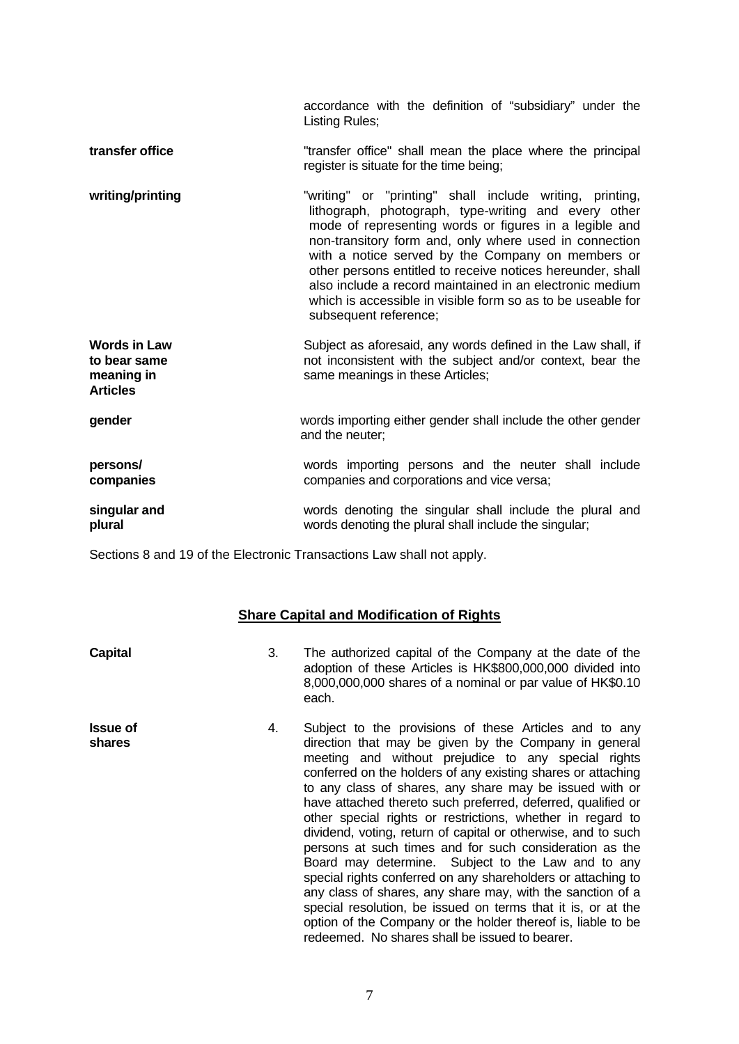accordance with the definition of "subsidiary" under the Listing Rules;

- **transfer office** "transfer office" shall mean the place where the principal register is situate for the time being;
- writing/printing **The Manus and Terming** or "printing" shall include writing, printing, lithograph, photograph, type-writing and every other mode of representing words or figures in a legible and non-transitory form and, only where used in connection with a notice served by the Company on members or other persons entitled to receive notices hereunder, shall also include a record maintained in an electronic medium which is accessible in visible form so as to be useable for subsequent reference;
- **Words in Law to bear same meaning in Articles**  Subject as aforesaid, any words defined in the Law shall, if not inconsistent with the subject and/or context, bear the same meanings in these Articles;
- **gender** words importing either gender shall include the other gender and the neuter;
- **persons/ companies** words importing persons and the neuter shall include companies and corporations and vice versa;
- **singular and plural** words denoting the singular shall include the plural and words denoting the plural shall include the singular;

Sections 8 and 19 of the Electronic Transactions Law shall not apply.

#### **Share Capital and Modification of Rights**

| Capital         |    | The authorized capital of the Company at the date of the<br>adoption of these Articles is HK\$800,000,000 divided into<br>8,000,000,000 shares of a nominal or par value of HK\$0.10<br>each. |
|-----------------|----|-----------------------------------------------------------------------------------------------------------------------------------------------------------------------------------------------|
| <b>Issue of</b> | 4. | Subject to the provisions of these Articles and to any                                                                                                                                        |

**shares** direction that may be given by the Company in general meeting and without prejudice to any special rights conferred on the holders of any existing shares or attaching to any class of shares, any share may be issued with or have attached thereto such preferred, deferred, qualified or other special rights or restrictions, whether in regard to dividend, voting, return of capital or otherwise, and to such persons at such times and for such consideration as the Board may determine. Subject to the Law and to any special rights conferred on any shareholders or attaching to any class of shares, any share may, with the sanction of a special resolution, be issued on terms that it is, or at the option of the Company or the holder thereof is, liable to be redeemed. No shares shall be issued to bearer.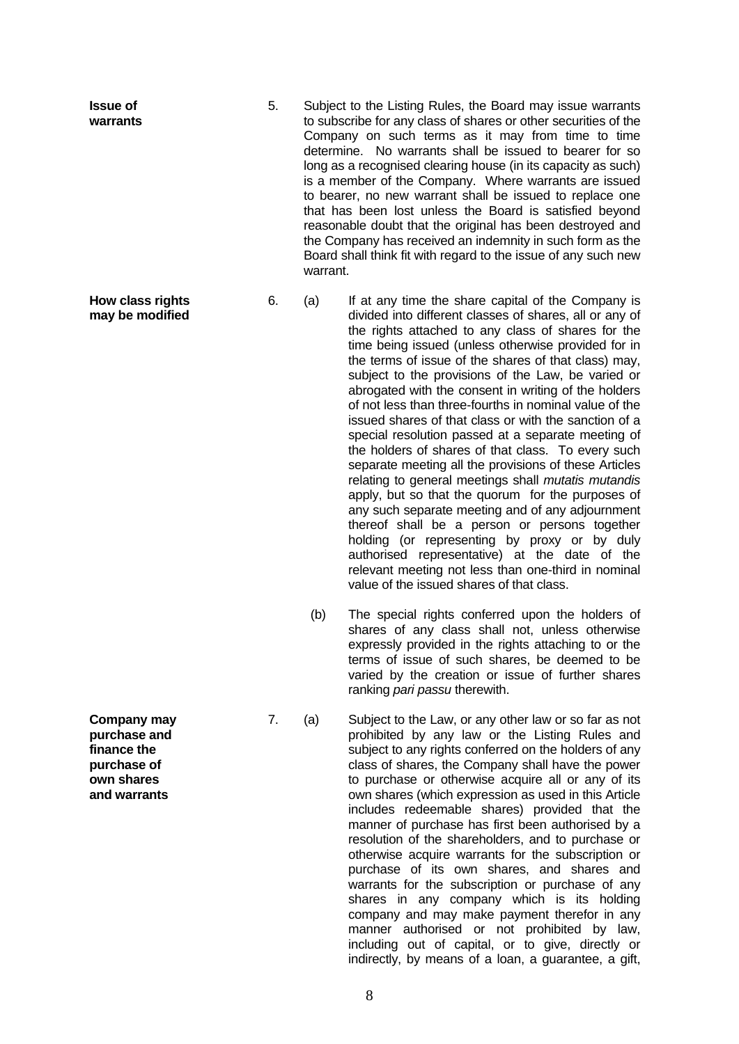- **Issue of warrants** 5. Subject to the Listing Rules, the Board may issue warrants to subscribe for any class of shares or other securities of the Company on such terms as it may from time to time determine. No warrants shall be issued to bearer for so long as a recognised clearing house (in its capacity as such) is a member of the Company. Where warrants are issued to bearer, no new warrant shall be issued to replace one that has been lost unless the Board is satisfied beyond reasonable doubt that the original has been destroyed and the Company has received an indemnity in such form as the Board shall think fit with regard to the issue of any such new warrant.
	-
	- 6. (a) If at any time the share capital of the Company is divided into different classes of shares, all or any of the rights attached to any class of shares for the time being issued (unless otherwise provided for in the terms of issue of the shares of that class) may, subject to the provisions of the Law, be varied or abrogated with the consent in writing of the holders of not less than three-fourths in nominal value of the issued shares of that class or with the sanction of a special resolution passed at a separate meeting of the holders of shares of that class. To every such separate meeting all the provisions of these Articles relating to general meetings shall *mutatis mutandis* apply, but so that the quorum for the purposes of any such separate meeting and of any adjournment thereof shall be a person or persons together holding (or representing by proxy or by duly authorised representative) at the date of the relevant meeting not less than one-third in nominal value of the issued shares of that class.
		- (b) The special rights conferred upon the holders of shares of any class shall not, unless otherwise expressly provided in the rights attaching to or the terms of issue of such shares, be deemed to be varied by the creation or issue of further shares ranking *pari passu* therewith.
	- 7. (a) Subject to the Law, or any other law or so far as not prohibited by any law or the Listing Rules and subject to any rights conferred on the holders of any class of shares, the Company shall have the power to purchase or otherwise acquire all or any of its own shares (which expression as used in this Article includes redeemable shares) provided that the manner of purchase has first been authorised by a resolution of the shareholders, and to purchase or otherwise acquire warrants for the subscription or purchase of its own shares, and shares and warrants for the subscription or purchase of any shares in any company which is its holding company and may make payment therefor in any manner authorised or not prohibited by law, including out of capital, or to give, directly or indirectly, by means of a loan, a guarantee, a gift,

**Company may purchase and finance the purchase of own shares and warrants**

**How class rights may be modified**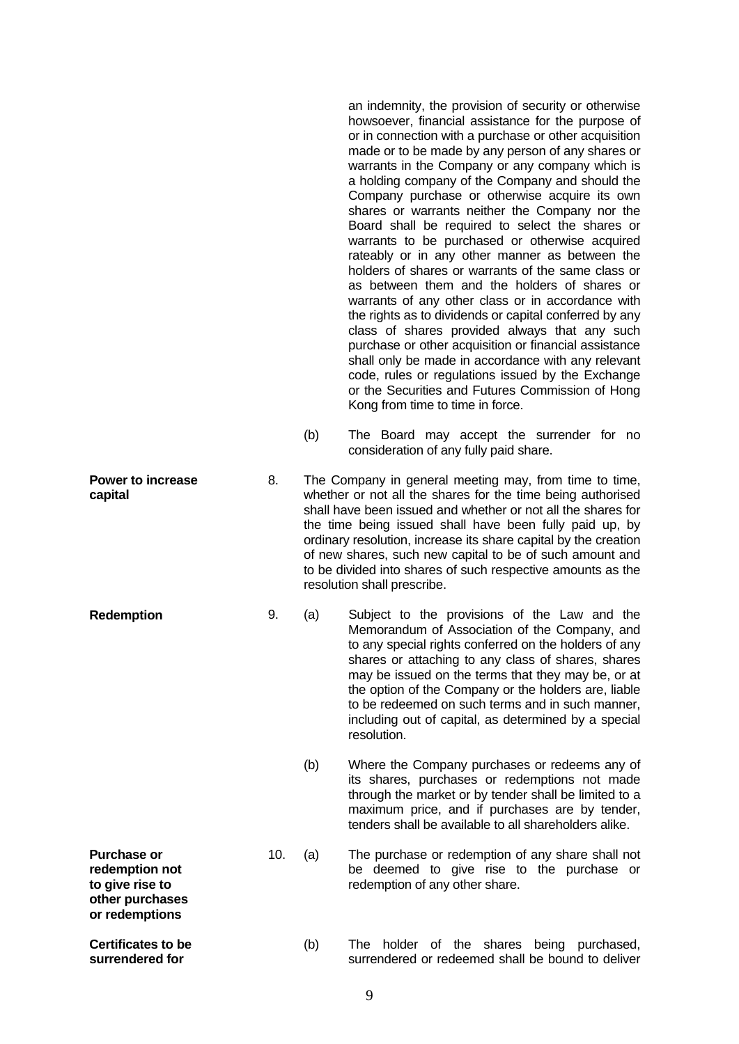an indemnity, the provision of security or otherwise howsoever, financial assistance for the purpose of or in connection with a purchase or other acquisition made or to be made by any person of any shares or warrants in the Company or any company which is a holding company of the Company and should the Company purchase or otherwise acquire its own shares or warrants neither the Company nor the Board shall be required to select the shares or warrants to be purchased or otherwise acquired rateably or in any other manner as between the holders of shares or warrants of the same class or as between them and the holders of shares or warrants of any other class or in accordance with the rights as to dividends or capital conferred by any class of shares provided always that any such purchase or other acquisition or financial assistance shall only be made in accordance with any relevant code, rules or regulations issued by the Exchange or the Securities and Futures Commission of Hong Kong from time to time in force.

- (b) The Board may accept the surrender for no consideration of any fully paid share.
- **Power to increase capital** 8. The Company in general meeting may, from time to time, whether or not all the shares for the time being authorised shall have been issued and whether or not all the shares for the time being issued shall have been fully paid up, by ordinary resolution, increase its share capital by the creation of new shares, such new capital to be of such amount and to be divided into shares of such respective amounts as the resolution shall prescribe.
- **Redemption** 9. (a) Subject to the provisions of the Law and the Memorandum of Association of the Company, and to any special rights conferred on the holders of any shares or attaching to any class of shares, shares may be issued on the terms that they may be, or at the option of the Company or the holders are, liable to be redeemed on such terms and in such manner, including out of capital, as determined by a special resolution.
	- (b) Where the Company purchases or redeems any of its shares, purchases or redemptions not made through the market or by tender shall be limited to a maximum price, and if purchases are by tender, tenders shall be available to all shareholders alike.
	- 10. (a) The purchase or redemption of any share shall not be deemed to give rise to the purchase or redemption of any other share.
		- (b) The holder of the shares being purchased, surrendered or redeemed shall be bound to deliver

|   |   | ٠        |   |  |
|---|---|----------|---|--|
|   |   |          |   |  |
| × |   |          |   |  |
|   |   |          | ć |  |
|   | ٠ | ۰,<br>۰. |   |  |

**Purchase or redemption not to give rise to other purchases or redemptions** 

**Certificates to be surrendered for**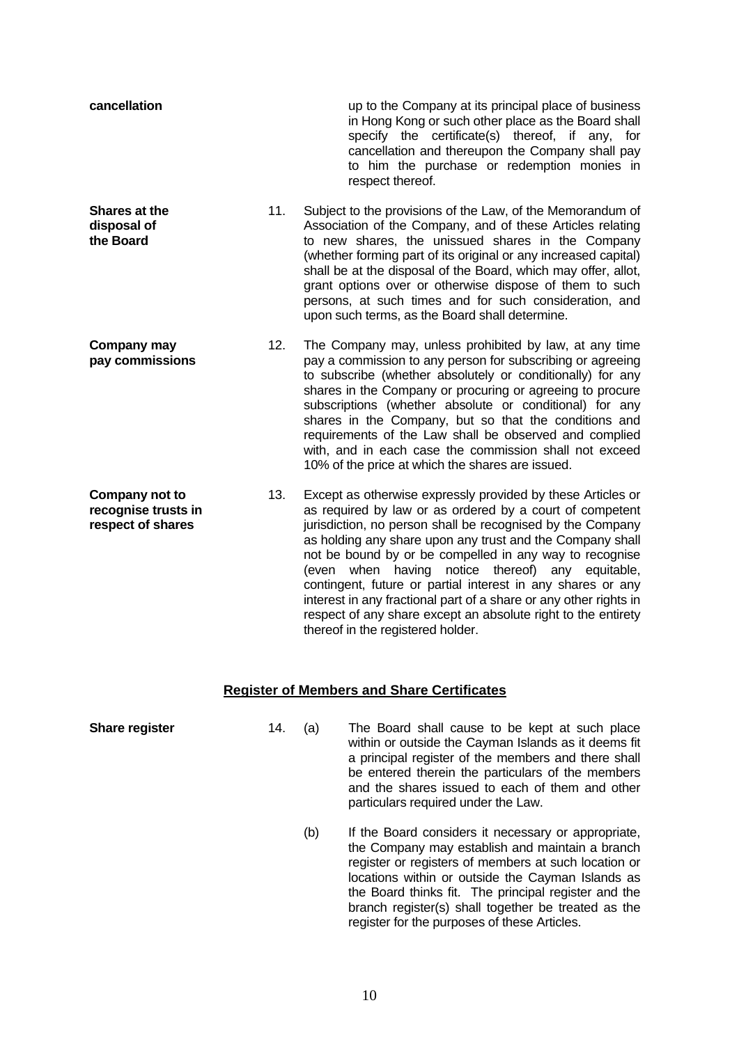| cancellation                                               |     | up to the Company at its principal place of business<br>in Hong Kong or such other place as the Board shall<br>specify the certificate(s) thereof, if any, for<br>cancellation and thereupon the Company shall pay<br>to him the purchase or redemption monies in<br>respect thereof.                                                                                                                                                                                                                                                                                                                       |
|------------------------------------------------------------|-----|-------------------------------------------------------------------------------------------------------------------------------------------------------------------------------------------------------------------------------------------------------------------------------------------------------------------------------------------------------------------------------------------------------------------------------------------------------------------------------------------------------------------------------------------------------------------------------------------------------------|
| <b>Shares at the</b><br>disposal of<br>the Board           | 11. | Subject to the provisions of the Law, of the Memorandum of<br>Association of the Company, and of these Articles relating<br>to new shares, the unissued shares in the Company<br>(whether forming part of its original or any increased capital)<br>shall be at the disposal of the Board, which may offer, allot,<br>grant options over or otherwise dispose of them to such<br>persons, at such times and for such consideration, and<br>upon such terms, as the Board shall determine.                                                                                                                   |
| Company may<br>pay commissions                             | 12. | The Company may, unless prohibited by law, at any time<br>pay a commission to any person for subscribing or agreeing<br>to subscribe (whether absolutely or conditionally) for any<br>shares in the Company or procuring or agreeing to procure<br>subscriptions (whether absolute or conditional) for any<br>shares in the Company, but so that the conditions and<br>requirements of the Law shall be observed and complied<br>with, and in each case the commission shall not exceed<br>10% of the price at which the shares are issued.                                                                 |
| Company not to<br>recognise trusts in<br>respect of shares | 13. | Except as otherwise expressly provided by these Articles or<br>as required by law or as ordered by a court of competent<br>jurisdiction, no person shall be recognised by the Company<br>as holding any share upon any trust and the Company shall<br>not be bound by or be compelled in any way to recognise<br>(even when having notice thereof) any equitable,<br>contingent, future or partial interest in any shares or any<br>interest in any fractional part of a share or any other rights in<br>respect of any share except an absolute right to the entirety<br>thereof in the registered holder. |

## **Register of Members and Share Certificates**

**Share register** 14. (a) The Board shall cause to be kept at such place within or outside the Cayman Islands as it deems fit a principal register of the members and there shall be entered therein the particulars of the members and the shares issued to each of them and other particulars required under the Law. (b) If the Board considers it necessary or appropriate, the Company may establish and maintain a branch register or registers of members at such location or locations within or outside the Cayman Islands as the Board thinks fit. The principal register and the branch register(s) shall together be treated as the register for the purposes of these Articles.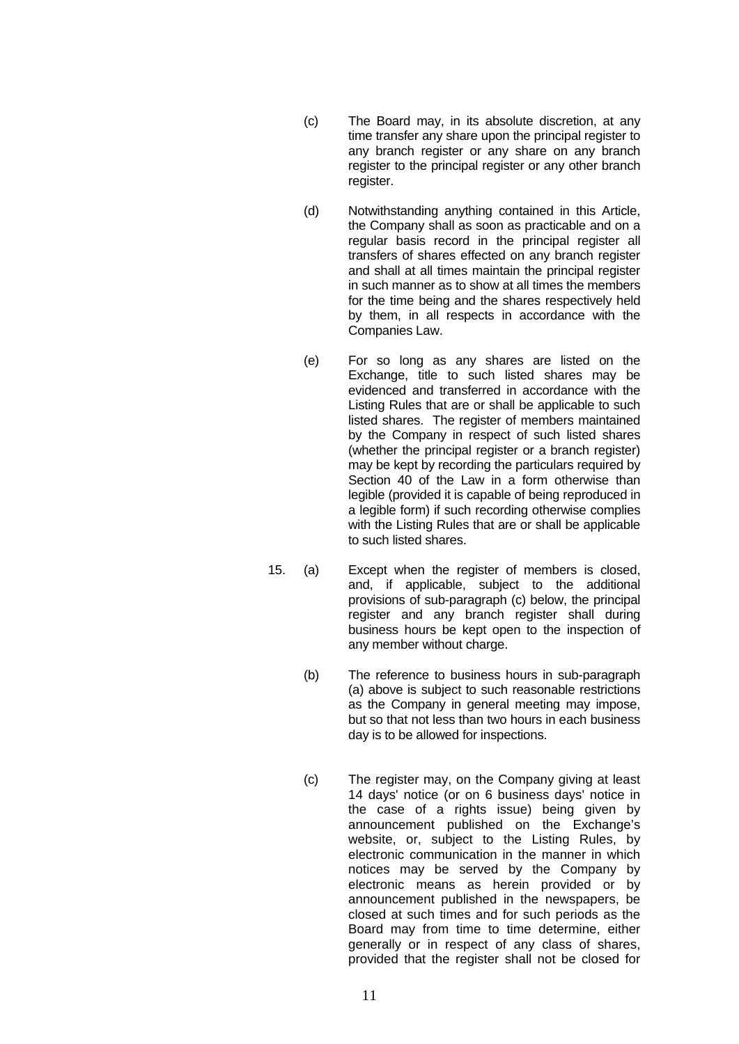- (c) The Board may, in its absolute discretion, at any time transfer any share upon the principal register to any branch register or any share on any branch register to the principal register or any other branch register.
- (d) Notwithstanding anything contained in this Article, the Company shall as soon as practicable and on a regular basis record in the principal register all transfers of shares effected on any branch register and shall at all times maintain the principal register in such manner as to show at all times the members for the time being and the shares respectively held by them, in all respects in accordance with the Companies Law.
- (e) For so long as any shares are listed on the Exchange, title to such listed shares may be evidenced and transferred in accordance with the Listing Rules that are or shall be applicable to such listed shares. The register of members maintained by the Company in respect of such listed shares (whether the principal register or a branch register) may be kept by recording the particulars required by Section 40 of the Law in a form otherwise than legible (provided it is capable of being reproduced in a legible form) if such recording otherwise complies with the Listing Rules that are or shall be applicable to such listed shares.
- 15. (a) Except when the register of members is closed, and, if applicable, subject to the additional provisions of sub-paragraph (c) below, the principal register and any branch register shall during business hours be kept open to the inspection of any member without charge.
	- (b) The reference to business hours in sub-paragraph (a) above is subject to such reasonable restrictions as the Company in general meeting may impose, but so that not less than two hours in each business day is to be allowed for inspections.
	- (c) The register may, on the Company giving at least 14 days' notice (or on 6 business days' notice in the case of a rights issue) being given by announcement published on the Exchange's website, or, subject to the Listing Rules, by electronic communication in the manner in which notices may be served by the Company by electronic means as herein provided or by announcement published in the newspapers, be closed at such times and for such periods as the Board may from time to time determine, either generally or in respect of any class of shares, provided that the register shall not be closed for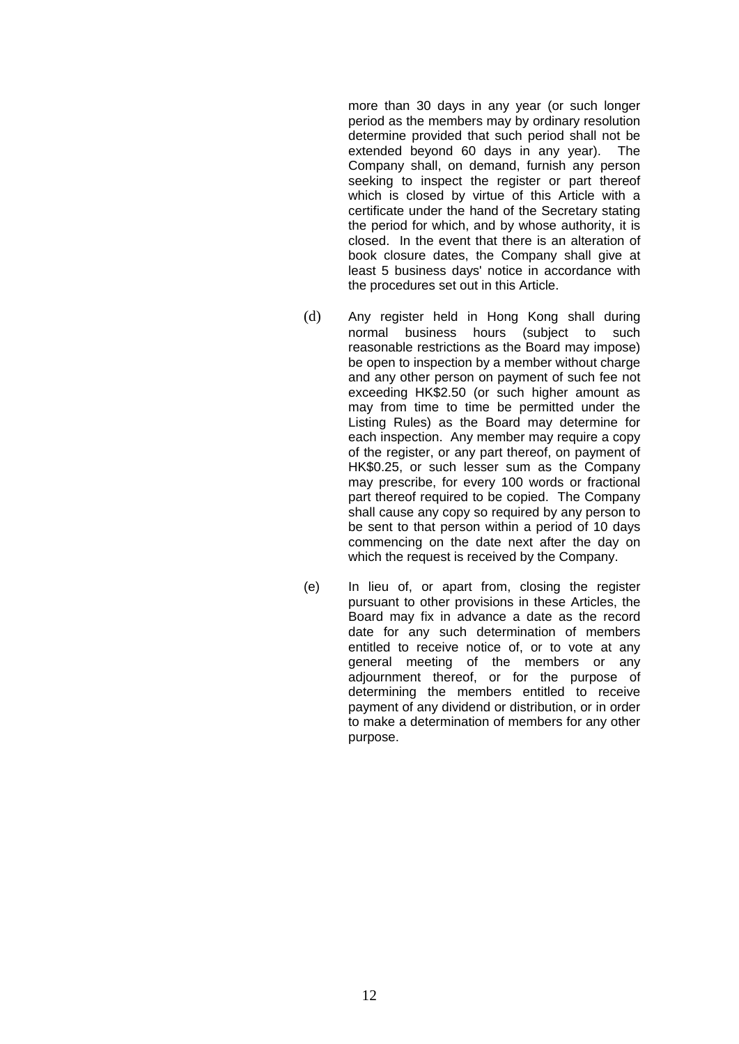more than 30 days in any year (or such longer period as the members may by ordinary resolution determine provided that such period shall not be extended beyond 60 days in any year). The Company shall, on demand, furnish any person seeking to inspect the register or part thereof which is closed by virtue of this Article with a certificate under the hand of the Secretary stating the period for which, and by whose authority, it is closed. In the event that there is an alteration of book closure dates, the Company shall give at least 5 business days' notice in accordance with the procedures set out in this Article.

- (d) Any register held in Hong Kong shall during normal business hours (subject to such reasonable restrictions as the Board may impose) be open to inspection by a member without charge and any other person on payment of such fee not exceeding HK\$2.50 (or such higher amount as may from time to time be permitted under the Listing Rules) as the Board may determine for each inspection. Any member may require a copy of the register, or any part thereof, on payment of HK\$0.25, or such lesser sum as the Company may prescribe, for every 100 words or fractional part thereof required to be copied. The Company shall cause any copy so required by any person to be sent to that person within a period of 10 days commencing on the date next after the day on which the request is received by the Company.
- (e) In lieu of, or apart from, closing the register pursuant to other provisions in these Articles, the Board may fix in advance a date as the record date for any such determination of members entitled to receive notice of, or to vote at any general meeting of the members or any adjournment thereof, or for the purpose of determining the members entitled to receive payment of any dividend or distribution, or in order to make a determination of members for any other purpose.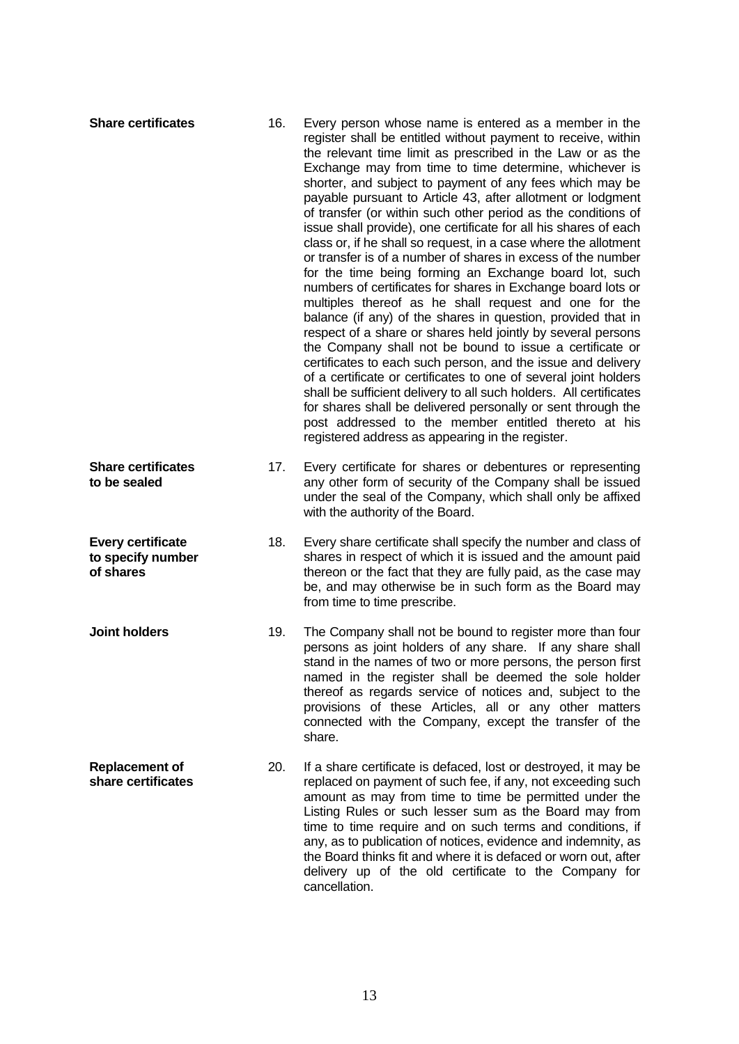| <b>Share certificates</b>                                  | 16. | Every person whose name is entered as a member in the<br>register shall be entitled without payment to receive, within<br>the relevant time limit as prescribed in the Law or as the<br>Exchange may from time to time determine, whichever is<br>shorter, and subject to payment of any fees which may be<br>payable pursuant to Article 43, after allotment or lodgment<br>of transfer (or within such other period as the conditions of<br>issue shall provide), one certificate for all his shares of each<br>class or, if he shall so request, in a case where the allotment<br>or transfer is of a number of shares in excess of the number<br>for the time being forming an Exchange board lot, such<br>numbers of certificates for shares in Exchange board lots or<br>multiples thereof as he shall request and one for the<br>balance (if any) of the shares in question, provided that in<br>respect of a share or shares held jointly by several persons<br>the Company shall not be bound to issue a certificate or<br>certificates to each such person, and the issue and delivery<br>of a certificate or certificates to one of several joint holders<br>shall be sufficient delivery to all such holders. All certificates<br>for shares shall be delivered personally or sent through the<br>post addressed to the member entitled thereto at his<br>registered address as appearing in the register. |
|------------------------------------------------------------|-----|------------------------------------------------------------------------------------------------------------------------------------------------------------------------------------------------------------------------------------------------------------------------------------------------------------------------------------------------------------------------------------------------------------------------------------------------------------------------------------------------------------------------------------------------------------------------------------------------------------------------------------------------------------------------------------------------------------------------------------------------------------------------------------------------------------------------------------------------------------------------------------------------------------------------------------------------------------------------------------------------------------------------------------------------------------------------------------------------------------------------------------------------------------------------------------------------------------------------------------------------------------------------------------------------------------------------------------------------------------------------------------------------------------------------|
| <b>Share certificates</b><br>to be sealed                  | 17. | Every certificate for shares or debentures or representing<br>any other form of security of the Company shall be issued<br>under the seal of the Company, which shall only be affixed<br>with the authority of the Board.                                                                                                                                                                                                                                                                                                                                                                                                                                                                                                                                                                                                                                                                                                                                                                                                                                                                                                                                                                                                                                                                                                                                                                                              |
| <b>Every certificate</b><br>to specify number<br>of shares | 18. | Every share certificate shall specify the number and class of<br>shares in respect of which it is issued and the amount paid<br>thereon or the fact that they are fully paid, as the case may<br>be, and may otherwise be in such form as the Board may<br>from time to time prescribe.                                                                                                                                                                                                                                                                                                                                                                                                                                                                                                                                                                                                                                                                                                                                                                                                                                                                                                                                                                                                                                                                                                                                |
| <b>Joint holders</b>                                       | 19. | The Company shall not be bound to register more than four<br>persons as joint holders of any share. If any share shall<br>stand in the names of two or more persons, the person first<br>named in the register shall be deemed the sole holder<br>thereof as regards service of notices and, subject to the<br>provisions of these Articles, all or any other matters<br>connected with the Company, except the transfer of the<br>share.                                                                                                                                                                                                                                                                                                                                                                                                                                                                                                                                                                                                                                                                                                                                                                                                                                                                                                                                                                              |
| <b>Replacement of</b><br>share certificates                | 20. | If a share certificate is defaced, lost or destroyed, it may be<br>replaced on payment of such fee, if any, not exceeding such<br>amount as may from time to time be permitted under the<br>Listing Rules or such lesser sum as the Board may from<br>time to time require and on such terms and conditions, if<br>any, as to publication of notices, evidence and indemnity, as<br>the Board thinks fit and where it is defaced or worn out, after<br>delivery up of the old certificate to the Company for<br>cancellation.                                                                                                                                                                                                                                                                                                                                                                                                                                                                                                                                                                                                                                                                                                                                                                                                                                                                                          |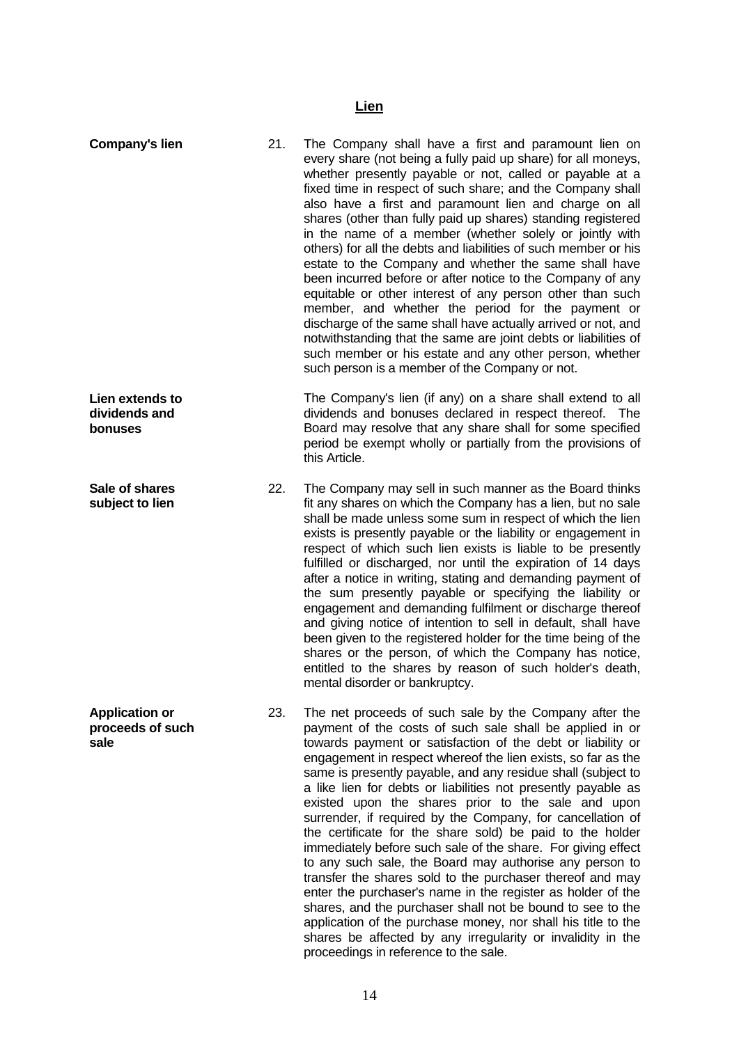#### **Lien**

**Company's lien** 21. The Company shall have a first and paramount lien on every share (not being a fully paid up share) for all moneys, whether presently payable or not, called or payable at a fixed time in respect of such share; and the Company shall also have a first and paramount lien and charge on all shares (other than fully paid up shares) standing registered in the name of a member (whether solely or jointly with others) for all the debts and liabilities of such member or his estate to the Company and whether the same shall have been incurred before or after notice to the Company of any equitable or other interest of any person other than such member, and whether the period for the payment or discharge of the same shall have actually arrived or not, and notwithstanding that the same are joint debts or liabilities of such member or his estate and any other person, whether such person is a member of the Company or not. **Lien extends to dividends and bonuses** The Company's lien (if any) on a share shall extend to all dividends and bonuses declared in respect thereof. The Board may resolve that any share shall for some specified period be exempt wholly or partially from the provisions of this Article. **Sale of shares subject to lien** 22. The Company may sell in such manner as the Board thinks fit any shares on which the Company has a lien, but no sale shall be made unless some sum in respect of which the lien exists is presently payable or the liability or engagement in respect of which such lien exists is liable to be presently fulfilled or discharged, nor until the expiration of 14 days after a notice in writing, stating and demanding payment of the sum presently payable or specifying the liability or engagement and demanding fulfilment or discharge thereof and giving notice of intention to sell in default, shall have been given to the registered holder for the time being of the shares or the person, of which the Company has notice, entitled to the shares by reason of such holder's death, mental disorder or bankruptcy. **Application or proceeds of such sale** 23. The net proceeds of such sale by the Company after the payment of the costs of such sale shall be applied in or towards payment or satisfaction of the debt or liability or engagement in respect whereof the lien exists, so far as the same is presently payable, and any residue shall (subject to a like lien for debts or liabilities not presently payable as existed upon the shares prior to the sale and upon surrender, if required by the Company, for cancellation of the certificate for the share sold) be paid to the holder immediately before such sale of the share. For giving effect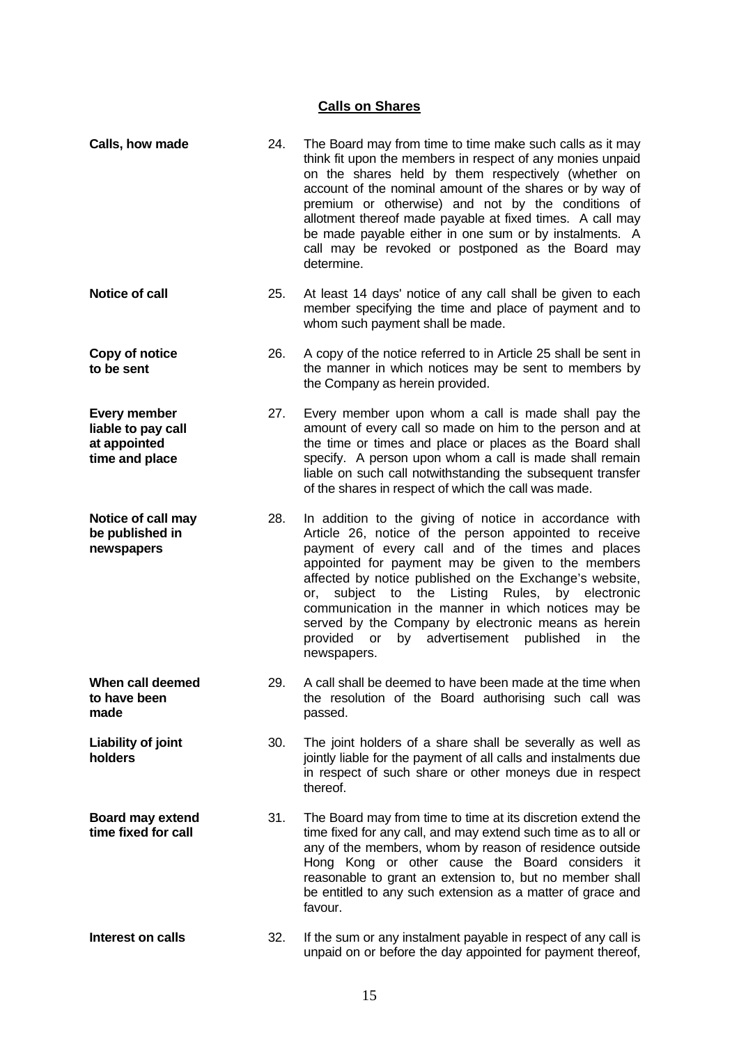# **Calls on Shares**

| Calls, how made                                                             | 24. | The Board may from time to time make such calls as it may<br>think fit upon the members in respect of any monies unpaid<br>on the shares held by them respectively (whether on<br>account of the nominal amount of the shares or by way of<br>premium or otherwise) and not by the conditions of<br>allotment thereof made payable at fixed times. A call may<br>be made payable either in one sum or by instalments. A<br>call may be revoked or postponed as the Board may<br>determine.                                                  |
|-----------------------------------------------------------------------------|-----|---------------------------------------------------------------------------------------------------------------------------------------------------------------------------------------------------------------------------------------------------------------------------------------------------------------------------------------------------------------------------------------------------------------------------------------------------------------------------------------------------------------------------------------------|
| <b>Notice of call</b>                                                       | 25. | At least 14 days' notice of any call shall be given to each<br>member specifying the time and place of payment and to<br>whom such payment shall be made.                                                                                                                                                                                                                                                                                                                                                                                   |
| Copy of notice<br>to be sent                                                | 26. | A copy of the notice referred to in Article 25 shall be sent in<br>the manner in which notices may be sent to members by<br>the Company as herein provided.                                                                                                                                                                                                                                                                                                                                                                                 |
| <b>Every member</b><br>liable to pay call<br>at appointed<br>time and place | 27. | Every member upon whom a call is made shall pay the<br>amount of every call so made on him to the person and at<br>the time or times and place or places as the Board shall<br>specify. A person upon whom a call is made shall remain<br>liable on such call notwithstanding the subsequent transfer<br>of the shares in respect of which the call was made.                                                                                                                                                                               |
| Notice of call may<br>be published in<br>newspapers                         | 28. | In addition to the giving of notice in accordance with<br>Article 26, notice of the person appointed to receive<br>payment of every call and of the times and places<br>appointed for payment may be given to the members<br>affected by notice published on the Exchange's website,<br>subject to the Listing<br>Rules,<br>by<br>electronic<br>or.<br>communication in the manner in which notices may be<br>served by the Company by electronic means as herein<br>provided or<br>by advertisement published<br>in.<br>the<br>newspapers. |
| When call deemed<br>to have been<br>made                                    | 29. | A call shall be deemed to have been made at the time when<br>the resolution of the Board authorising such call was<br>passed.                                                                                                                                                                                                                                                                                                                                                                                                               |
| Liability of joint<br>holders                                               | 30. | The joint holders of a share shall be severally as well as<br>jointly liable for the payment of all calls and instalments due<br>in respect of such share or other moneys due in respect<br>thereof.                                                                                                                                                                                                                                                                                                                                        |
| <b>Board may extend</b><br>time fixed for call                              | 31. | The Board may from time to time at its discretion extend the<br>time fixed for any call, and may extend such time as to all or<br>any of the members, whom by reason of residence outside<br>Hong Kong or other cause the Board considers it<br>reasonable to grant an extension to, but no member shall<br>be entitled to any such extension as a matter of grace and<br>favour.                                                                                                                                                           |
| Interest on calls                                                           | 32. | If the sum or any instalment payable in respect of any call is<br>unpaid on or before the day appointed for payment thereof,                                                                                                                                                                                                                                                                                                                                                                                                                |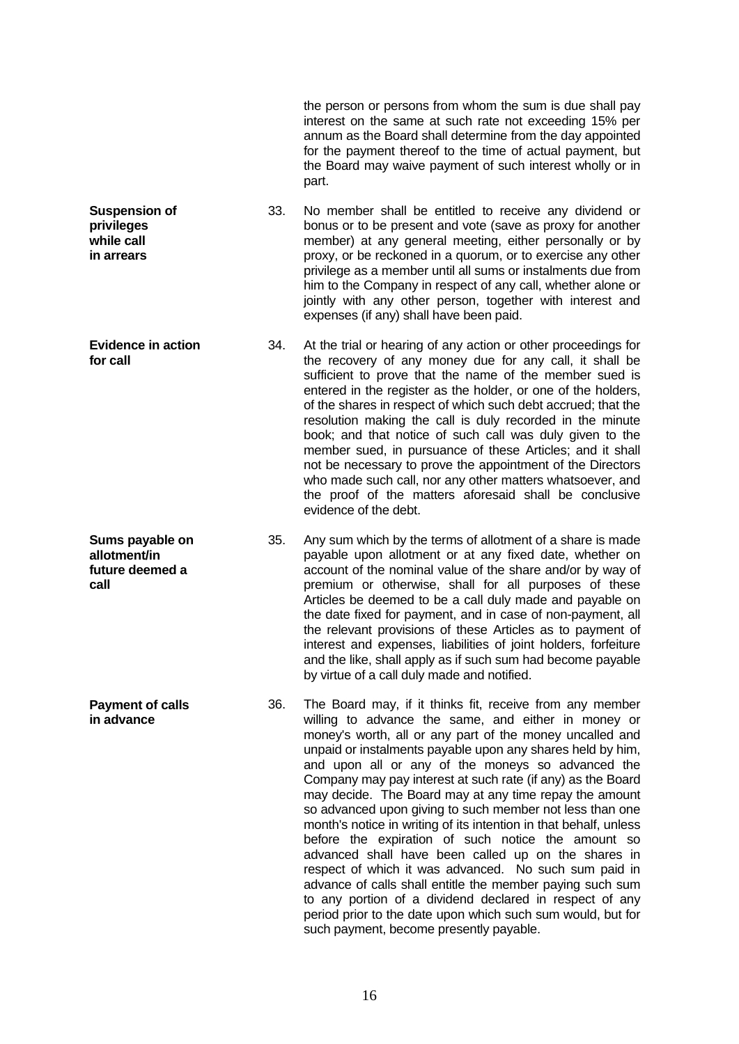the person or persons from whom the sum is due shall pay interest on the same at such rate not exceeding 15% per annum as the Board shall determine from the day appointed for the payment thereof to the time of actual payment, but the Board may waive payment of such interest wholly or in part. **Suspension of privileges while call in arrears** 33. No member shall be entitled to receive any dividend or bonus or to be present and vote (save as proxy for another member) at any general meeting, either personally or by proxy, or be reckoned in a quorum, or to exercise any other privilege as a member until all sums or instalments due from him to the Company in respect of any call, whether alone or jointly with any other person, together with interest and expenses (if any) shall have been paid. **Evidence in action for call** 34. At the trial or hearing of any action or other proceedings for the recovery of any money due for any call, it shall be sufficient to prove that the name of the member sued is entered in the register as the holder, or one of the holders, of the shares in respect of which such debt accrued; that the resolution making the call is duly recorded in the minute book; and that notice of such call was duly given to the member sued, in pursuance of these Articles; and it shall not be necessary to prove the appointment of the Directors who made such call, nor any other matters whatsoever, and the proof of the matters aforesaid shall be conclusive evidence of the debt. **Sums payable on allotment/in future deemed a call** 35. Any sum which by the terms of allotment of a share is made payable upon allotment or at any fixed date, whether on account of the nominal value of the share and/or by way of premium or otherwise, shall for all purposes of these Articles be deemed to be a call duly made and payable on the date fixed for payment, and in case of non-payment, all the relevant provisions of these Articles as to payment of interest and expenses, liabilities of joint holders, forfeiture and the like, shall apply as if such sum had become payable by virtue of a call duly made and notified. **Payment of calls in advance** 36. The Board may, if it thinks fit, receive from any member willing to advance the same, and either in money or money's worth, all or any part of the money uncalled and unpaid or instalments payable upon any shares held by him, and upon all or any of the moneys so advanced the Company may pay interest at such rate (if any) as the Board may decide. The Board may at any time repay the amount so advanced upon giving to such member not less than one month's notice in writing of its intention in that behalf, unless before the expiration of such notice the amount so advanced shall have been called up on the shares in respect of which it was advanced. No such sum paid in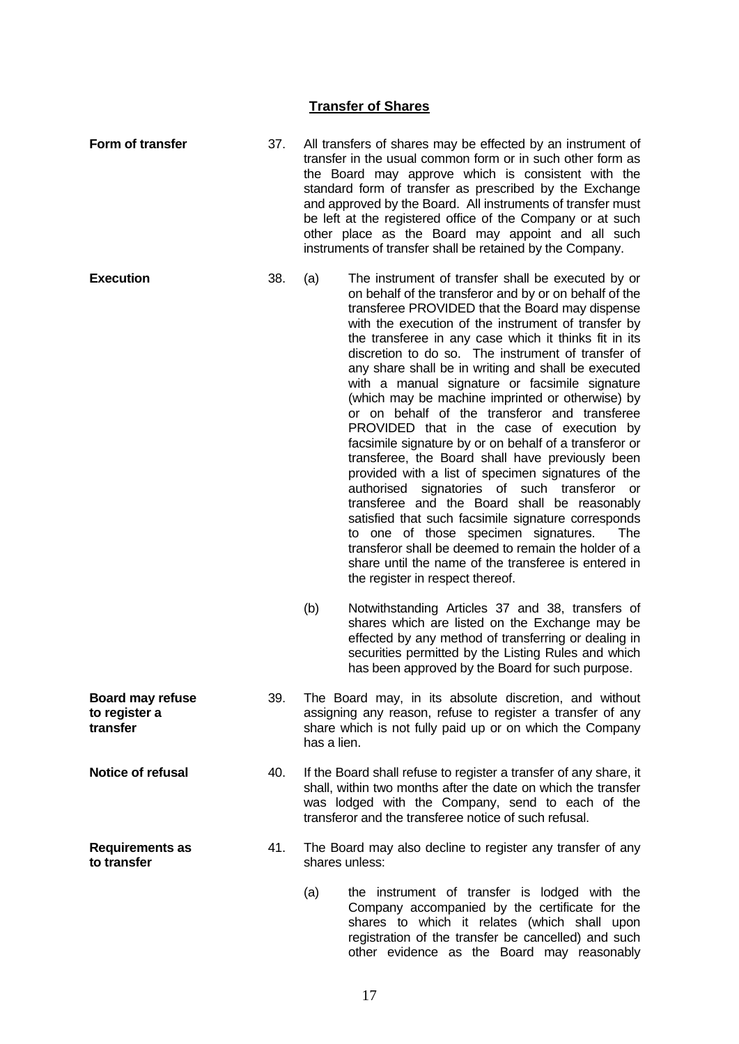### **Transfer of Shares**

- **Form of transfer** 37. All transfers of shares may be effected by an instrument of transfer in the usual common form or in such other form as the Board may approve which is consistent with the standard form of transfer as prescribed by the Exchange and approved by the Board. All instruments of transfer must be left at the registered office of the Company or at such other place as the Board may appoint and all such instruments of transfer shall be retained by the Company.
- **Execution** 38. (a) The instrument of transfer shall be executed by or on behalf of the transferor and by or on behalf of the transferee PROVIDED that the Board may dispense with the execution of the instrument of transfer by the transferee in any case which it thinks fit in its discretion to do so. The instrument of transfer of any share shall be in writing and shall be executed with a manual signature or facsimile signature (which may be machine imprinted or otherwise) by or on behalf of the transferor and transferee PROVIDED that in the case of execution by facsimile signature by or on behalf of a transferor or transferee, the Board shall have previously been provided with a list of specimen signatures of the authorised signatories of such transferor or transferee and the Board shall be reasonably satisfied that such facsimile signature corresponds to one of those specimen signatures. The transferor shall be deemed to remain the holder of a share until the name of the transferee is entered in the register in respect thereof.
	- (b) Notwithstanding Articles 37 and 38, transfers of shares which are listed on the Exchange may be effected by any method of transferring or dealing in securities permitted by the Listing Rules and which has been approved by the Board for such purpose.
	- 39. The Board may, in its absolute discretion, and without assigning any reason, refuse to register a transfer of any share which is not fully paid up or on which the Company has a lien.
- **Notice of refusal** 40. If the Board shall refuse to register a transfer of any share, it shall, within two months after the date on which the transfer was lodged with the Company, send to each of the transferor and the transferee notice of such refusal.
	- 41. The Board may also decline to register any transfer of any shares unless:
		- (a) the instrument of transfer is lodged with the Company accompanied by the certificate for the shares to which it relates (which shall upon registration of the transfer be cancelled) and such other evidence as the Board may reasonably

**Board may refuse to register a transfer**

**Requirements as** 

**to transfer**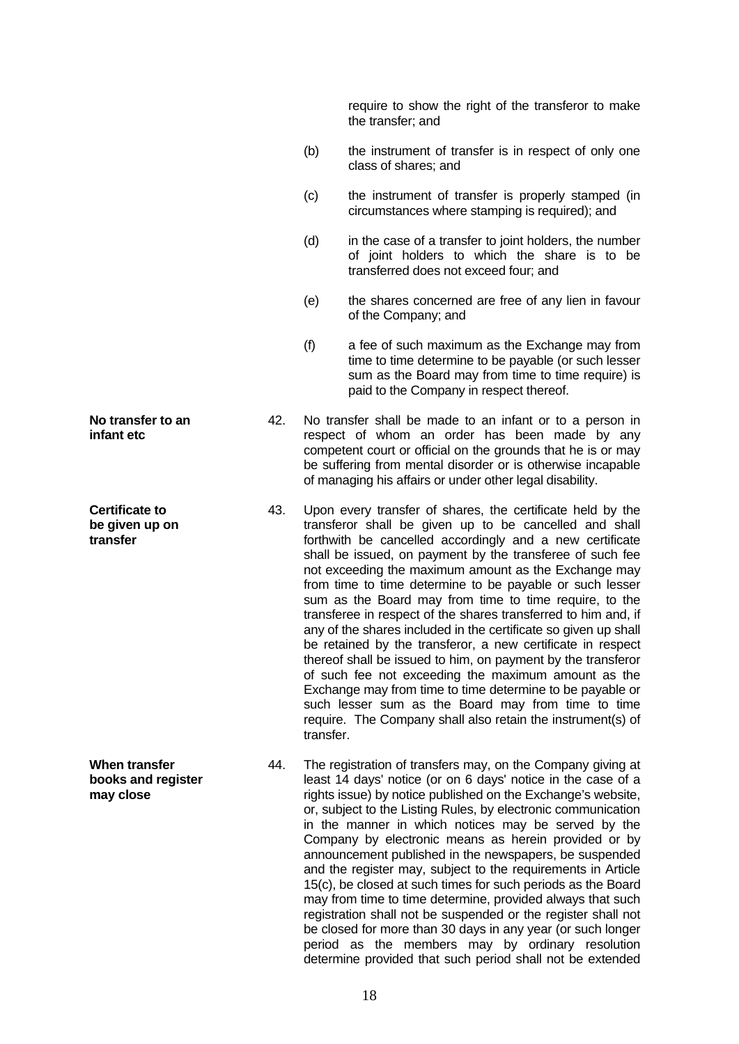require to show the right of the transferor to make the transfer; and

- (b) the instrument of transfer is in respect of only one class of shares; and
- (c) the instrument of transfer is properly stamped (in circumstances where stamping is required); and
- (d) in the case of a transfer to joint holders, the number of joint holders to which the share is to be transferred does not exceed four; and
- (e) the shares concerned are free of any lien in favour of the Company; and
- (f) a fee of such maximum as the Exchange may from time to time determine to be payable (or such lesser sum as the Board may from time to time require) is paid to the Company in respect thereof.
- 42. No transfer shall be made to an infant or to a person in respect of whom an order has been made by any competent court or official on the grounds that he is or may be suffering from mental disorder or is otherwise incapable of managing his affairs or under other legal disability.
	- 43. Upon every transfer of shares, the certificate held by the transferor shall be given up to be cancelled and shall forthwith be cancelled accordingly and a new certificate shall be issued, on payment by the transferee of such fee not exceeding the maximum amount as the Exchange may from time to time determine to be payable or such lesser sum as the Board may from time to time require, to the transferee in respect of the shares transferred to him and, if any of the shares included in the certificate so given up shall be retained by the transferor, a new certificate in respect thereof shall be issued to him, on payment by the transferor of such fee not exceeding the maximum amount as the Exchange may from time to time determine to be payable or such lesser sum as the Board may from time to time require. The Company shall also retain the instrument(s) of transfer.
- 44. The registration of transfers may, on the Company giving at least 14 days' notice (or on 6 days' notice in the case of a rights issue) by notice published on the Exchange's website, or, subject to the Listing Rules, by electronic communication in the manner in which notices may be served by the Company by electronic means as herein provided or by announcement published in the newspapers, be suspended and the register may, subject to the requirements in Article 15(c), be closed at such times for such periods as the Board may from time to time determine, provided always that such registration shall not be suspended or the register shall not be closed for more than 30 days in any year (or such longer period as the members may by ordinary resolution determine provided that such period shall not be extended

**No transfer to an infant etc**

**Certificate to be given up on transfer**

**When transfer books and register may close**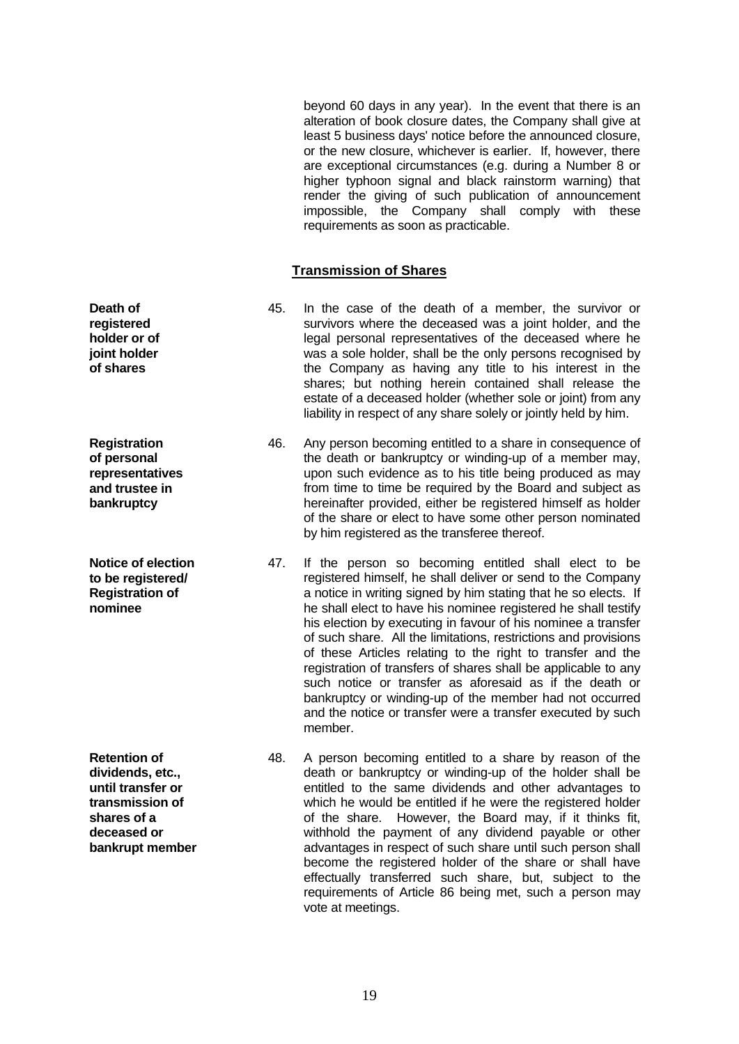beyond 60 days in any year). In the event that there is an alteration of book closure dates, the Company shall give at least 5 business days' notice before the announced closure, or the new closure, whichever is earlier. If, however, there are exceptional circumstances (e.g. during a Number 8 or higher typhoon signal and black rainstorm warning) that render the giving of such publication of announcement impossible, the Company shall comply with these requirements as soon as practicable.

#### **Transmission of Shares**

- 45. In the case of the death of a member, the survivor or survivors where the deceased was a joint holder, and the legal personal representatives of the deceased where he was a sole holder, shall be the only persons recognised by the Company as having any title to his interest in the shares; but nothing herein contained shall release the estate of a deceased holder (whether sole or joint) from any liability in respect of any share solely or jointly held by him.
	- 46. Any person becoming entitled to a share in consequence of the death or bankruptcy or winding-up of a member may, upon such evidence as to his title being produced as may from time to time be required by the Board and subject as hereinafter provided, either be registered himself as holder of the share or elect to have some other person nominated by him registered as the transferee thereof.
	- 47. If the person so becoming entitled shall elect to be registered himself, he shall deliver or send to the Company a notice in writing signed by him stating that he so elects. If he shall elect to have his nominee registered he shall testify his election by executing in favour of his nominee a transfer of such share. All the limitations, restrictions and provisions of these Articles relating to the right to transfer and the registration of transfers of shares shall be applicable to any such notice or transfer as aforesaid as if the death or bankruptcy or winding-up of the member had not occurred and the notice or transfer were a transfer executed by such member.
	- 48. A person becoming entitled to a share by reason of the death or bankruptcy or winding-up of the holder shall be entitled to the same dividends and other advantages to which he would be entitled if he were the registered holder of the share. However, the Board may, if it thinks fit, withhold the payment of any dividend payable or other advantages in respect of such share until such person shall become the registered holder of the share or shall have effectually transferred such share, but, subject to the requirements of Article 86 being met, such a person may vote at meetings.

**Registration of personal representatives and trustee in bankruptcy Notice of election to be registered/ Registration of nominee**

**Death of registered holder or of joint holder of shares**

**Retention of dividends, etc., until transfer or transmission of shares of a deceased or bankrupt member**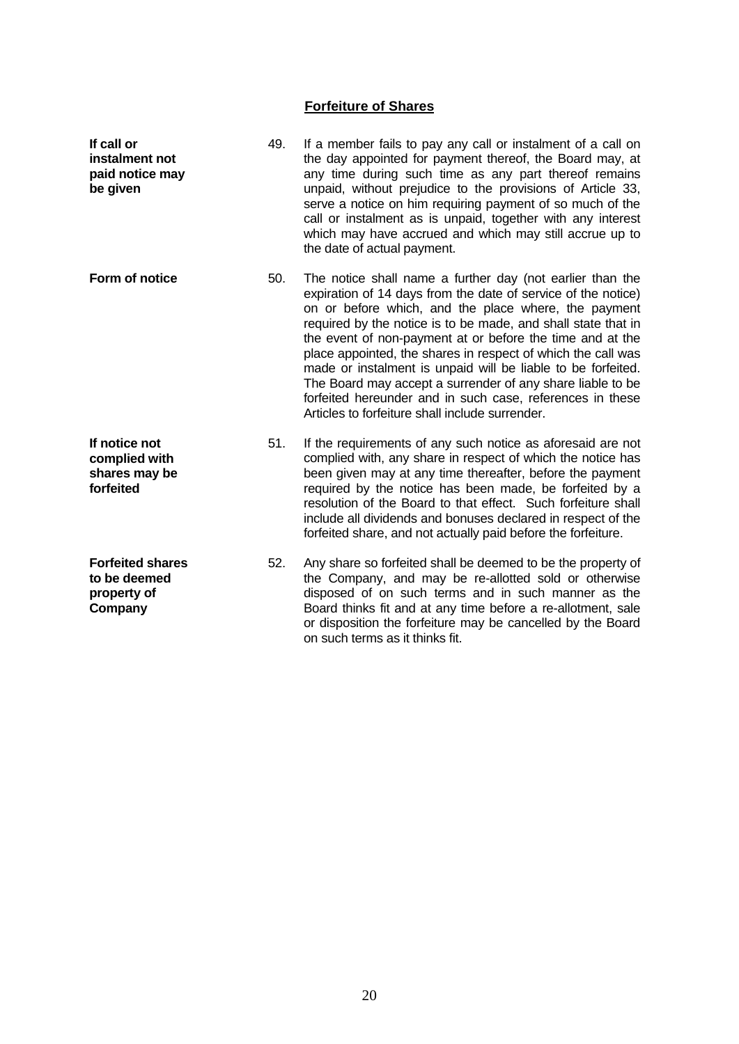# **Forfeiture of Shares**

| If call or<br>instalment not<br>paid notice may<br>be given       | 49. | If a member fails to pay any call or instalment of a call on<br>the day appointed for payment thereof, the Board may, at<br>any time during such time as any part thereof remains<br>unpaid, without prejudice to the provisions of Article 33,<br>serve a notice on him requiring payment of so much of the<br>call or instalment as is unpaid, together with any interest<br>which may have accrued and which may still accrue up to<br>the date of actual payment.                                                                                                                                                          |
|-------------------------------------------------------------------|-----|--------------------------------------------------------------------------------------------------------------------------------------------------------------------------------------------------------------------------------------------------------------------------------------------------------------------------------------------------------------------------------------------------------------------------------------------------------------------------------------------------------------------------------------------------------------------------------------------------------------------------------|
| Form of notice                                                    | 50. | The notice shall name a further day (not earlier than the<br>expiration of 14 days from the date of service of the notice)<br>on or before which, and the place where, the payment<br>required by the notice is to be made, and shall state that in<br>the event of non-payment at or before the time and at the<br>place appointed, the shares in respect of which the call was<br>made or instalment is unpaid will be liable to be forfeited.<br>The Board may accept a surrender of any share liable to be<br>forfeited hereunder and in such case, references in these<br>Articles to forfeiture shall include surrender. |
| If notice not<br>complied with<br>shares may be<br>forfeited      | 51. | If the requirements of any such notice as aforesaid are not<br>complied with, any share in respect of which the notice has<br>been given may at any time thereafter, before the payment<br>required by the notice has been made, be forfeited by a<br>resolution of the Board to that effect. Such forfeiture shall<br>include all dividends and bonuses declared in respect of the<br>forfeited share, and not actually paid before the forfeiture.                                                                                                                                                                           |
| <b>Forfeited shares</b><br>to be deemed<br>property of<br>Company | 52. | Any share so forfeited shall be deemed to be the property of<br>the Company, and may be re-allotted sold or otherwise<br>disposed of on such terms and in such manner as the<br>Board thinks fit and at any time before a re-allotment, sale<br>or disposition the forfeiture may be cancelled by the Board<br>on such terms as it thinks fit.                                                                                                                                                                                                                                                                                 |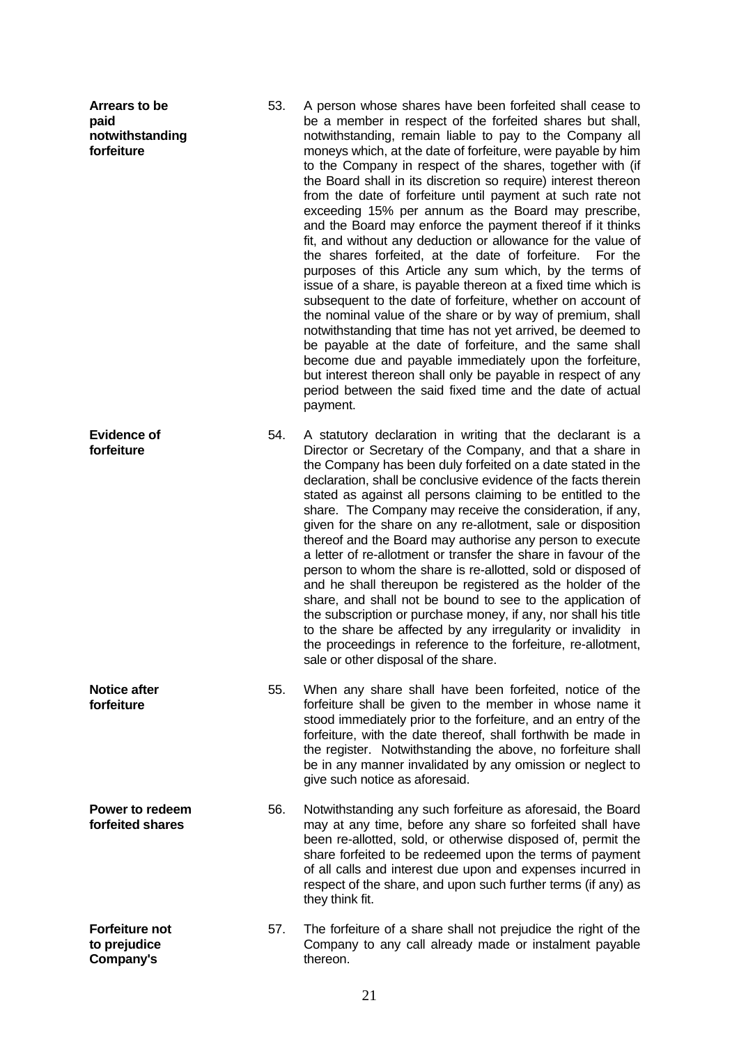| Arrears to be<br>paid<br>notwithstanding<br>forfeiture | 53. | A person whose shares have been forfeited shall cease to<br>be a member in respect of the forfeited shares but shall,<br>notwithstanding, remain liable to pay to the Company all<br>moneys which, at the date of forfeiture, were payable by him<br>to the Company in respect of the shares, together with (if<br>the Board shall in its discretion so require) interest thereon<br>from the date of forfeiture until payment at such rate not<br>exceeding 15% per annum as the Board may prescribe,<br>and the Board may enforce the payment thereof if it thinks<br>fit, and without any deduction or allowance for the value of<br>the shares forfeited, at the date of forfeiture.<br>For the<br>purposes of this Article any sum which, by the terms of<br>issue of a share, is payable thereon at a fixed time which is<br>subsequent to the date of forfeiture, whether on account of<br>the nominal value of the share or by way of premium, shall<br>notwithstanding that time has not yet arrived, be deemed to<br>be payable at the date of forfeiture, and the same shall<br>become due and payable immediately upon the forfeiture,<br>but interest thereon shall only be payable in respect of any<br>period between the said fixed time and the date of actual<br>payment. |
|--------------------------------------------------------|-----|---------------------------------------------------------------------------------------------------------------------------------------------------------------------------------------------------------------------------------------------------------------------------------------------------------------------------------------------------------------------------------------------------------------------------------------------------------------------------------------------------------------------------------------------------------------------------------------------------------------------------------------------------------------------------------------------------------------------------------------------------------------------------------------------------------------------------------------------------------------------------------------------------------------------------------------------------------------------------------------------------------------------------------------------------------------------------------------------------------------------------------------------------------------------------------------------------------------------------------------------------------------------------------------------|
| <b>Evidence of</b><br>forfeiture                       | 54. | A statutory declaration in writing that the declarant is a<br>Director or Secretary of the Company, and that a share in<br>the Company has been duly forfeited on a date stated in the<br>declaration, shall be conclusive evidence of the facts therein<br>stated as against all persons claiming to be entitled to the<br>share. The Company may receive the consideration, if any,<br>given for the share on any re-allotment, sale or disposition<br>thereof and the Board may authorise any person to execute<br>a letter of re-allotment or transfer the share in favour of the<br>person to whom the share is re-allotted, sold or disposed of<br>and he shall thereupon be registered as the holder of the<br>share, and shall not be bound to see to the application of<br>the subscription or purchase money, if any, nor shall his title<br>to the share be affected by any irregularity or invalidity in<br>the proceedings in reference to the forfeiture, re-allotment,<br>sale or other disposal of the share.                                                                                                                                                                                                                                                               |
| <b>Notice after</b><br>forfeiture                      | 55. | When any share shall have been forfeited, notice of the<br>forfeiture shall be given to the member in whose name it<br>stood immediately prior to the forfeiture, and an entry of the<br>forfeiture, with the date thereof, shall forthwith be made in<br>the register. Notwithstanding the above, no forfeiture shall<br>be in any manner invalidated by any omission or neglect to<br>give such notice as aforesaid.                                                                                                                                                                                                                                                                                                                                                                                                                                                                                                                                                                                                                                                                                                                                                                                                                                                                      |
| Power to redeem<br>forfeited shares                    | 56. | Notwithstanding any such forfeiture as aforesaid, the Board<br>may at any time, before any share so forfeited shall have<br>been re-allotted, sold, or otherwise disposed of, permit the<br>share forfeited to be redeemed upon the terms of payment<br>of all calls and interest due upon and expenses incurred in<br>respect of the share, and upon such further terms (if any) as<br>they think fit.                                                                                                                                                                                                                                                                                                                                                                                                                                                                                                                                                                                                                                                                                                                                                                                                                                                                                     |
| <b>Forfeiture not</b><br>to prejudice<br>Company's     | 57. | The forfeiture of a share shall not prejudice the right of the<br>Company to any call already made or instalment payable<br>thereon.                                                                                                                                                                                                                                                                                                                                                                                                                                                                                                                                                                                                                                                                                                                                                                                                                                                                                                                                                                                                                                                                                                                                                        |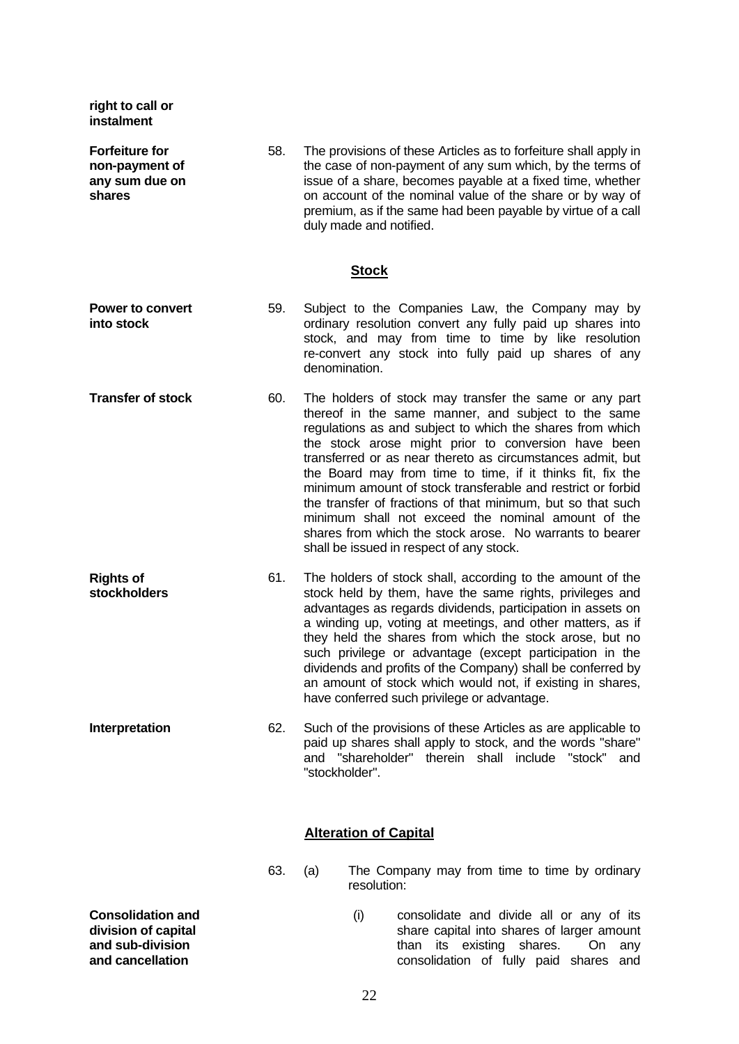| right to call or<br>instalment                                      |     |                                                                                                                                                                                                                                                                                                                                                                                                                                                                                                                                                                                                                                                           |
|---------------------------------------------------------------------|-----|-----------------------------------------------------------------------------------------------------------------------------------------------------------------------------------------------------------------------------------------------------------------------------------------------------------------------------------------------------------------------------------------------------------------------------------------------------------------------------------------------------------------------------------------------------------------------------------------------------------------------------------------------------------|
| <b>Forfeiture for</b><br>non-payment of<br>any sum due on<br>shares | 58. | The provisions of these Articles as to forfeiture shall apply in<br>the case of non-payment of any sum which, by the terms of<br>issue of a share, becomes payable at a fixed time, whether<br>on account of the nominal value of the share or by way of<br>premium, as if the same had been payable by virtue of a call<br>duly made and notified.                                                                                                                                                                                                                                                                                                       |
|                                                                     |     | <b>Stock</b>                                                                                                                                                                                                                                                                                                                                                                                                                                                                                                                                                                                                                                              |
| <b>Power to convert</b><br>into stock                               | 59. | Subject to the Companies Law, the Company may by<br>ordinary resolution convert any fully paid up shares into<br>stock, and may from time to time by like resolution<br>re-convert any stock into fully paid up shares of any<br>denomination.                                                                                                                                                                                                                                                                                                                                                                                                            |
| <b>Transfer of stock</b>                                            | 60. | The holders of stock may transfer the same or any part<br>thereof in the same manner, and subject to the same<br>regulations as and subject to which the shares from which<br>the stock arose might prior to conversion have been<br>transferred or as near thereto as circumstances admit, but<br>the Board may from time to time, if it thinks fit, fix the<br>minimum amount of stock transferable and restrict or forbid<br>the transfer of fractions of that minimum, but so that such<br>minimum shall not exceed the nominal amount of the<br>shares from which the stock arose. No warrants to bearer<br>shall be issued in respect of any stock. |
| <b>Rights of</b><br><b>stockholders</b>                             | 61. | The holders of stock shall, according to the amount of the<br>stock held by them, have the same rights, privileges and<br>advantages as regards dividends, participation in assets on<br>a winding up, voting at meetings, and other matters, as if<br>they held the shares from which the stock arose, but no<br>such privilege or advantage (except participation in the<br>dividends and profits of the Company) shall be conferred by<br>an amount of stock which would not, if existing in shares,<br>have conferred such privilege or advantage.                                                                                                    |
| Interpretation                                                      | 62. | Such of the provisions of these Articles as are applicable to<br>paid up shares shall apply to stock, and the words "share"<br>and "shareholder" therein shall include "stock"<br>and<br>"stockholder".                                                                                                                                                                                                                                                                                                                                                                                                                                                   |
|                                                                     |     | <b>Alteration of Capital</b>                                                                                                                                                                                                                                                                                                                                                                                                                                                                                                                                                                                                                              |
|                                                                     | 63. | The Company may from time to time by ordinary<br>(a)<br>resolution:                                                                                                                                                                                                                                                                                                                                                                                                                                                                                                                                                                                       |
| <b>Consolidation and</b><br>division of capital<br>and sub-division |     | (i)<br>consolidate and divide all or any of its<br>share capital into shares of larger amount<br>than its existing shares. On any                                                                                                                                                                                                                                                                                                                                                                                                                                                                                                                         |

**and cancellation**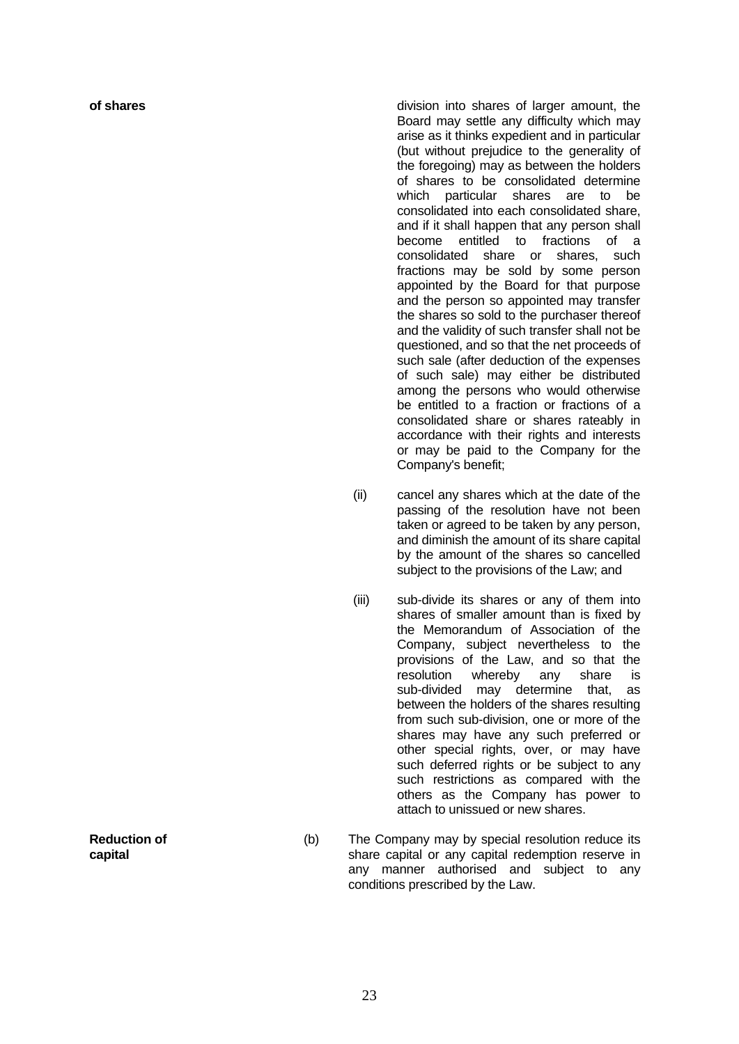**of shares of shares division into shares of larger amount, the** Board may settle any difficulty which may arise as it thinks expedient and in particular (but without prejudice to the generality of the foregoing) may as between the holders of shares to be consolidated determine which particular shares are to be consolidated into each consolidated share, and if it shall happen that any person shall become entitled to fractions of a consolidated share or shares, such fractions may be sold by some person appointed by the Board for that purpose and the person so appointed may transfer the shares so sold to the purchaser thereof and the validity of such transfer shall not be questioned, and so that the net proceeds of such sale (after deduction of the expenses of such sale) may either be distributed among the persons who would otherwise be entitled to a fraction or fractions of a consolidated share or shares rateably in accordance with their rights and interests or may be paid to the Company for the Company's benefit;

- (ii) cancel any shares which at the date of the passing of the resolution have not been taken or agreed to be taken by any person, and diminish the amount of its share capital by the amount of the shares so cancelled subject to the provisions of the Law; and
- (iii) sub-divide its shares or any of them into shares of smaller amount than is fixed by the Memorandum of Association of the Company, subject nevertheless to the provisions of the Law, and so that the resolution whereby any share is sub-divided may determine that, as between the holders of the shares resulting from such sub-division, one or more of the shares may have any such preferred or other special rights, over, or may have such deferred rights or be subject to any such restrictions as compared with the others as the Company has power to attach to unissued or new shares.
- (b) The Company may by special resolution reduce its share capital or any capital redemption reserve in any manner authorised and subject to any conditions prescribed by the Law.

**Reduction of capital**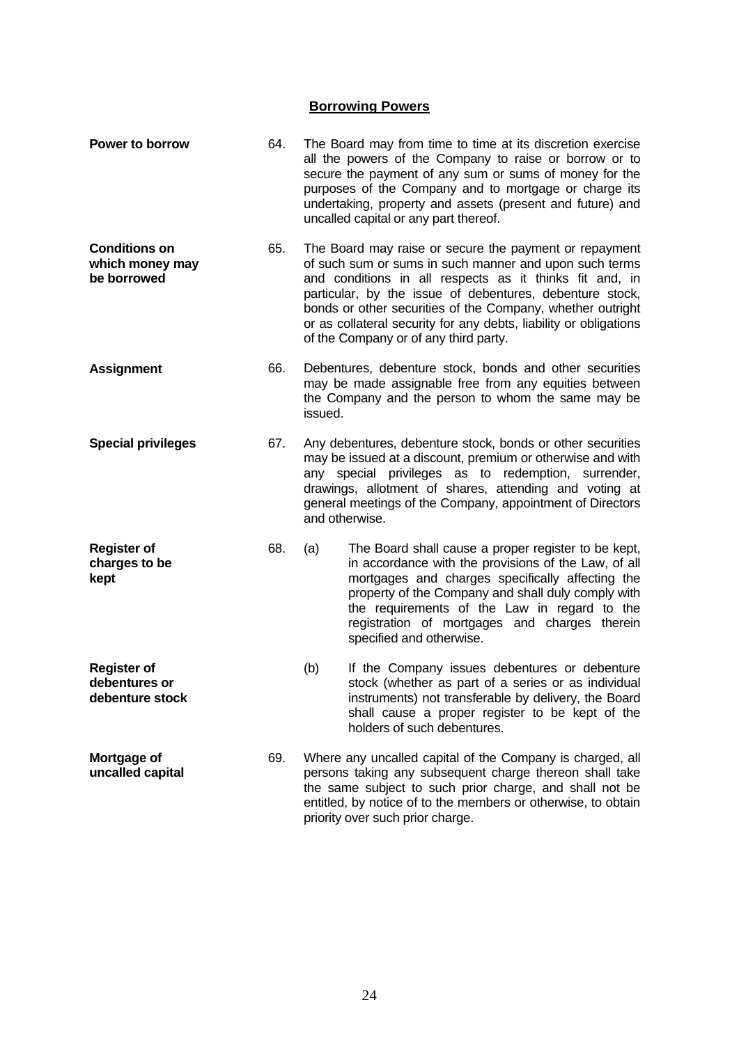# **Borrowing Powers**

| <b>Power to borrow</b>                                 | 64. |                                                                                                                                                                                                                                                                                                                          | The Board may from time to time at its discretion exercise<br>all the powers of the Company to raise or borrow or to<br>secure the payment of any sum or sums of money for the<br>purposes of the Company and to mortgage or charge its<br>undertaking, property and assets (present and future) and<br>uncalled capital or any part thereof.                                                                       |
|--------------------------------------------------------|-----|--------------------------------------------------------------------------------------------------------------------------------------------------------------------------------------------------------------------------------------------------------------------------------------------------------------------------|---------------------------------------------------------------------------------------------------------------------------------------------------------------------------------------------------------------------------------------------------------------------------------------------------------------------------------------------------------------------------------------------------------------------|
| <b>Conditions on</b><br>which money may<br>be borrowed | 65. |                                                                                                                                                                                                                                                                                                                          | The Board may raise or secure the payment or repayment<br>of such sum or sums in such manner and upon such terms<br>and conditions in all respects as it thinks fit and, in<br>particular, by the issue of debentures, debenture stock,<br>bonds or other securities of the Company, whether outright<br>or as collateral security for any debts, liability or obligations<br>of the Company or of any third party. |
| <b>Assignment</b>                                      | 66. | Debentures, debenture stock, bonds and other securities<br>may be made assignable free from any equities between<br>the Company and the person to whom the same may be<br>issued.                                                                                                                                        |                                                                                                                                                                                                                                                                                                                                                                                                                     |
| <b>Special privileges</b>                              | 67. | Any debentures, debenture stock, bonds or other securities<br>may be issued at a discount, premium or otherwise and with<br>any special privileges as to redemption, surrender,<br>drawings, allotment of shares, attending and voting at<br>general meetings of the Company, appointment of Directors<br>and otherwise. |                                                                                                                                                                                                                                                                                                                                                                                                                     |
| <b>Register of</b><br>charges to be<br>kept            | 68. | (a)                                                                                                                                                                                                                                                                                                                      | The Board shall cause a proper register to be kept,<br>in accordance with the provisions of the Law, of all<br>mortgages and charges specifically affecting the<br>property of the Company and shall duly comply with<br>the requirements of the Law in regard to the<br>registration of mortgages and charges therein<br>specified and otherwise.                                                                  |
| <b>Register of</b><br>debentures or<br>debenture stock |     | (b)                                                                                                                                                                                                                                                                                                                      | If the Company issues debentures or debenture<br>stock (whether as part of a series or as individual<br>instruments) not transferable by delivery, the Board<br>shall cause a proper register to be kept of the<br>holders of such debentures.                                                                                                                                                                      |
| Mortgage of<br>uncalled capital                        | 69. |                                                                                                                                                                                                                                                                                                                          | Where any uncalled capital of the Company is charged, all<br>persons taking any subsequent charge thereon shall take<br>the same subject to such prior charge, and shall not be<br>entitled, by notice of to the members or otherwise, to obtain<br>priority over such prior charge.                                                                                                                                |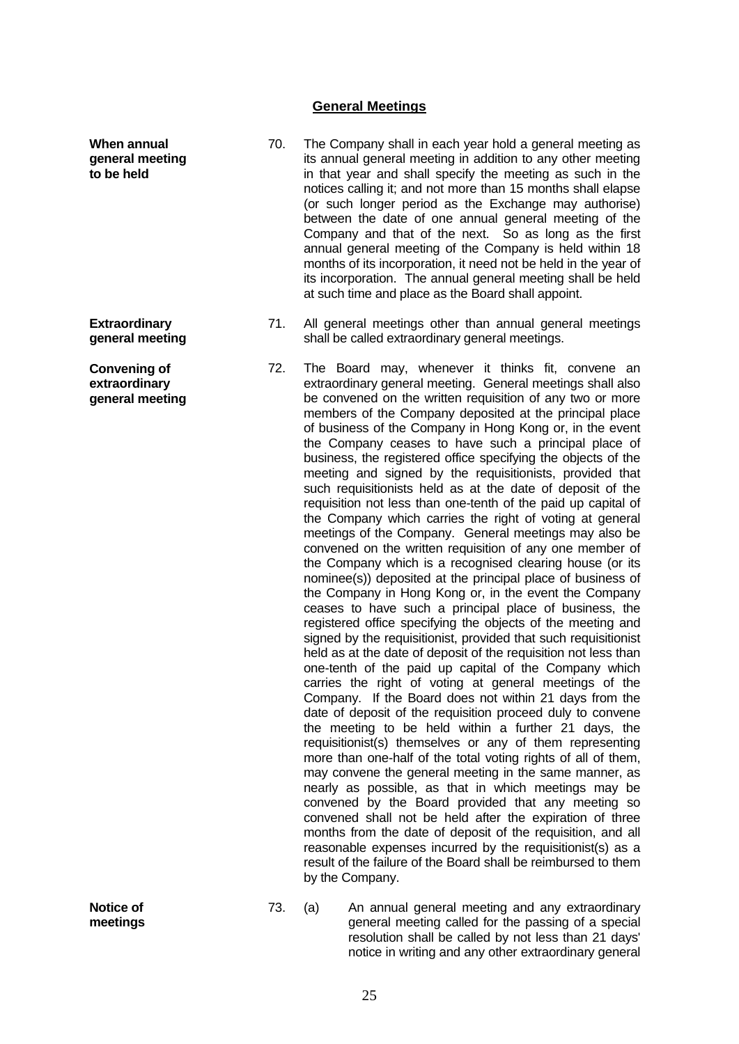## **General Meetings**

- 70. The Company shall in each year hold a general meeting as its annual general meeting in addition to any other meeting in that year and shall specify the meeting as such in the notices calling it; and not more than 15 months shall elapse (or such longer period as the Exchange may authorise) between the date of one annual general meeting of the Company and that of the next. So as long as the first annual general meeting of the Company is held within 18 months of its incorporation, it need not be held in the year of its incorporation. The annual general meeting shall be held at such time and place as the Board shall appoint.
	- 71. All general meetings other than annual general meetings shall be called extraordinary general meetings.
	- 72. The Board may, whenever it thinks fit, convene an extraordinary general meeting. General meetings shall also be convened on the written requisition of any two or more members of the Company deposited at the principal place of business of the Company in Hong Kong or, in the event the Company ceases to have such a principal place of business, the registered office specifying the objects of the meeting and signed by the requisitionists, provided that such requisitionists held as at the date of deposit of the requisition not less than one-tenth of the paid up capital of the Company which carries the right of voting at general meetings of the Company. General meetings may also be convened on the written requisition of any one member of the Company which is a recognised clearing house (or its nominee(s)) deposited at the principal place of business of the Company in Hong Kong or, in the event the Company ceases to have such a principal place of business, the registered office specifying the objects of the meeting and signed by the requisitionist, provided that such requisitionist held as at the date of deposit of the requisition not less than one-tenth of the paid up capital of the Company which carries the right of voting at general meetings of the Company. If the Board does not within 21 days from the date of deposit of the requisition proceed duly to convene the meeting to be held within a further 21 days, the requisitionist(s) themselves or any of them representing more than one-half of the total voting rights of all of them, may convene the general meeting in the same manner, as nearly as possible, as that in which meetings may be convened by the Board provided that any meeting so convened shall not be held after the expiration of three months from the date of deposit of the requisition, and all reasonable expenses incurred by the requisitionist(s) as a result of the failure of the Board shall be reimbursed to them by the Company.

**Notice of meetings** 73. (a) An annual general meeting and any extraordinary general meeting called for the passing of a special resolution shall be called by not less than 21 days' notice in writing and any other extraordinary general

**Extraordinary general meeting**

**When annual general meeting to be held**

**Convening of extraordinary general meeting**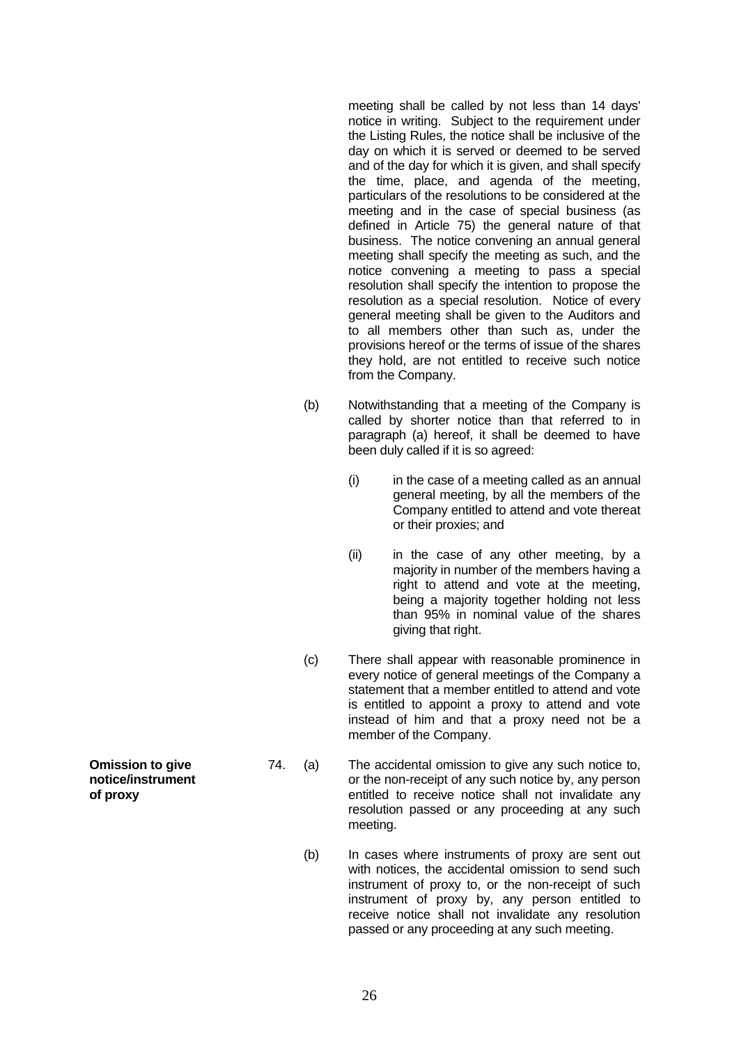meeting shall be called by not less than 14 days' notice in writing. Subject to the requirement under the Listing Rules, the notice shall be inclusive of the day on which it is served or deemed to be served and of the day for which it is given, and shall specify the time, place, and agenda of the meeting, particulars of the resolutions to be considered at the meeting and in the case of special business (as defined in Article 75) the general nature of that business. The notice convening an annual general meeting shall specify the meeting as such, and the notice convening a meeting to pass a special resolution shall specify the intention to propose the resolution as a special resolution. Notice of every general meeting shall be given to the Auditors and to all members other than such as, under the provisions hereof or the terms of issue of the shares they hold, are not entitled to receive such notice from the Company.

- (b) Notwithstanding that a meeting of the Company is called by shorter notice than that referred to in paragraph (a) hereof, it shall be deemed to have been duly called if it is so agreed:
	- $(i)$  in the case of a meeting called as an annual general meeting, by all the members of the Company entitled to attend and vote thereat or their proxies; and
	- (ii) in the case of any other meeting, by a majority in number of the members having a right to attend and vote at the meeting, being a majority together holding not less than 95% in nominal value of the shares giving that right.
- (c) There shall appear with reasonable prominence in every notice of general meetings of the Company a statement that a member entitled to attend and vote is entitled to appoint a proxy to attend and vote instead of him and that a proxy need not be a member of the Company.
- 74. (a) The accidental omission to give any such notice to, or the non-receipt of any such notice by, any person entitled to receive notice shall not invalidate any resolution passed or any proceeding at any such meeting.
	- (b) In cases where instruments of proxy are sent out with notices, the accidental omission to send such instrument of proxy to, or the non-receipt of such instrument of proxy by, any person entitled to receive notice shall not invalidate any resolution passed or any proceeding at any such meeting.

**Omission to give notice/instrument of proxy**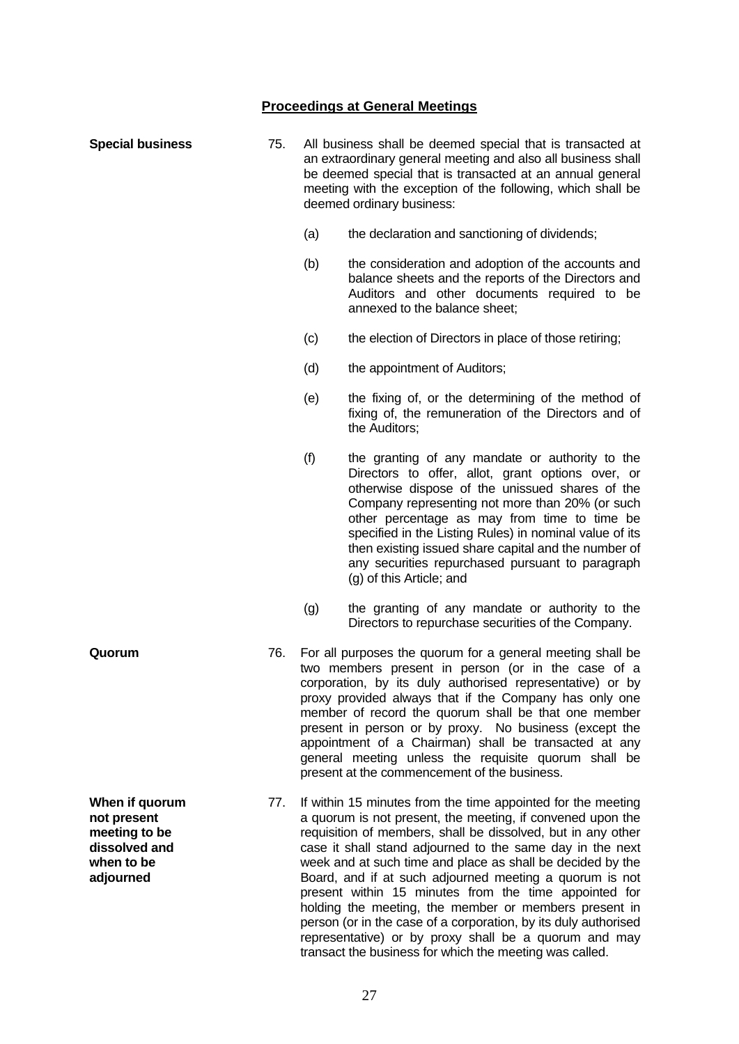## **Proceedings at General Meetings**

| <b>Special business</b>                                                                    | 75. | All business shall be deemed special that is transacted at<br>an extraordinary general meeting and also all business shall<br>be deemed special that is transacted at an annual general<br>meeting with the exception of the following, which shall be<br>deemed ordinary business:                                                                                                                                                                                                                                        |                                                                                                                                                                                                                                                                                                                                                                                                                                                               |
|--------------------------------------------------------------------------------------------|-----|----------------------------------------------------------------------------------------------------------------------------------------------------------------------------------------------------------------------------------------------------------------------------------------------------------------------------------------------------------------------------------------------------------------------------------------------------------------------------------------------------------------------------|---------------------------------------------------------------------------------------------------------------------------------------------------------------------------------------------------------------------------------------------------------------------------------------------------------------------------------------------------------------------------------------------------------------------------------------------------------------|
|                                                                                            |     | (a)                                                                                                                                                                                                                                                                                                                                                                                                                                                                                                                        | the declaration and sanctioning of dividends;                                                                                                                                                                                                                                                                                                                                                                                                                 |
|                                                                                            |     | (b)                                                                                                                                                                                                                                                                                                                                                                                                                                                                                                                        | the consideration and adoption of the accounts and<br>balance sheets and the reports of the Directors and<br>Auditors and other documents required to be<br>annexed to the balance sheet;                                                                                                                                                                                                                                                                     |
|                                                                                            |     | (c)                                                                                                                                                                                                                                                                                                                                                                                                                                                                                                                        | the election of Directors in place of those retiring;                                                                                                                                                                                                                                                                                                                                                                                                         |
|                                                                                            |     | (d)                                                                                                                                                                                                                                                                                                                                                                                                                                                                                                                        | the appointment of Auditors;                                                                                                                                                                                                                                                                                                                                                                                                                                  |
|                                                                                            |     | (e)                                                                                                                                                                                                                                                                                                                                                                                                                                                                                                                        | the fixing of, or the determining of the method of<br>fixing of, the remuneration of the Directors and of<br>the Auditors;                                                                                                                                                                                                                                                                                                                                    |
|                                                                                            |     | (f)                                                                                                                                                                                                                                                                                                                                                                                                                                                                                                                        | the granting of any mandate or authority to the<br>Directors to offer, allot, grant options over, or<br>otherwise dispose of the unissued shares of the<br>Company representing not more than 20% (or such<br>other percentage as may from time to time be<br>specified in the Listing Rules) in nominal value of its<br>then existing issued share capital and the number of<br>any securities repurchased pursuant to paragraph<br>(g) of this Article; and |
|                                                                                            |     | (g)                                                                                                                                                                                                                                                                                                                                                                                                                                                                                                                        | the granting of any mandate or authority to the<br>Directors to repurchase securities of the Company.                                                                                                                                                                                                                                                                                                                                                         |
| Quorum                                                                                     | 76. | For all purposes the quorum for a general meeting shall be<br>two members present in person (or in the case of a<br>corporation, by its duly authorised representative) or by<br>proxy provided always that if the Company has only one<br>member of record the quorum shall be that one member<br>present in person or by proxy. No business (except the<br>appointment of a Chairman) shall be transacted at any<br>general meeting unless the requisite quorum shall be<br>present at the commencement of the business. |                                                                                                                                                                                                                                                                                                                                                                                                                                                               |
| When if quorum<br>not present<br>meeting to be<br>dissolved and<br>when to be<br>adjourned | 77. |                                                                                                                                                                                                                                                                                                                                                                                                                                                                                                                            | If within 15 minutes from the time appointed for the meeting<br>a quorum is not present, the meeting, if convened upon the<br>requisition of members, shall be dissolved, but in any other<br>case it shall stand adjourned to the same day in the next<br>week and at such time and place as shall be decided by the<br>Board, and if at such adjourned meeting a quorum is not                                                                              |

present within 15 minutes from the time appointed for holding the meeting, the member or members present in person (or in the case of a corporation, by its duly authorised representative) or by proxy shall be a quorum and may transact the business for which the meeting was called.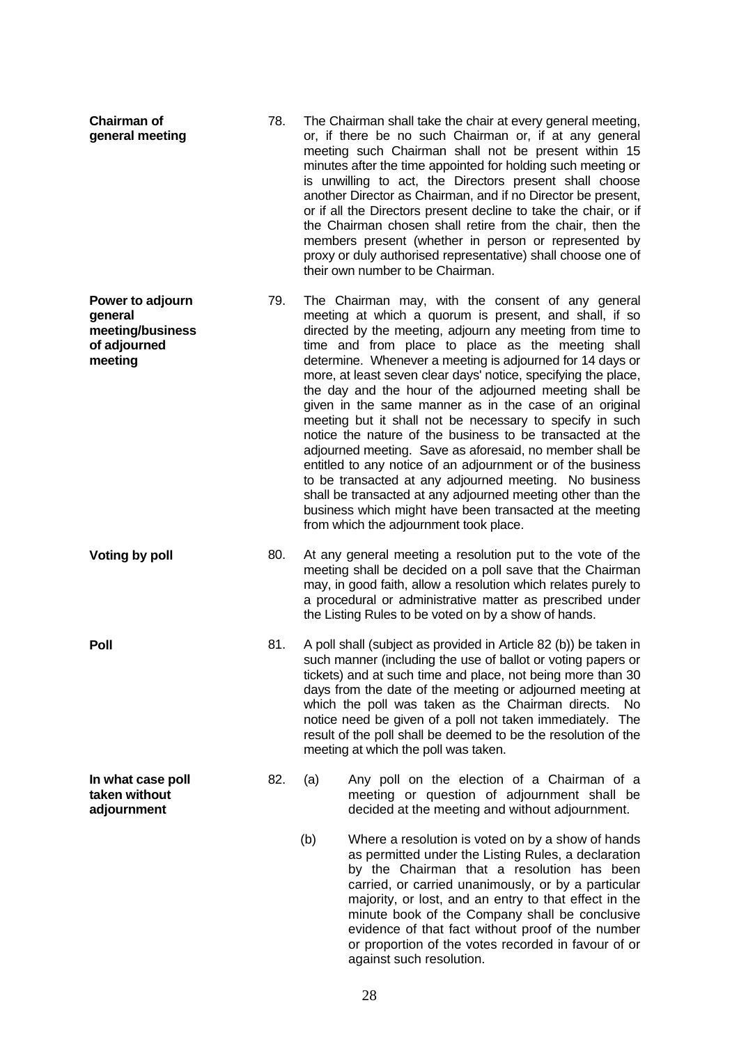| Chairman of<br>general meeting                                             | 78. |     | The Chairman shall take the chair at every general meeting,<br>or, if there be no such Chairman or, if at any general<br>meeting such Chairman shall not be present within 15<br>minutes after the time appointed for holding such meeting or<br>is unwilling to act, the Directors present shall choose<br>another Director as Chairman, and if no Director be present,<br>or if all the Directors present decline to take the chair, or if<br>the Chairman chosen shall retire from the chair, then the<br>members present (whether in person or represented by<br>proxy or duly authorised representative) shall choose one of<br>their own number to be Chairman.                                                                                                                                                                                                                                                                                               |
|----------------------------------------------------------------------------|-----|-----|---------------------------------------------------------------------------------------------------------------------------------------------------------------------------------------------------------------------------------------------------------------------------------------------------------------------------------------------------------------------------------------------------------------------------------------------------------------------------------------------------------------------------------------------------------------------------------------------------------------------------------------------------------------------------------------------------------------------------------------------------------------------------------------------------------------------------------------------------------------------------------------------------------------------------------------------------------------------|
| Power to adjourn<br>general<br>meeting/business<br>of adjourned<br>meeting | 79. |     | The Chairman may, with the consent of any general<br>meeting at which a quorum is present, and shall, if so<br>directed by the meeting, adjourn any meeting from time to<br>time and from place to place as the meeting shall<br>determine. Whenever a meeting is adjourned for 14 days or<br>more, at least seven clear days' notice, specifying the place,<br>the day and the hour of the adjourned meeting shall be<br>given in the same manner as in the case of an original<br>meeting but it shall not be necessary to specify in such<br>notice the nature of the business to be transacted at the<br>adjourned meeting. Save as aforesaid, no member shall be<br>entitled to any notice of an adjournment or of the business<br>to be transacted at any adjourned meeting. No business<br>shall be transacted at any adjourned meeting other than the<br>business which might have been transacted at the meeting<br>from which the adjournment took place. |
| <b>Voting by poll</b>                                                      | 80. |     | At any general meeting a resolution put to the vote of the<br>meeting shall be decided on a poll save that the Chairman<br>may, in good faith, allow a resolution which relates purely to<br>a procedural or administrative matter as prescribed under<br>the Listing Rules to be voted on by a show of hands.                                                                                                                                                                                                                                                                                                                                                                                                                                                                                                                                                                                                                                                      |
| <b>Poll</b>                                                                | 81. |     | A poll shall (subject as provided in Article 82 (b)) be taken in<br>such manner (including the use of ballot or voting papers or<br>tickets) and at such time and place, not being more than 30<br>days from the date of the meeting or adjourned meeting at<br>which the poll was taken as the Chairman directs.<br>No.<br>notice need be given of a poll not taken immediately. The<br>result of the poll shall be deemed to be the resolution of the<br>meeting at which the poll was taken.                                                                                                                                                                                                                                                                                                                                                                                                                                                                     |
| In what case poll<br>taken without<br>adjournment                          | 82. | (a) | Any poll on the election of a Chairman of a<br>meeting or question of adjournment shall be<br>decided at the meeting and without adjournment.                                                                                                                                                                                                                                                                                                                                                                                                                                                                                                                                                                                                                                                                                                                                                                                                                       |
|                                                                            |     | (b) | Where a resolution is voted on by a show of hands<br>as permitted under the Listing Rules, a declaration<br>by the Chairman that a resolution has been<br>carried, or carried unanimously, or by a particular<br>majority, or lost, and an entry to that effect in the<br>minute book of the Company shall be conclusive<br>evidence of that fact without proof of the number<br>or proportion of the votes recorded in favour of or<br>against such resolution.                                                                                                                                                                                                                                                                                                                                                                                                                                                                                                    |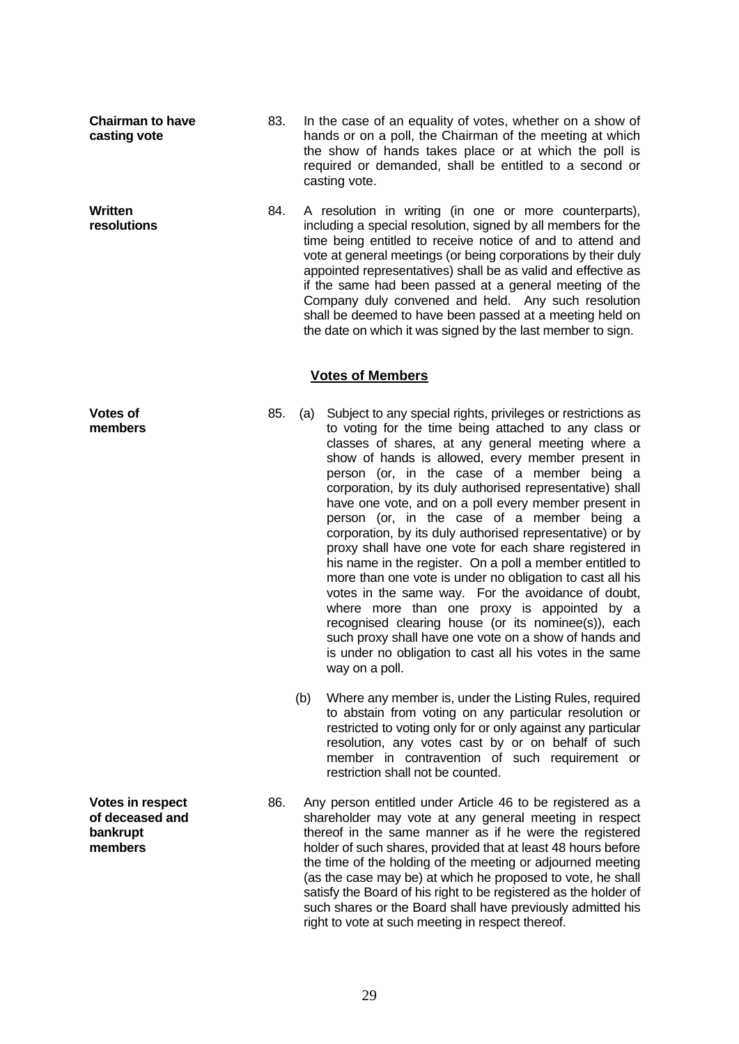**Chairman to have casting vote**

**Written resolutions**

required or demanded, shall be entitled to a second or casting vote. 84. A resolution in writing (in one or more counterparts), including a special resolution, signed by all members for the time being entitled to receive notice of and to attend and

83. In the case of an equality of votes, whether on a show of hands or on a poll, the Chairman of the meeting at which the show of hands takes place or at which the poll is

vote at general meetings (or being corporations by their duly appointed representatives) shall be as valid and effective as if the same had been passed at a general meeting of the Company duly convened and held. Any such resolution shall be deemed to have been passed at a meeting held on the date on which it was signed by the last member to sign.

## **Votes of Members**

- 85. (a) Subject to any special rights, privileges or restrictions as to voting for the time being attached to any class or classes of shares, at any general meeting where a show of hands is allowed, every member present in person (or, in the case of a member being a corporation, by its duly authorised representative) shall have one vote, and on a poll every member present in person (or, in the case of a member being a corporation, by its duly authorised representative) or by proxy shall have one vote for each share registered in his name in the register. On a poll a member entitled to more than one vote is under no obligation to cast all his votes in the same way. For the avoidance of doubt, where more than one proxy is appointed by a recognised clearing house (or its nominee(s)), each such proxy shall have one vote on a show of hands and is under no obligation to cast all his votes in the same way on a poll.
	- (b) Where any member is, under the Listing Rules, required to abstain from voting on any particular resolution or restricted to voting only for or only against any particular resolution, any votes cast by or on behalf of such member in contravention of such requirement or restriction shall not be counted.
	- 86. Any person entitled under Article 46 to be registered as a shareholder may vote at any general meeting in respect thereof in the same manner as if he were the registered holder of such shares, provided that at least 48 hours before the time of the holding of the meeting or adjourned meeting (as the case may be) at which he proposed to vote, he shall satisfy the Board of his right to be registered as the holder of such shares or the Board shall have previously admitted his right to vote at such meeting in respect thereof.

**Votes of members** 

**Votes in respect of deceased and bankrupt members**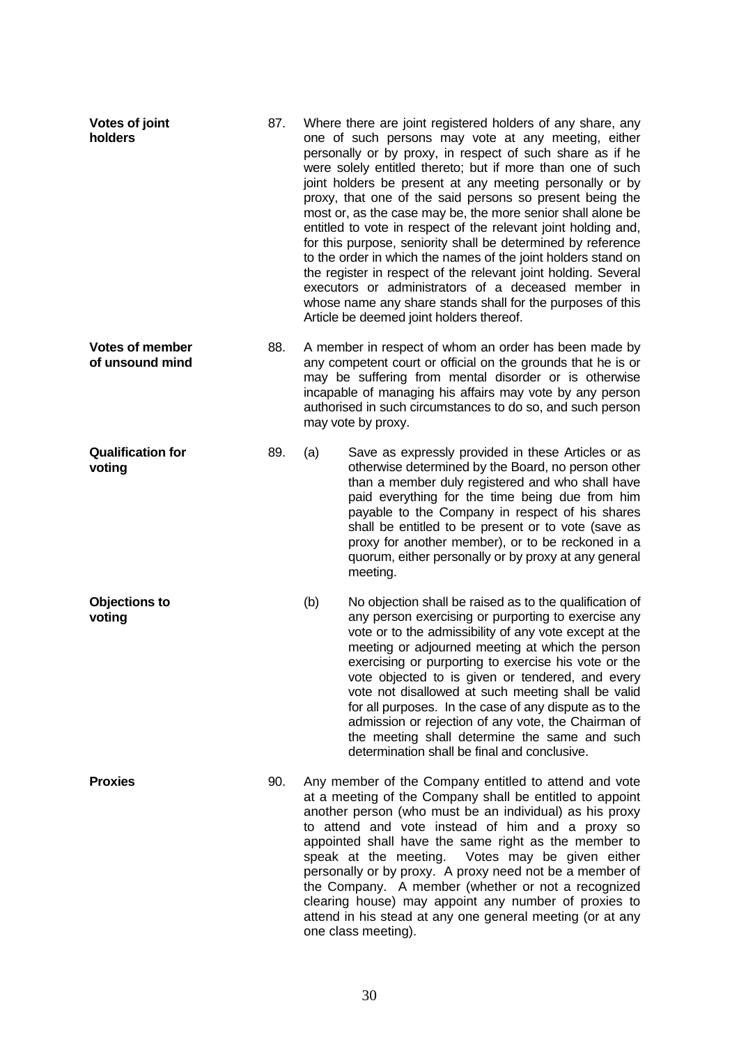| Votes of joint<br>holders                 | 87. | Where there are joint registered holders of any share, any<br>one of such persons may vote at any meeting, either<br>personally or by proxy, in respect of such share as if he<br>were solely entitled thereto; but if more than one of such<br>joint holders be present at any meeting personally or by<br>proxy, that one of the said persons so present being the<br>most or, as the case may be, the more senior shall alone be<br>entitled to vote in respect of the relevant joint holding and,<br>for this purpose, seniority shall be determined by reference<br>to the order in which the names of the joint holders stand on<br>the register in respect of the relevant joint holding. Several<br>executors or administrators of a deceased member in<br>whose name any share stands shall for the purposes of this<br>Article be deemed joint holders thereof. |                                                                                                                                                                                                                                                                                                                                                                                                                                                                                                                                                                                                                  |
|-------------------------------------------|-----|---------------------------------------------------------------------------------------------------------------------------------------------------------------------------------------------------------------------------------------------------------------------------------------------------------------------------------------------------------------------------------------------------------------------------------------------------------------------------------------------------------------------------------------------------------------------------------------------------------------------------------------------------------------------------------------------------------------------------------------------------------------------------------------------------------------------------------------------------------------------------|------------------------------------------------------------------------------------------------------------------------------------------------------------------------------------------------------------------------------------------------------------------------------------------------------------------------------------------------------------------------------------------------------------------------------------------------------------------------------------------------------------------------------------------------------------------------------------------------------------------|
| <b>Votes of member</b><br>of unsound mind | 88. | A member in respect of whom an order has been made by<br>any competent court or official on the grounds that he is or<br>may be suffering from mental disorder or is otherwise<br>incapable of managing his affairs may vote by any person<br>authorised in such circumstances to do so, and such person<br>may vote by proxy.                                                                                                                                                                                                                                                                                                                                                                                                                                                                                                                                            |                                                                                                                                                                                                                                                                                                                                                                                                                                                                                                                                                                                                                  |
| <b>Qualification for</b><br>voting        | 89. | (a)                                                                                                                                                                                                                                                                                                                                                                                                                                                                                                                                                                                                                                                                                                                                                                                                                                                                       | Save as expressly provided in these Articles or as<br>otherwise determined by the Board, no person other<br>than a member duly registered and who shall have<br>paid everything for the time being due from him<br>payable to the Company in respect of his shares<br>shall be entitled to be present or to vote (save as<br>proxy for another member), or to be reckoned in a<br>quorum, either personally or by proxy at any general<br>meeting.                                                                                                                                                               |
| <b>Objections to</b><br>voting            |     | (b)                                                                                                                                                                                                                                                                                                                                                                                                                                                                                                                                                                                                                                                                                                                                                                                                                                                                       | No objection shall be raised as to the qualification of<br>any person exercising or purporting to exercise any<br>vote or to the admissibility of any vote except at the<br>meeting or adjourned meeting at which the person<br>exercising or purporting to exercise his vote or the<br>vote objected to is given or tendered, and every<br>vote not disallowed at such meeting shall be valid<br>for all purposes. In the case of any dispute as to the<br>admission or rejection of any vote, the Chairman of<br>the meeting shall determine the same and such<br>determination shall be final and conclusive. |
| <b>Proxies</b>                            | 90. | Any member of the Company entitled to attend and vote<br>at a meeting of the Company shall be entitled to appoint<br>another person (who must be an individual) as his proxy<br>to attend and vote instead of him and a proxy so<br>appointed shall have the same right as the member to<br>speak at the meeting. Votes may be given either<br>personally or by proxy. A proxy need not be a member of<br>the Company. A member (whether or not a recognized<br>clearing house) may appoint any number of proxies to<br>attend in his stead at any one general meeting (or at any<br>one class meeting).                                                                                                                                                                                                                                                                  |                                                                                                                                                                                                                                                                                                                                                                                                                                                                                                                                                                                                                  |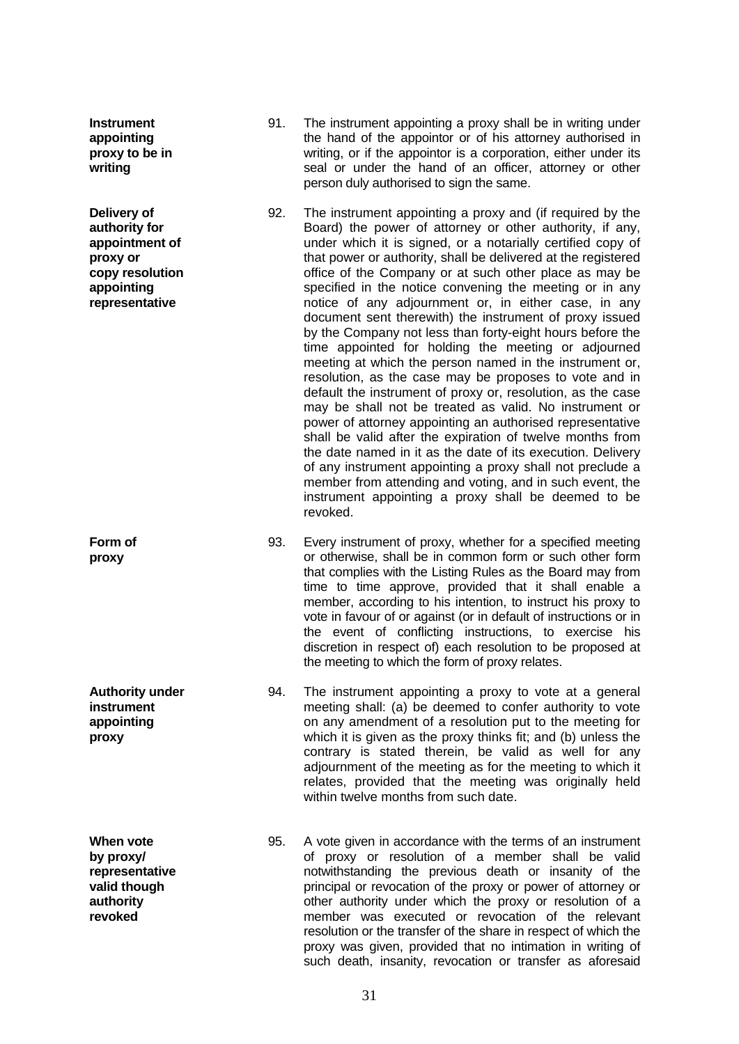| <b>Instrument</b><br>appointing<br>proxy to be in<br>writing                                                  | 91. | The instrument appointing a proxy shall be in writing under<br>the hand of the appointor or of his attorney authorised in<br>writing, or if the appointor is a corporation, either under its<br>seal or under the hand of an officer, attorney or other<br>person duly authorised to sign the same.                                                                                                                                                                                                                                                                                                                                                                                                                                                                                                                                                                                                                                                                                                                                                                                                                                                                                                                                                  |
|---------------------------------------------------------------------------------------------------------------|-----|------------------------------------------------------------------------------------------------------------------------------------------------------------------------------------------------------------------------------------------------------------------------------------------------------------------------------------------------------------------------------------------------------------------------------------------------------------------------------------------------------------------------------------------------------------------------------------------------------------------------------------------------------------------------------------------------------------------------------------------------------------------------------------------------------------------------------------------------------------------------------------------------------------------------------------------------------------------------------------------------------------------------------------------------------------------------------------------------------------------------------------------------------------------------------------------------------------------------------------------------------|
| Delivery of<br>authority for<br>appointment of<br>proxy or<br>copy resolution<br>appointing<br>representative | 92. | The instrument appointing a proxy and (if required by the<br>Board) the power of attorney or other authority, if any,<br>under which it is signed, or a notarially certified copy of<br>that power or authority, shall be delivered at the registered<br>office of the Company or at such other place as may be<br>specified in the notice convening the meeting or in any<br>notice of any adjournment or, in either case, in any<br>document sent therewith) the instrument of proxy issued<br>by the Company not less than forty-eight hours before the<br>time appointed for holding the meeting or adjourned<br>meeting at which the person named in the instrument or,<br>resolution, as the case may be proposes to vote and in<br>default the instrument of proxy or, resolution, as the case<br>may be shall not be treated as valid. No instrument or<br>power of attorney appointing an authorised representative<br>shall be valid after the expiration of twelve months from<br>the date named in it as the date of its execution. Delivery<br>of any instrument appointing a proxy shall not preclude a<br>member from attending and voting, and in such event, the<br>instrument appointing a proxy shall be deemed to be<br>revoked. |
| Form of<br>proxy                                                                                              | 93. | Every instrument of proxy, whether for a specified meeting<br>or otherwise, shall be in common form or such other form<br>that complies with the Listing Rules as the Board may from<br>time to time approve, provided that it shall enable a<br>member, according to his intention, to instruct his proxy to<br>vote in favour of or against (or in default of instructions or in<br>the event of conflicting instructions, to exercise his<br>discretion in respect of) each resolution to be proposed at<br>the meeting to which the form of proxy relates.                                                                                                                                                                                                                                                                                                                                                                                                                                                                                                                                                                                                                                                                                       |
| <b>Authority under</b><br>instrument<br>appointing<br>proxy                                                   | 94. | The instrument appointing a proxy to vote at a general<br>meeting shall: (a) be deemed to confer authority to vote<br>on any amendment of a resolution put to the meeting for<br>which it is given as the proxy thinks fit; and (b) unless the<br>contrary is stated therein, be valid as well for any<br>adjournment of the meeting as for the meeting to which it<br>relates, provided that the meeting was originally held<br>within twelve months from such date.                                                                                                                                                                                                                                                                                                                                                                                                                                                                                                                                                                                                                                                                                                                                                                                |
| When vote<br>by proxy/<br>representative<br>valid though<br>authority<br>revoked                              | 95. | A vote given in accordance with the terms of an instrument<br>of proxy or resolution of a member shall be valid<br>notwithstanding the previous death or insanity of the<br>principal or revocation of the proxy or power of attorney or<br>other authority under which the proxy or resolution of a<br>member was executed or revocation of the relevant<br>resolution or the transfer of the share in respect of which the<br>proxy was given, provided that no intimation in writing of                                                                                                                                                                                                                                                                                                                                                                                                                                                                                                                                                                                                                                                                                                                                                           |

such death, insanity, revocation or transfer as aforesaid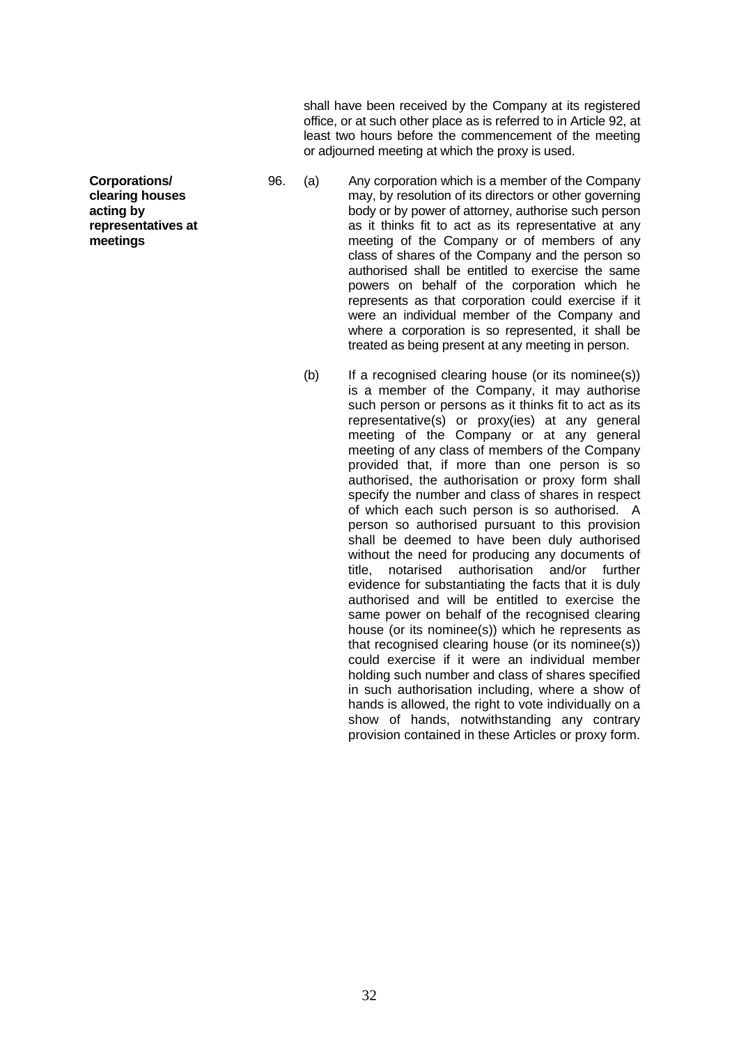shall have been received by the Company at its registered office, or at such other place as is referred to in Article 92, at least two hours before the commencement of the meeting or adjourned meeting at which the proxy is used.

- 96. (a) Any corporation which is a member of the Company may, by resolution of its directors or other governing body or by power of attorney, authorise such person as it thinks fit to act as its representative at any meeting of the Company or of members of any class of shares of the Company and the person so authorised shall be entitled to exercise the same powers on behalf of the corporation which he represents as that corporation could exercise if it were an individual member of the Company and where a corporation is so represented, it shall be treated as being present at any meeting in person.
	- (b) If a recognised clearing house (or its nominee(s)) is a member of the Company, it may authorise such person or persons as it thinks fit to act as its representative(s) or proxy(ies) at any general meeting of the Company or at any general meeting of any class of members of the Company provided that, if more than one person is so authorised, the authorisation or proxy form shall specify the number and class of shares in respect of which each such person is so authorised. A person so authorised pursuant to this provision shall be deemed to have been duly authorised without the need for producing any documents of title, notarised authorisation and/or further evidence for substantiating the facts that it is duly authorised and will be entitled to exercise the same power on behalf of the recognised clearing house (or its nominee(s)) which he represents as that recognised clearing house (or its nominee(s)) could exercise if it were an individual member holding such number and class of shares specified in such authorisation including, where a show of hands is allowed, the right to vote individually on a show of hands, notwithstanding any contrary provision contained in these Articles or proxy form.

**Corporations/ clearing houses acting by representatives at meetings**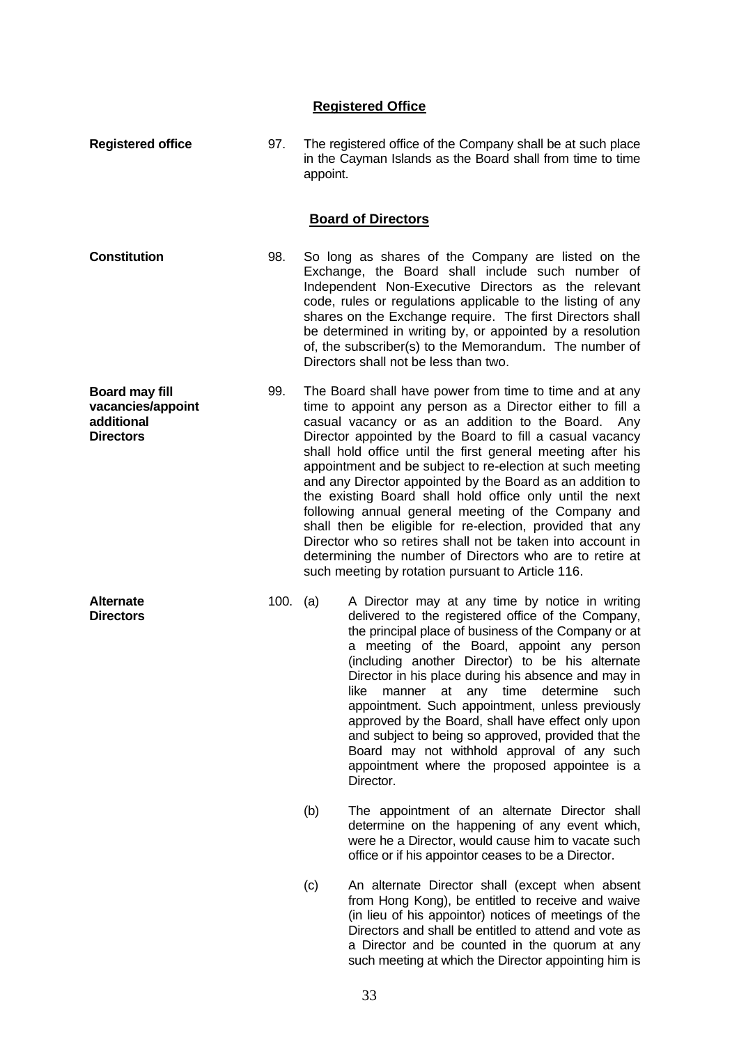# **Registered Office**

| <b>Registered office</b>                                                     | 97.      | appoint. | The registered office of the Company shall be at such place<br>in the Cayman Islands as the Board shall from time to time                                                                                                                                                                                                                                                                                                                                                                                                                                                                                                                                                                                                                                                                         |
|------------------------------------------------------------------------------|----------|----------|---------------------------------------------------------------------------------------------------------------------------------------------------------------------------------------------------------------------------------------------------------------------------------------------------------------------------------------------------------------------------------------------------------------------------------------------------------------------------------------------------------------------------------------------------------------------------------------------------------------------------------------------------------------------------------------------------------------------------------------------------------------------------------------------------|
|                                                                              |          |          | <b>Board of Directors</b>                                                                                                                                                                                                                                                                                                                                                                                                                                                                                                                                                                                                                                                                                                                                                                         |
| <b>Constitution</b>                                                          | 98.      |          | So long as shares of the Company are listed on the<br>Exchange, the Board shall include such number of<br>Independent Non-Executive Directors as the relevant<br>code, rules or regulations applicable to the listing of any<br>shares on the Exchange require. The first Directors shall<br>be determined in writing by, or appointed by a resolution<br>of, the subscriber(s) to the Memorandum. The number of<br>Directors shall not be less than two.                                                                                                                                                                                                                                                                                                                                         |
| <b>Board may fill</b><br>vacancies/appoint<br>additional<br><b>Directors</b> | 99.      |          | The Board shall have power from time to time and at any<br>time to appoint any person as a Director either to fill a<br>casual vacancy or as an addition to the Board.<br>Any<br>Director appointed by the Board to fill a casual vacancy<br>shall hold office until the first general meeting after his<br>appointment and be subject to re-election at such meeting<br>and any Director appointed by the Board as an addition to<br>the existing Board shall hold office only until the next<br>following annual general meeting of the Company and<br>shall then be eligible for re-election, provided that any<br>Director who so retires shall not be taken into account in<br>determining the number of Directors who are to retire at<br>such meeting by rotation pursuant to Article 116. |
| <b>Alternate</b><br><b>Directors</b>                                         | 100. (a) |          | A Director may at any time by notice in writing<br>delivered to the registered office of the Company,<br>the principal place of business of the Company or at<br>a meeting of the Board, appoint any person<br>(including another Director) to be his alternate<br>Director in his place during his absence and may in<br>like manner at any time determine such<br>appointment. Such appointment, unless previously<br>approved by the Board, shall have effect only upon<br>and subject to being so approved, provided that the<br>Board may not withhold approval of any such<br>appointment where the proposed appointee is a<br>Director.                                                                                                                                                    |
|                                                                              |          | (b)      | The appointment of an alternate Director shall<br>determine on the happening of any event which,<br>were he a Director, would cause him to vacate such<br>office or if his appointor ceases to be a Director.                                                                                                                                                                                                                                                                                                                                                                                                                                                                                                                                                                                     |
|                                                                              |          | (c)      | An alternate Director shall (except when absent<br>from Hong Kong), be entitled to receive and waive<br>(in lieu of his appointor) notices of meetings of the<br>Directors and shall be entitled to attend and vote as                                                                                                                                                                                                                                                                                                                                                                                                                                                                                                                                                                            |

a Director and be counted in the quorum at any such meeting at which the Director appointing him is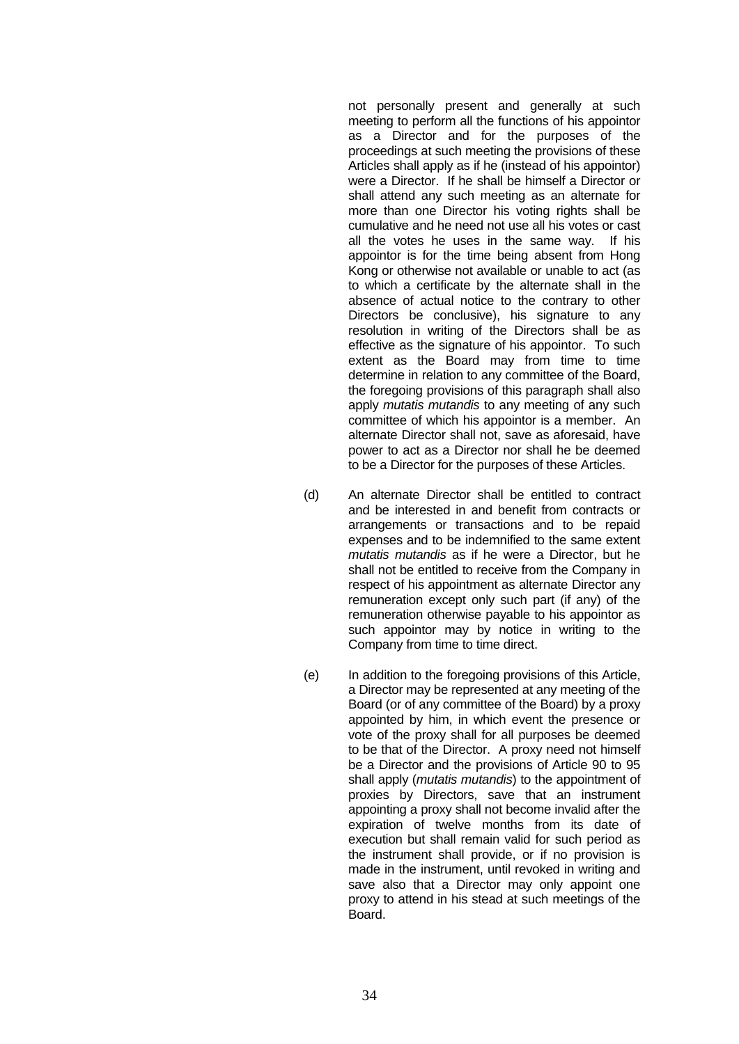not personally present and generally at such meeting to perform all the functions of his appointor as a Director and for the purposes of the proceedings at such meeting the provisions of these Articles shall apply as if he (instead of his appointor) were a Director. If he shall be himself a Director or shall attend any such meeting as an alternate for more than one Director his voting rights shall be cumulative and he need not use all his votes or cast all the votes he uses in the same way. If his appointor is for the time being absent from Hong Kong or otherwise not available or unable to act (as to which a certificate by the alternate shall in the absence of actual notice to the contrary to other Directors be conclusive), his signature to any resolution in writing of the Directors shall be as effective as the signature of his appointor. To such extent as the Board may from time to time determine in relation to any committee of the Board, the foregoing provisions of this paragraph shall also apply *mutatis mutandis* to any meeting of any such committee of which his appointor is a member. An alternate Director shall not, save as aforesaid, have power to act as a Director nor shall he be deemed to be a Director for the purposes of these Articles.

- (d) An alternate Director shall be entitled to contract and be interested in and benefit from contracts or arrangements or transactions and to be repaid expenses and to be indemnified to the same extent *mutatis mutandis* as if he were a Director, but he shall not be entitled to receive from the Company in respect of his appointment as alternate Director any remuneration except only such part (if any) of the remuneration otherwise payable to his appointor as such appointor may by notice in writing to the Company from time to time direct.
- (e) In addition to the foregoing provisions of this Article, a Director may be represented at any meeting of the Board (or of any committee of the Board) by a proxy appointed by him, in which event the presence or vote of the proxy shall for all purposes be deemed to be that of the Director. A proxy need not himself be a Director and the provisions of Article 90 to 95 shall apply (*mutatis mutandis*) to the appointment of proxies by Directors, save that an instrument appointing a proxy shall not become invalid after the expiration of twelve months from its date of execution but shall remain valid for such period as the instrument shall provide, or if no provision is made in the instrument, until revoked in writing and save also that a Director may only appoint one proxy to attend in his stead at such meetings of the Board.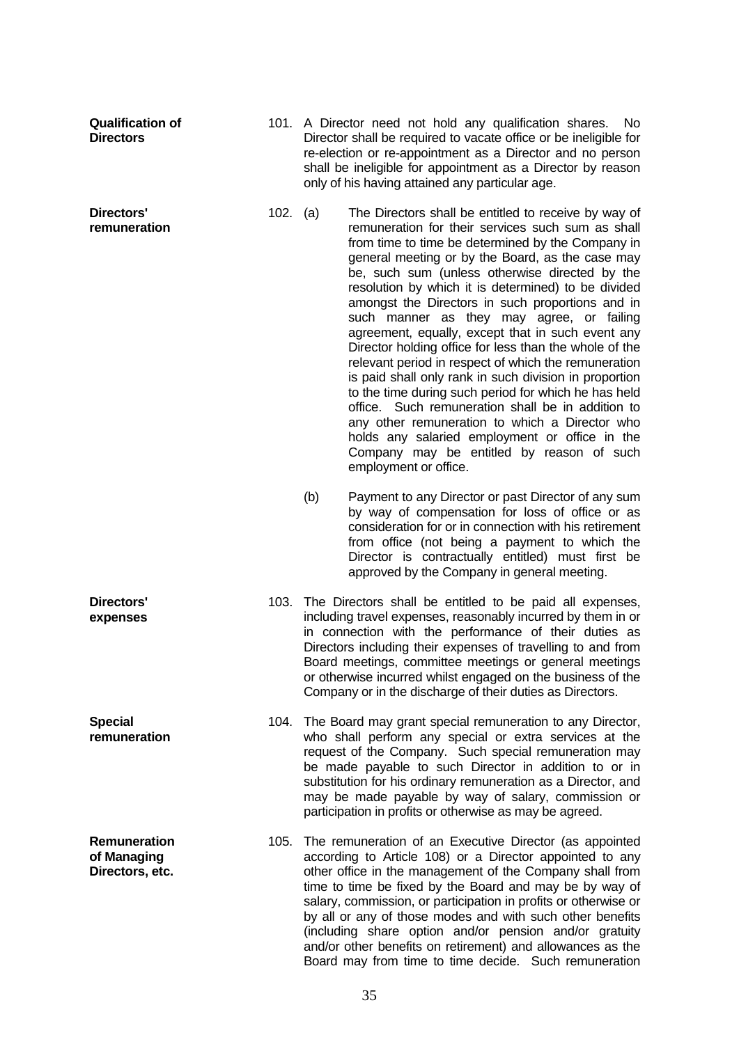| <b>Qualification of</b><br><b>Directors</b>           |          |     | 101. A Director need not hold any qualification shares. No<br>Director shall be required to vacate office or be ineligible for<br>re-election or re-appointment as a Director and no person<br>shall be ineligible for appointment as a Director by reason<br>only of his having attained any particular age.                                                                                                                                                                                                                                                                                                                                                                                                                                                                                                                                                                                                                                        |
|-------------------------------------------------------|----------|-----|------------------------------------------------------------------------------------------------------------------------------------------------------------------------------------------------------------------------------------------------------------------------------------------------------------------------------------------------------------------------------------------------------------------------------------------------------------------------------------------------------------------------------------------------------------------------------------------------------------------------------------------------------------------------------------------------------------------------------------------------------------------------------------------------------------------------------------------------------------------------------------------------------------------------------------------------------|
| <b>Directors'</b><br>remuneration                     | 102. (a) |     | The Directors shall be entitled to receive by way of<br>remuneration for their services such sum as shall<br>from time to time be determined by the Company in<br>general meeting or by the Board, as the case may<br>be, such sum (unless otherwise directed by the<br>resolution by which it is determined) to be divided<br>amongst the Directors in such proportions and in<br>such manner as they may agree, or failing<br>agreement, equally, except that in such event any<br>Director holding office for less than the whole of the<br>relevant period in respect of which the remuneration<br>is paid shall only rank in such division in proportion<br>to the time during such period for which he has held<br>office. Such remuneration shall be in addition to<br>any other remuneration to which a Director who<br>holds any salaried employment or office in the<br>Company may be entitled by reason of such<br>employment or office. |
|                                                       |          | (b) | Payment to any Director or past Director of any sum<br>by way of compensation for loss of office or as<br>consideration for or in connection with his retirement<br>from office (not being a payment to which the<br>Director is contractually entitled) must first be<br>approved by the Company in general meeting.                                                                                                                                                                                                                                                                                                                                                                                                                                                                                                                                                                                                                                |
| Directors'<br>expenses                                | 103.     |     | The Directors shall be entitled to be paid all expenses,<br>including travel expenses, reasonably incurred by them in or<br>in connection with the performance of their duties as<br>Directors including their expenses of travelling to and from<br>Board meetings, committee meetings or general meetings<br>or otherwise incurred whilst engaged on the business of the<br>Company or in the discharge of their duties as Directors.                                                                                                                                                                                                                                                                                                                                                                                                                                                                                                              |
| <b>Special</b><br>remuneration                        |          |     | 104. The Board may grant special remuneration to any Director,<br>who shall perform any special or extra services at the<br>request of the Company. Such special remuneration may<br>be made payable to such Director in addition to or in<br>substitution for his ordinary remuneration as a Director, and<br>may be made payable by way of salary, commission or<br>participation in profits or otherwise as may be agreed.                                                                                                                                                                                                                                                                                                                                                                                                                                                                                                                        |
| <b>Remuneration</b><br>of Managing<br>Directors, etc. |          |     | 105. The remuneration of an Executive Director (as appointed<br>according to Article 108) or a Director appointed to any<br>other office in the management of the Company shall from<br>time to time be fixed by the Board and may be by way of<br>salary, commission, or participation in profits or otherwise or<br>by all or any of those modes and with such other benefits<br>(including share option and/or pension and/or gratuity<br>and/or other benefits on retirement) and allowances as the<br>Board may from time to time decide. Such remuneration                                                                                                                                                                                                                                                                                                                                                                                     |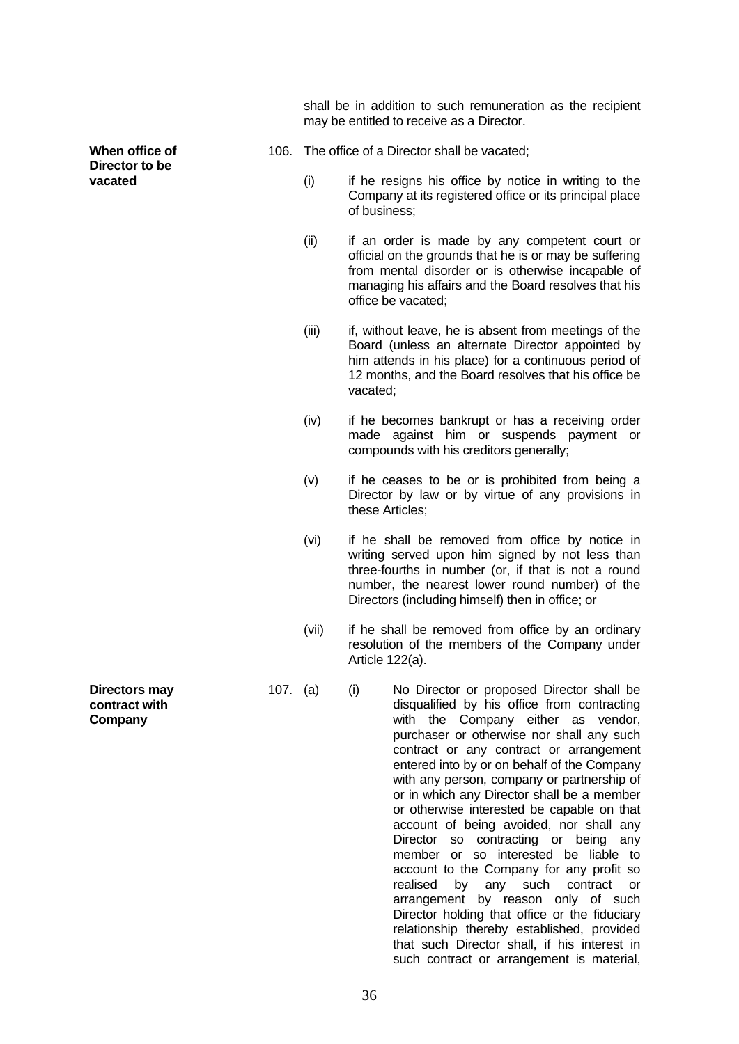shall be in addition to such remuneration as the recipient may be entitled to receive as a Director.

- 106. The office of a Director shall be vacated;
	- (i) if he resigns his office by notice in writing to the Company at its registered office or its principal place of business;
	- (ii) if an order is made by any competent court or official on the grounds that he is or may be suffering from mental disorder or is otherwise incapable of managing his affairs and the Board resolves that his office be vacated;
	- (iii) if, without leave, he is absent from meetings of the Board (unless an alternate Director appointed by him attends in his place) for a continuous period of 12 months, and the Board resolves that his office be vacated;
	- (iv) if he becomes bankrupt or has a receiving order made against him or suspends payment or compounds with his creditors generally;
	- (v) if he ceases to be or is prohibited from being a Director by law or by virtue of any provisions in these Articles;
	- (vi) if he shall be removed from office by notice in writing served upon him signed by not less than three-fourths in number (or, if that is not a round number, the nearest lower round number) of the Directors (including himself) then in office; or
	- (vii) if he shall be removed from office by an ordinary resolution of the members of the Company under Article 122(a).
- 107. (a) (i) No Director or proposed Director shall be disqualified by his office from contracting with the Company either as vendor, purchaser or otherwise nor shall any such contract or any contract or arrangement entered into by or on behalf of the Company with any person, company or partnership of or in which any Director shall be a member or otherwise interested be capable on that account of being avoided, nor shall any Director so contracting or being any member or so interested be liable to account to the Company for any profit so realised by any such contract or arrangement by reason only of such Director holding that office or the fiduciary relationship thereby established, provided that such Director shall, if his interest in such contract or arrangement is material,

**Directors may contract with Company**

**When office of Director to be vacated**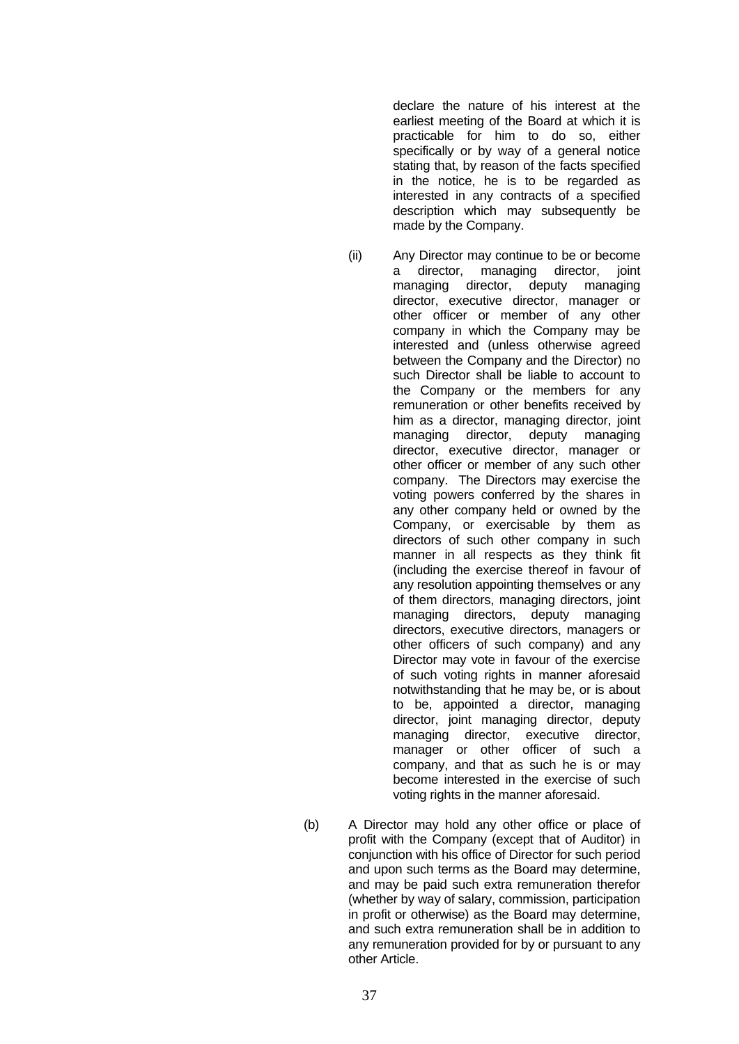declare the nature of his interest at the earliest meeting of the Board at which it is practicable for him to do so, either specifically or by way of a general notice stating that, by reason of the facts specified in the notice, he is to be regarded as interested in any contracts of a specified description which may subsequently be made by the Company.

- 
- (ii) Any Director may continue to be or become director, managing director, joint managing director, deputy managing director, executive director, manager or other officer or member of any other company in which the Company may be interested and (unless otherwise agreed between the Company and the Director) no such Director shall be liable to account to the Company or the members for any remuneration or other benefits received by him as a director, managing director, joint managing director, deputy managing director, executive director, manager or other officer or member of any such other company. The Directors may exercise the voting powers conferred by the shares in any other company held or owned by the Company, or exercisable by them as directors of such other company in such manner in all respects as they think fit (including the exercise thereof in favour of any resolution appointing themselves or any of them directors, managing directors, joint managing directors, deputy managing directors, executive directors, managers or other officers of such company) and any Director may vote in favour of the exercise of such voting rights in manner aforesaid notwithstanding that he may be, or is about to be, appointed a director, managing director, joint managing director, deputy managing director, executive director, manager or other officer of such a company, and that as such he is or may become interested in the exercise of such voting rights in the manner aforesaid.
- (b) A Director may hold any other office or place of profit with the Company (except that of Auditor) in conjunction with his office of Director for such period and upon such terms as the Board may determine, and may be paid such extra remuneration therefor (whether by way of salary, commission, participation in profit or otherwise) as the Board may determine, and such extra remuneration shall be in addition to any remuneration provided for by or pursuant to any other Article.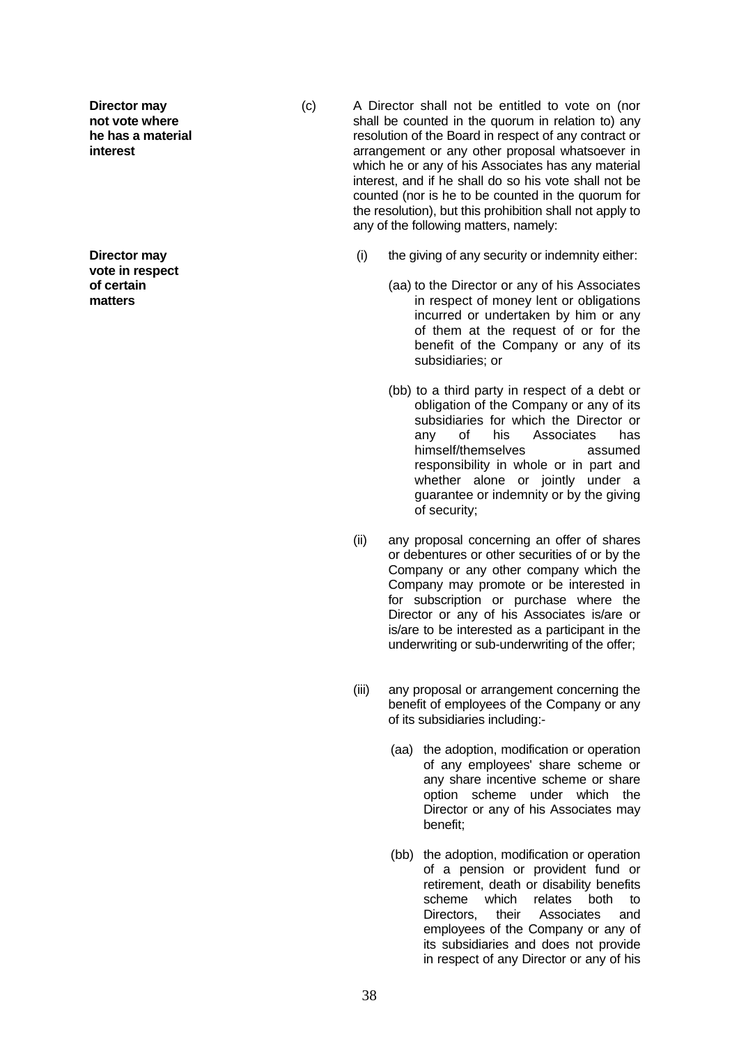**Director may not vote where he has a material interest**

**Director may vote in respect of certain matters**

- (c) A Director shall not be entitled to vote on (nor shall be counted in the quorum in relation to) any resolution of the Board in respect of any contract or arrangement or any other proposal whatsoever in which he or any of his Associates has any material interest, and if he shall do so his vote shall not be counted (nor is he to be counted in the quorum for the resolution), but this prohibition shall not apply to any of the following matters, namely:
	- (i) the giving of any security or indemnity either:
		- (aa) to the Director or any of his Associates in respect of money lent or obligations incurred or undertaken by him or any of them at the request of or for the benefit of the Company or any of its subsidiaries; or
		- (bb) to a third party in respect of a debt or obligation of the Company or any of its subsidiaries for which the Director or any of his Associates has himself/themselves assumed responsibility in whole or in part and whether alone or jointly under a guarantee or indemnity or by the giving of security;
	- (ii) any proposal concerning an offer of shares or debentures or other securities of or by the Company or any other company which the Company may promote or be interested in for subscription or purchase where the Director or any of his Associates is/are or is/are to be interested as a participant in the underwriting or sub-underwriting of the offer;
	- (iii) any proposal or arrangement concerning the benefit of employees of the Company or any of its subsidiaries including:-
		- (aa) the adoption, modification or operation of any employees' share scheme or any share incentive scheme or share option scheme under which the Director or any of his Associates may benefit;
		- (bb) the adoption, modification or operation of a pension or provident fund or retirement, death or disability benefits scheme which relates both to Directors, their Associates and employees of the Company or any of its subsidiaries and does not provide in respect of any Director or any of his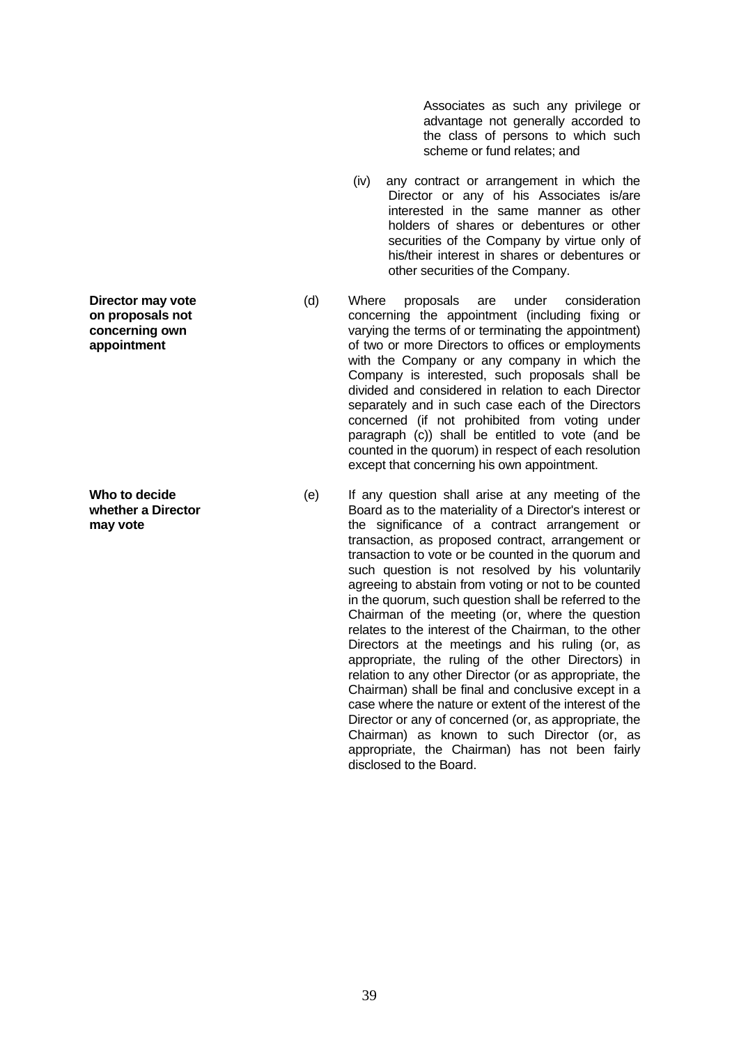Associates as such any privilege or advantage not generally accorded to the class of persons to which such scheme or fund relates; and

- (iv) any contract or arrangement in which the Director or any of his Associates is/are interested in the same manner as other holders of shares or debentures or other securities of the Company by virtue only of his/their interest in shares or debentures or other securities of the Company.
- (d) Where proposals are under consideration concerning the appointment (including fixing or varying the terms of or terminating the appointment) of two or more Directors to offices or employments with the Company or any company in which the Company is interested, such proposals shall be divided and considered in relation to each Director separately and in such case each of the Directors concerned (if not prohibited from voting under paragraph (c)) shall be entitled to vote (and be counted in the quorum) in respect of each resolution except that concerning his own appointment.
- (e) If any question shall arise at any meeting of the Board as to the materiality of a Director's interest or the significance of a contract arrangement or transaction, as proposed contract, arrangement or transaction to vote or be counted in the quorum and such question is not resolved by his voluntarily agreeing to abstain from voting or not to be counted in the quorum, such question shall be referred to the Chairman of the meeting (or, where the question relates to the interest of the Chairman, to the other Directors at the meetings and his ruling (or, as appropriate, the ruling of the other Directors) in relation to any other Director (or as appropriate, the Chairman) shall be final and conclusive except in a case where the nature or extent of the interest of the Director or any of concerned (or, as appropriate, the Chairman) as known to such Director (or, as appropriate, the Chairman) has not been fairly disclosed to the Board.

**Director may vote on proposals not concerning own appointment**

**Who to decide whether a Director may vote**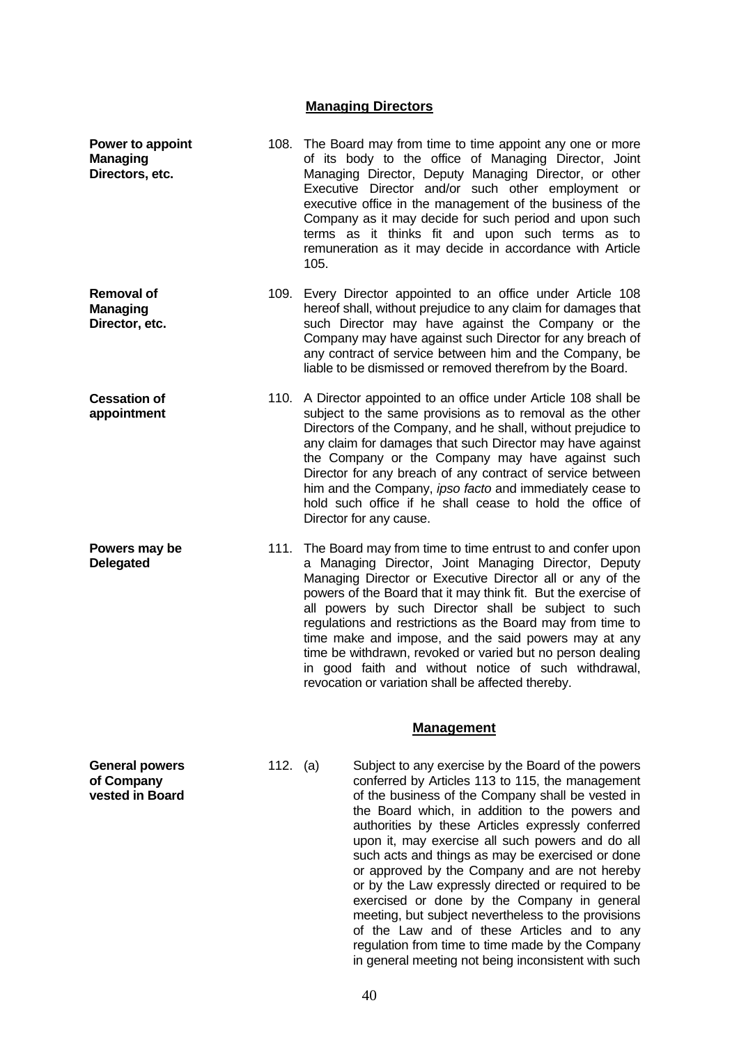### **Managing Directors**

| Power to appoint<br><b>Managing</b><br>Directors, etc. |          | 105. | 108. The Board may from time to time appoint any one or more<br>of its body to the office of Managing Director, Joint<br>Managing Director, Deputy Managing Director, or other<br>Executive Director and/or such other employment or<br>executive office in the management of the business of the<br>Company as it may decide for such period and upon such<br>terms as it thinks fit and upon such terms as to<br>remuneration as it may decide in accordance with Article                                                                                                                                      |
|--------------------------------------------------------|----------|------|------------------------------------------------------------------------------------------------------------------------------------------------------------------------------------------------------------------------------------------------------------------------------------------------------------------------------------------------------------------------------------------------------------------------------------------------------------------------------------------------------------------------------------------------------------------------------------------------------------------|
| <b>Removal of</b><br><b>Managing</b><br>Director, etc. |          |      | 109. Every Director appointed to an office under Article 108<br>hereof shall, without prejudice to any claim for damages that<br>such Director may have against the Company or the<br>Company may have against such Director for any breach of<br>any contract of service between him and the Company, be<br>liable to be dismissed or removed therefrom by the Board.                                                                                                                                                                                                                                           |
| <b>Cessation of</b><br>appointment                     |          |      | 110. A Director appointed to an office under Article 108 shall be<br>subject to the same provisions as to removal as the other<br>Directors of the Company, and he shall, without prejudice to<br>any claim for damages that such Director may have against<br>the Company or the Company may have against such<br>Director for any breach of any contract of service between<br>him and the Company, ipso facto and immediately cease to<br>hold such office if he shall cease to hold the office of<br>Director for any cause.                                                                                 |
| Powers may be<br><b>Delegated</b>                      |          |      | 111. The Board may from time to time entrust to and confer upon<br>a Managing Director, Joint Managing Director, Deputy<br>Managing Director or Executive Director all or any of the<br>powers of the Board that it may think fit. But the exercise of<br>all powers by such Director shall be subject to such<br>regulations and restrictions as the Board may from time to<br>time make and impose, and the said powers may at any<br>time be withdrawn, revoked or varied but no person dealing<br>in good faith and without notice of such withdrawal,<br>revocation or variation shall be affected thereby. |
|                                                        |          |      | <b>Management</b>                                                                                                                                                                                                                                                                                                                                                                                                                                                                                                                                                                                                |
| <b>General powers</b>                                  | 112. (a) |      | Subject to any exercise by the Board of the powers                                                                                                                                                                                                                                                                                                                                                                                                                                                                                                                                                               |

**of Company vested in Board**  conferred by Articles 113 to 115, the management of the business of the Company shall be vested in the Board which, in addition to the powers and authorities by these Articles expressly conferred upon it, may exercise all such powers and do all such acts and things as may be exercised or done or approved by the Company and are not hereby or by the Law expressly directed or required to be exercised or done by the Company in general meeting, but subject nevertheless to the provisions of the Law and of these Articles and to any regulation from time to time made by the Company in general meeting not being inconsistent with such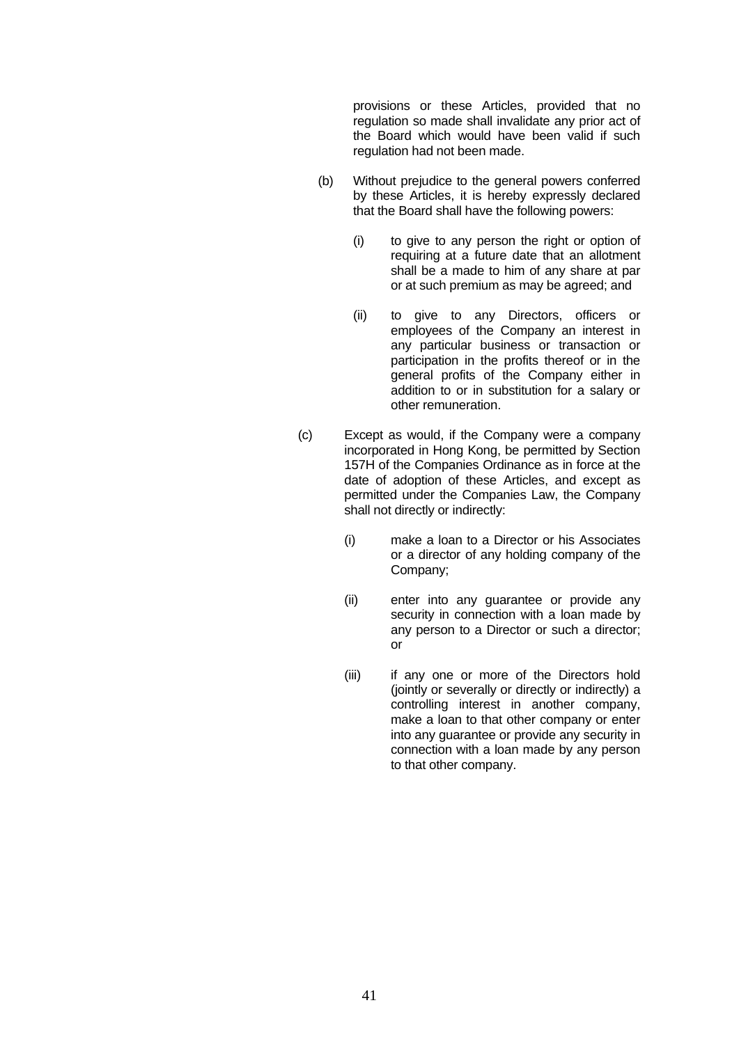provisions or these Articles, provided that no regulation so made shall invalidate any prior act of the Board which would have been valid if such regulation had not been made.

- (b) Without prejudice to the general powers conferred by these Articles, it is hereby expressly declared that the Board shall have the following powers:
	- (i) to give to any person the right or option of requiring at a future date that an allotment shall be a made to him of any share at par or at such premium as may be agreed; and
	- (ii) to give to any Directors, officers or employees of the Company an interest in any particular business or transaction or participation in the profits thereof or in the general profits of the Company either in addition to or in substitution for a salary or other remuneration.
- (c) Except as would, if the Company were a company incorporated in Hong Kong, be permitted by Section 157H of the Companies Ordinance as in force at the date of adoption of these Articles, and except as permitted under the Companies Law, the Company shall not directly or indirectly:
	- (i) make a loan to a Director or his Associates or a director of any holding company of the Company;
	- (ii) enter into any guarantee or provide any security in connection with a loan made by any person to a Director or such a director; or
	- (iii) if any one or more of the Directors hold (jointly or severally or directly or indirectly) a controlling interest in another company, make a loan to that other company or enter into any guarantee or provide any security in connection with a loan made by any person to that other company.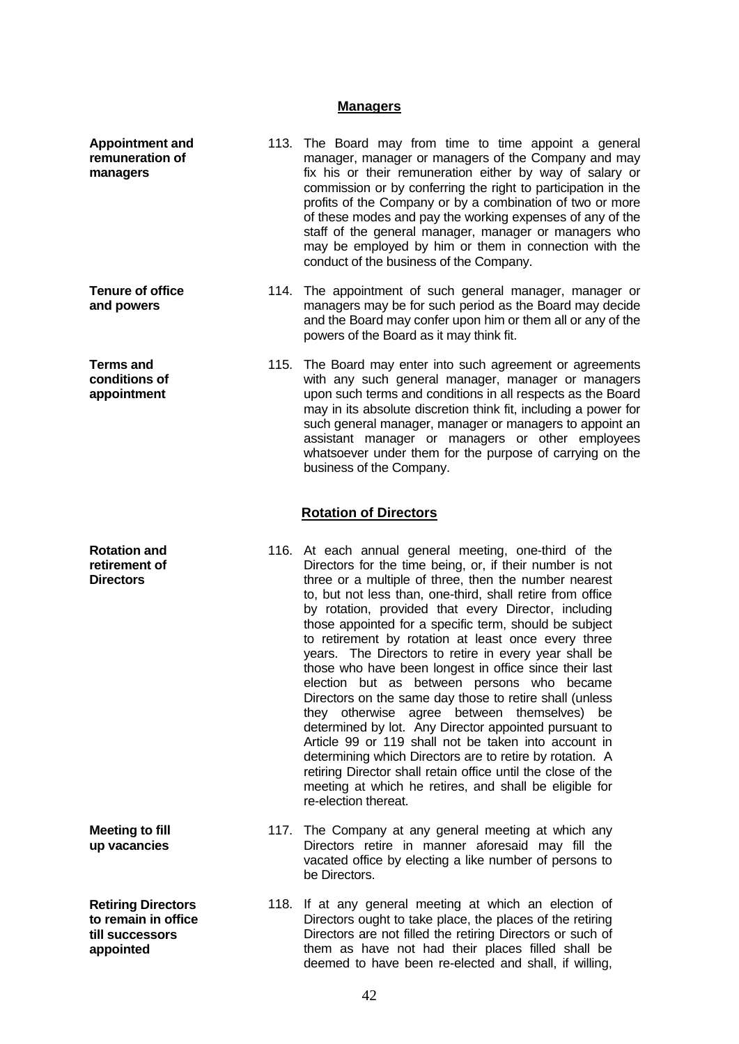# **Managers**

| <b>Appointment and</b><br>remuneration of<br>managers                            | 113. The Board may from time to time appoint a general<br>manager, manager or managers of the Company and may<br>fix his or their remuneration either by way of salary or<br>commission or by conferring the right to participation in the<br>profits of the Company or by a combination of two or more<br>of these modes and pay the working expenses of any of the<br>staff of the general manager, manager or managers who<br>may be employed by him or them in connection with the<br>conduct of the business of the Company.                                                                                                                                                                                                                                                                                                                                                                                                                                                                                           |
|----------------------------------------------------------------------------------|-----------------------------------------------------------------------------------------------------------------------------------------------------------------------------------------------------------------------------------------------------------------------------------------------------------------------------------------------------------------------------------------------------------------------------------------------------------------------------------------------------------------------------------------------------------------------------------------------------------------------------------------------------------------------------------------------------------------------------------------------------------------------------------------------------------------------------------------------------------------------------------------------------------------------------------------------------------------------------------------------------------------------------|
| <b>Tenure of office</b><br>and powers                                            | 114. The appointment of such general manager, manager or<br>managers may be for such period as the Board may decide<br>and the Board may confer upon him or them all or any of the<br>powers of the Board as it may think fit.                                                                                                                                                                                                                                                                                                                                                                                                                                                                                                                                                                                                                                                                                                                                                                                              |
| <b>Terms and</b><br>conditions of<br>appointment                                 | 115. The Board may enter into such agreement or agreements<br>with any such general manager, manager or managers<br>upon such terms and conditions in all respects as the Board<br>may in its absolute discretion think fit, including a power for<br>such general manager, manager or managers to appoint an<br>assistant manager or managers or other employees<br>whatsoever under them for the purpose of carrying on the<br>business of the Company.                                                                                                                                                                                                                                                                                                                                                                                                                                                                                                                                                                   |
|                                                                                  | <b>Rotation of Directors</b>                                                                                                                                                                                                                                                                                                                                                                                                                                                                                                                                                                                                                                                                                                                                                                                                                                                                                                                                                                                                |
| <b>Rotation and</b><br>retirement of<br><b>Directors</b>                         | 116. At each annual general meeting, one-third of the<br>Directors for the time being, or, if their number is not<br>three or a multiple of three, then the number nearest<br>to, but not less than, one-third, shall retire from office<br>by rotation, provided that every Director, including<br>those appointed for a specific term, should be subject<br>to retirement by rotation at least once every three<br>years. The Directors to retire in every year shall be<br>those who have been longest in office since their last<br>election but as between persons who became<br>Directors on the same day those to retire shall (unless<br>they otherwise agree between themselves) be<br>determined by lot. Any Director appointed pursuant to<br>Article 99 or 119 shall not be taken into account in<br>determining which Directors are to retire by rotation. A<br>retiring Director shall retain office until the close of the<br>meeting at which he retires, and shall be eligible for<br>re-election thereat. |
| <b>Meeting to fill</b><br>up vacancies                                           | 117. The Company at any general meeting at which any<br>Directors retire in manner aforesaid may fill the<br>vacated office by electing a like number of persons to<br>be Directors.                                                                                                                                                                                                                                                                                                                                                                                                                                                                                                                                                                                                                                                                                                                                                                                                                                        |
| <b>Retiring Directors</b><br>to remain in office<br>till successors<br>appointed | 118. If at any general meeting at which an election of<br>Directors ought to take place, the places of the retiring<br>Directors are not filled the retiring Directors or such of<br>them as have not had their places filled shall be<br>deemed to have been re-elected and shall, if willing,                                                                                                                                                                                                                                                                                                                                                                                                                                                                                                                                                                                                                                                                                                                             |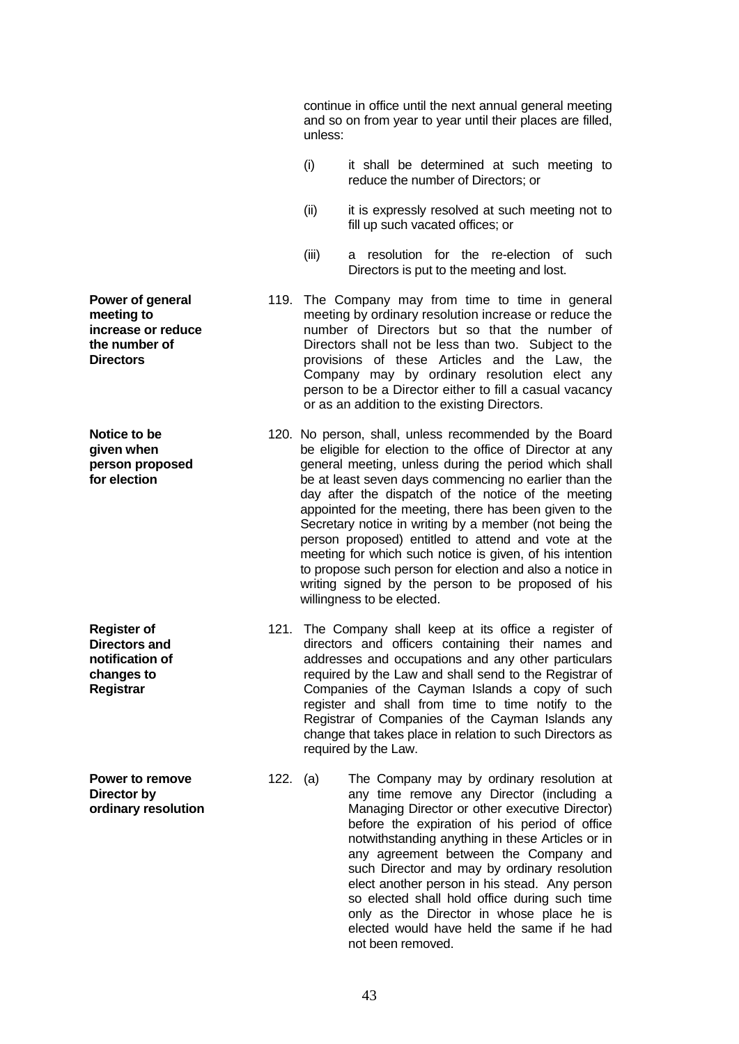continue in office until the next annual general meeting and so on from year to year until their places are filled, unless:

- (i) it shall be determined at such meeting to reduce the number of Directors; or
- (ii) it is expressly resolved at such meeting not to fill up such vacated offices; or
- (iii) a resolution for the re-election of such Directors is put to the meeting and lost.
- 119. The Company may from time to time in general meeting by ordinary resolution increase or reduce the number of Directors but so that the number of Directors shall not be less than two. Subject to the provisions of these Articles and the Law, the Company may by ordinary resolution elect any person to be a Director either to fill a casual vacancy or as an addition to the existing Directors.
- 120. No person, shall, unless recommended by the Board be eligible for election to the office of Director at any general meeting, unless during the period which shall be at least seven days commencing no earlier than the day after the dispatch of the notice of the meeting appointed for the meeting, there has been given to the Secretary notice in writing by a member (not being the person proposed) entitled to attend and vote at the meeting for which such notice is given, of his intention to propose such person for election and also a notice in writing signed by the person to be proposed of his willingness to be elected.
- 121. The Company shall keep at its office a register of directors and officers containing their names and addresses and occupations and any other particulars required by the Law and shall send to the Registrar of Companies of the Cayman Islands a copy of such register and shall from time to time notify to the Registrar of Companies of the Cayman Islands any change that takes place in relation to such Directors as required by the Law.
- 122. (a) The Company may by ordinary resolution at any time remove any Director (including a Managing Director or other executive Director) before the expiration of his period of office notwithstanding anything in these Articles or in any agreement between the Company and such Director and may by ordinary resolution elect another person in his stead. Any person so elected shall hold office during such time only as the Director in whose place he is elected would have held the same if he had not been removed.

**Power of general meeting to increase or reduce the number of Directors**

**Notice to be given when person proposed for election**

**Register of Directors and notification of changes to Registrar**

**Power to remove Director by ordinary resolution**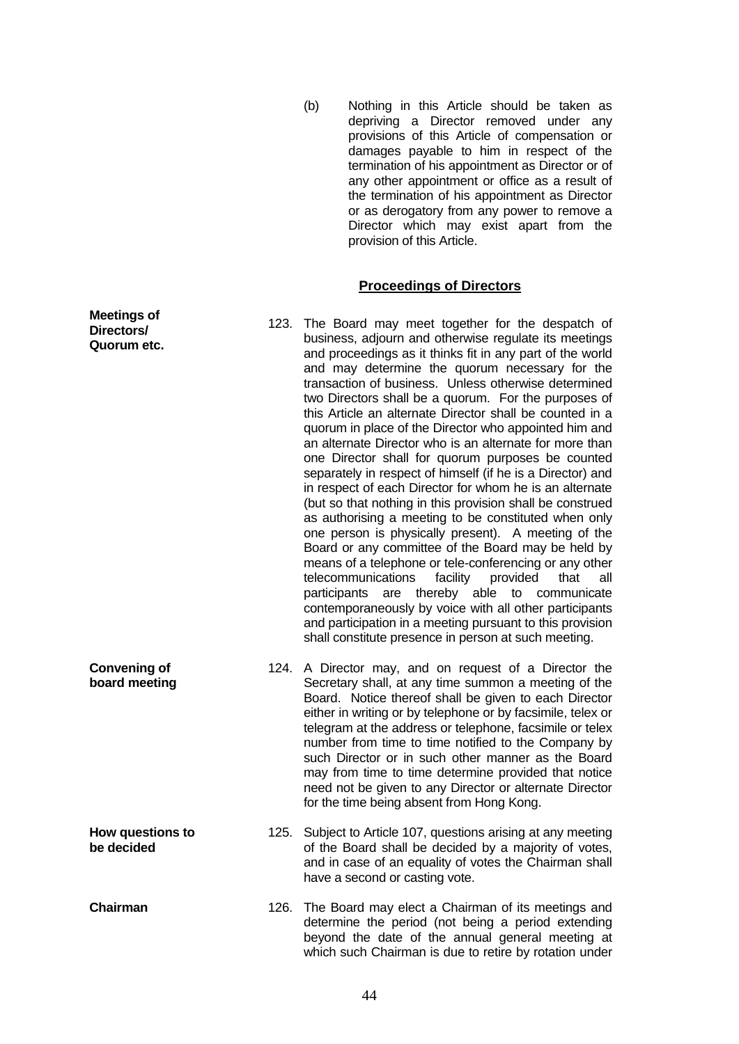(b) Nothing in this Article should be taken as depriving a Director removed under any provisions of this Article of compensation or damages payable to him in respect of the termination of his appointment as Director or of any other appointment or office as a result of the termination of his appointment as Director or as derogatory from any power to remove a Director which may exist apart from the provision of this Article.

#### **Proceedings of Directors**

123. The Board may meet together for the despatch of business, adjourn and otherwise regulate its meetings and proceedings as it thinks fit in any part of the world and may determine the quorum necessary for the transaction of business. Unless otherwise determined two Directors shall be a quorum. For the purposes of this Article an alternate Director shall be counted in a quorum in place of the Director who appointed him and an alternate Director who is an alternate for more than one Director shall for quorum purposes be counted separately in respect of himself (if he is a Director) and in respect of each Director for whom he is an alternate (but so that nothing in this provision shall be construed as authorising a meeting to be constituted when only one person is physically present). A meeting of the Board or any committee of the Board may be held by means of a telephone or tele-conferencing or any other<br>telecommunications facility provided that all telecommunications facility provided that all participants are thereby able to communicate contemporaneously by voice with all other participants and participation in a meeting pursuant to this provision shall constitute presence in person at such meeting. **Convening of board meeting** 124. A Director may, and on request of a Director the Secretary shall, at any time summon a meeting of the Board. Notice thereof shall be given to each Director either in writing or by telephone or by facsimile, telex or telegram at the address or telephone, facsimile or telex number from time to time notified to the Company by such Director or in such other manner as the Board may from time to time determine provided that notice need not be given to any Director or alternate Director for the time being absent from Hong Kong.

**Meetings of Directors/ Quorum etc.**

**be decided**

- **How questions to**  125. Subject to Article 107, questions arising at any meeting of the Board shall be decided by a majority of votes, and in case of an equality of votes the Chairman shall have a second or casting vote.
- **Chairman** 126. The Board may elect a Chairman of its meetings and determine the period (not being a period extending beyond the date of the annual general meeting at which such Chairman is due to retire by rotation under

44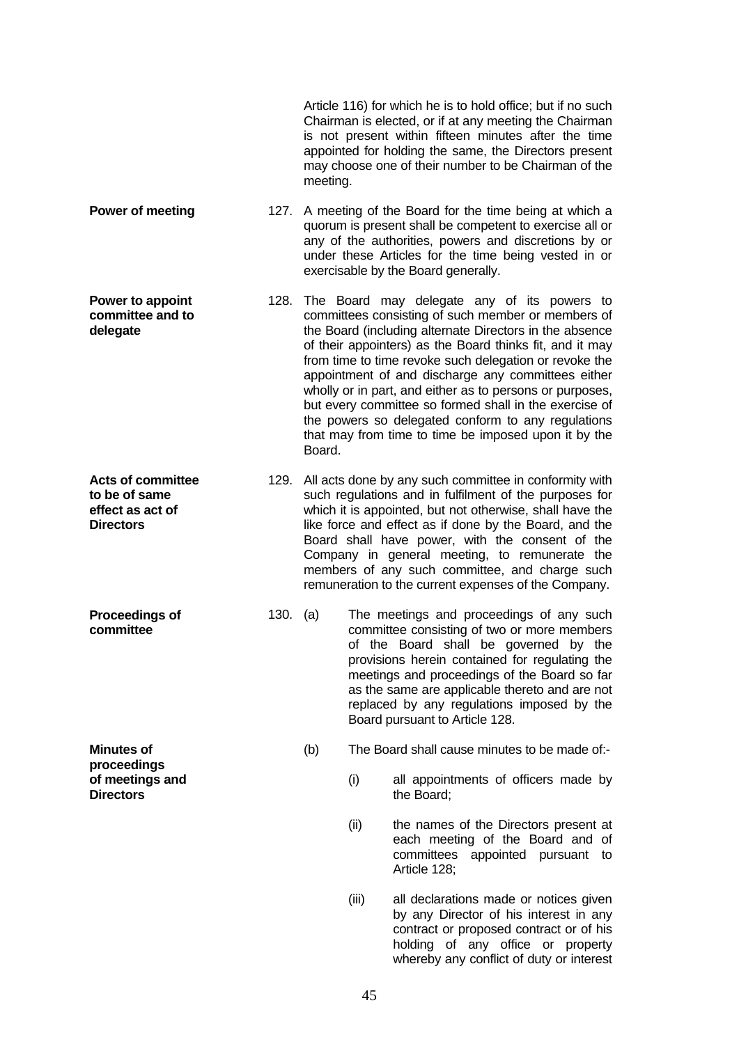|                                                                                   |      | meeting. |       | Article 116) for which he is to hold office; but if no such<br>Chairman is elected, or if at any meeting the Chairman<br>is not present within fifteen minutes after the time<br>appointed for holding the same, the Directors present<br>may choose one of their number to be Chairman of the                                                                                                                                                                                                                                                                               |
|-----------------------------------------------------------------------------------|------|----------|-------|------------------------------------------------------------------------------------------------------------------------------------------------------------------------------------------------------------------------------------------------------------------------------------------------------------------------------------------------------------------------------------------------------------------------------------------------------------------------------------------------------------------------------------------------------------------------------|
| Power of meeting                                                                  |      |          |       | 127. A meeting of the Board for the time being at which a<br>quorum is present shall be competent to exercise all or<br>any of the authorities, powers and discretions by or<br>under these Articles for the time being vested in or<br>exercisable by the Board generally.                                                                                                                                                                                                                                                                                                  |
| Power to appoint<br>committee and to<br>delegate                                  | 128. | Board.   |       | The Board may delegate any of its powers to<br>committees consisting of such member or members of<br>the Board (including alternate Directors in the absence<br>of their appointers) as the Board thinks fit, and it may<br>from time to time revoke such delegation or revoke the<br>appointment of and discharge any committees either<br>wholly or in part, and either as to persons or purposes,<br>but every committee so formed shall in the exercise of<br>the powers so delegated conform to any regulations<br>that may from time to time be imposed upon it by the |
| <b>Acts of committee</b><br>to be of same<br>effect as act of<br><b>Directors</b> | 129. |          |       | All acts done by any such committee in conformity with<br>such regulations and in fulfilment of the purposes for<br>which it is appointed, but not otherwise, shall have the<br>like force and effect as if done by the Board, and the<br>Board shall have power, with the consent of the<br>Company in general meeting, to remunerate the<br>members of any such committee, and charge such<br>remuneration to the current expenses of the Company.                                                                                                                         |
| <b>Proceedings of</b><br>committee                                                | 130. | (a)      |       | The meetings and proceedings of any such<br>committee consisting of two or more members<br>of the Board shall be governed by the<br>provisions herein contained for regulating the<br>meetings and proceedings of the Board so far<br>as the same are applicable thereto and are not<br>replaced by any regulations imposed by the<br>Board pursuant to Article 128.                                                                                                                                                                                                         |
| <b>Minutes of</b><br>proceedings                                                  |      | (b)      |       | The Board shall cause minutes to be made of:-                                                                                                                                                                                                                                                                                                                                                                                                                                                                                                                                |
| of meetings and<br><b>Directors</b>                                               |      |          | (i)   | all appointments of officers made by<br>the Board:                                                                                                                                                                                                                                                                                                                                                                                                                                                                                                                           |
|                                                                                   |      |          | (ii)  | the names of the Directors present at<br>each meeting of the Board and of<br>committees appointed pursuant to<br>Article 128;                                                                                                                                                                                                                                                                                                                                                                                                                                                |
|                                                                                   |      |          | (iii) | all declarations made or notices given<br>by any Director of his interest in any<br>contract or proposed contract or of his<br>holding of any office or property<br>whereby any conflict of duty or interest                                                                                                                                                                                                                                                                                                                                                                 |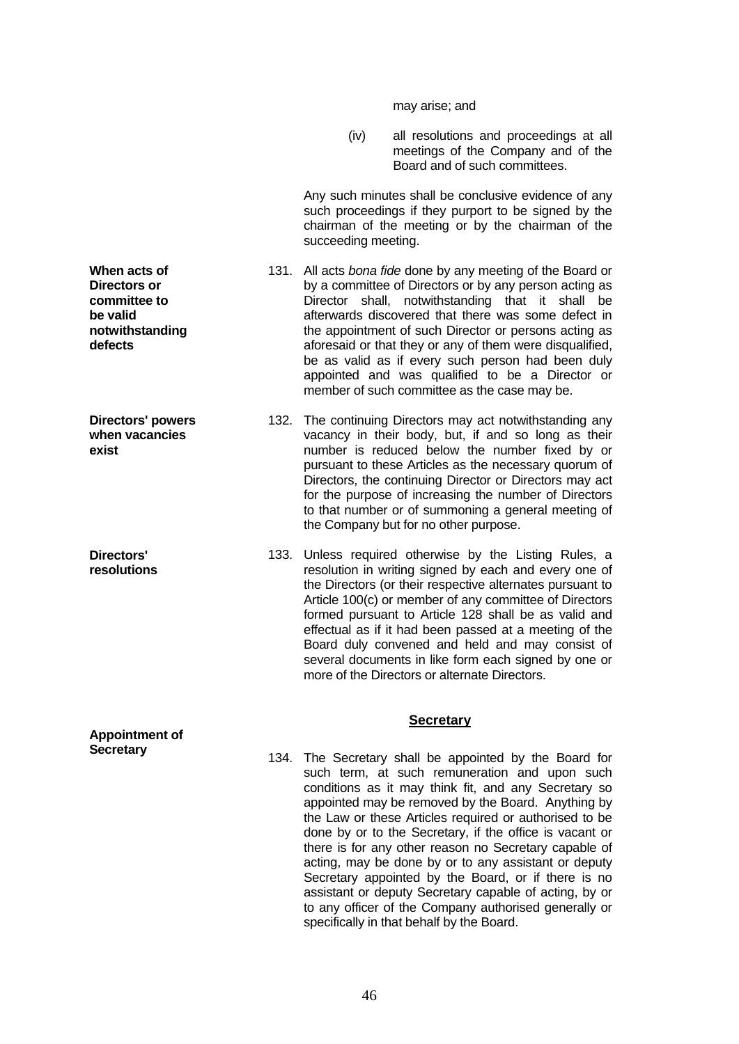may arise; and

 (iv) all resolutions and proceedings at all meetings of the Company and of the Board and of such committees.

 Any such minutes shall be conclusive evidence of any such proceedings if they purport to be signed by the chairman of the meeting or by the chairman of the succeeding meeting.

131. All acts *bona fide* done by any meeting of the Board or by a committee of Directors or by any person acting as Director shall, notwithstanding that it shall be afterwards discovered that there was some defect in the appointment of such Director or persons acting as aforesaid or that they or any of them were disqualified, be as valid as if every such person had been duly appointed and was qualified to be a Director or member of such committee as the case may be.

132. The continuing Directors may act notwithstanding any vacancy in their body, but, if and so long as their number is reduced below the number fixed by or pursuant to these Articles as the necessary quorum of Directors, the continuing Director or Directors may act for the purpose of increasing the number of Directors to that number or of summoning a general meeting of the Company but for no other purpose.

133. Unless required otherwise by the Listing Rules, a resolution in writing signed by each and every one of the Directors (or their respective alternates pursuant to Article 100(c) or member of any committee of Directors formed pursuant to Article 128 shall be as valid and effectual as if it had been passed at a meeting of the Board duly convened and held and may consist of several documents in like form each signed by one or more of the Directors or alternate Directors.

### **Secretary**

134. The Secretary shall be appointed by the Board for such term, at such remuneration and upon such conditions as it may think fit, and any Secretary so appointed may be removed by the Board. Anything by the Law or these Articles required or authorised to be done by or to the Secretary, if the office is vacant or there is for any other reason no Secretary capable of acting, may be done by or to any assistant or deputy Secretary appointed by the Board, or if there is no assistant or deputy Secretary capable of acting, by or to any officer of the Company authorised generally or specifically in that behalf by the Board.

**When acts of Directors or committee to be valid notwithstanding defects**

**Directors' powers when vacancies exist**

**Directors' resolutions**

**Appointment of Secretary**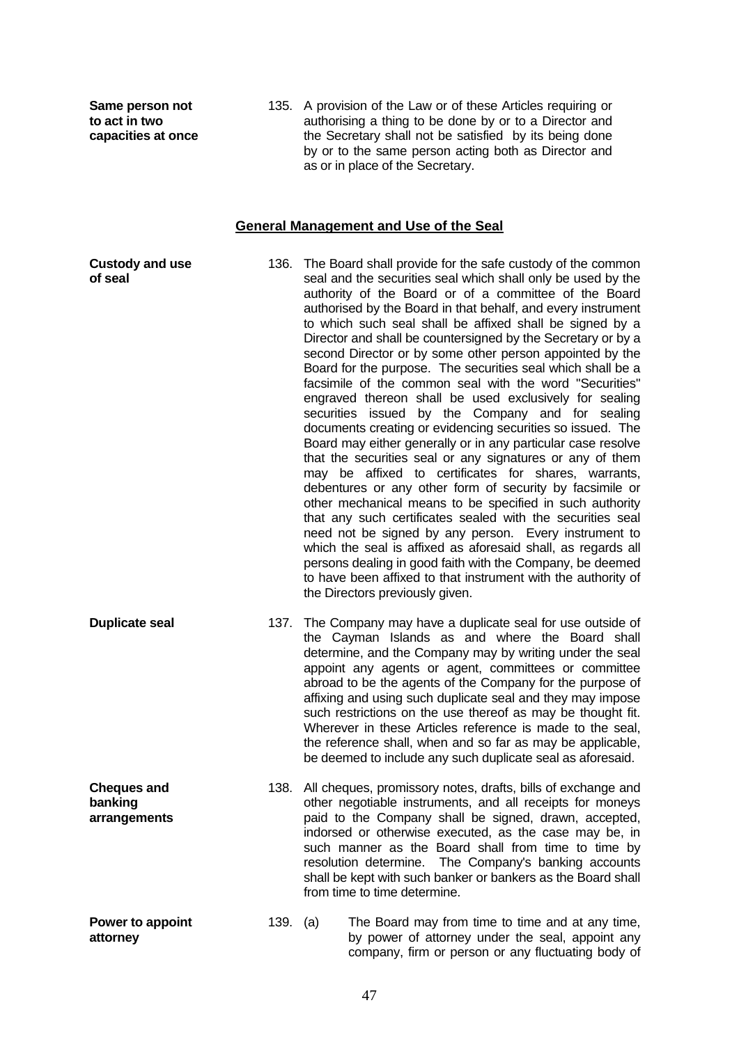**Same person not to act in two capacities at once** 135. A provision of the Law or of these Articles requiring or authorising a thing to be done by or to a Director and the Secretary shall not be satisfied by its being done by or to the same person acting both as Director and as or in place of the Secretary.

### **General Management and Use of the Seal**

**Custody and use of seal** 136. The Board shall provide for the safe custody of the common seal and the securities seal which shall only be used by the authority of the Board or of a committee of the Board authorised by the Board in that behalf, and every instrument to which such seal shall be affixed shall be signed by a Director and shall be countersigned by the Secretary or by a second Director or by some other person appointed by the Board for the purpose. The securities seal which shall be a facsimile of the common seal with the word "Securities" engraved thereon shall be used exclusively for sealing securities issued by the Company and for sealing documents creating or evidencing securities so issued. The Board may either generally or in any particular case resolve that the securities seal or any signatures or any of them may be affixed to certificates for shares, warrants, debentures or any other form of security by facsimile or other mechanical means to be specified in such authority that any such certificates sealed with the securities seal need not be signed by any person. Every instrument to which the seal is affixed as aforesaid shall, as regards all persons dealing in good faith with the Company, be deemed to have been affixed to that instrument with the authority of the Directors previously given. **Duplicate seal** 137. The Company may have a duplicate seal for use outside of the Cayman Islands as and where the Board shall determine, and the Company may by writing under the seal appoint any agents or agent, committees or committee abroad to be the agents of the Company for the purpose of affixing and using such duplicate seal and they may impose such restrictions on the use thereof as may be thought fit. Wherever in these Articles reference is made to the seal, the reference shall, when and so far as may be applicable, be deemed to include any such duplicate seal as aforesaid. **Cheques and banking arrangements** 138. All cheques, promissory notes, drafts, bills of exchange and other negotiable instruments, and all receipts for moneys paid to the Company shall be signed, drawn, accepted, indorsed or otherwise executed, as the case may be, in such manner as the Board shall from time to time by resolution determine. The Company's banking accounts shall be kept with such banker or bankers as the Board shall from time to time determine. **Power to appoint attorney** 139. (a) The Board may from time to time and at any time, by power of attorney under the seal, appoint any company, firm or person or any fluctuating body of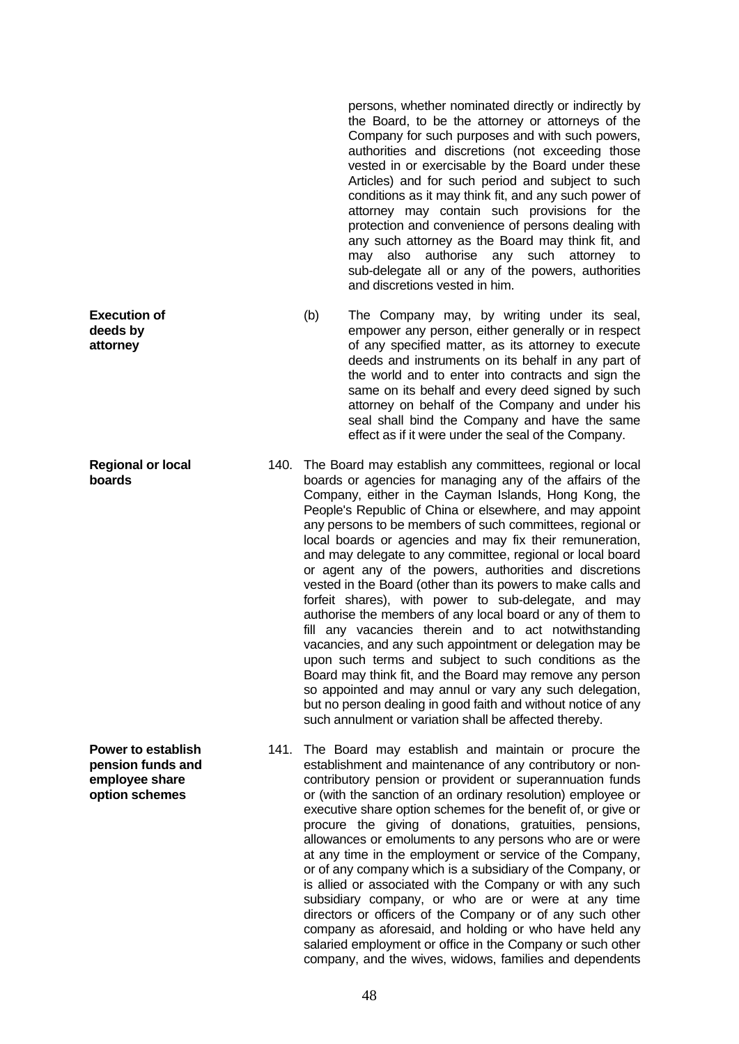persons, whether nominated directly or indirectly by the Board, to be the attorney or attorneys of the Company for such purposes and with such powers, authorities and discretions (not exceeding those vested in or exercisable by the Board under these Articles) and for such period and subject to such conditions as it may think fit, and any such power of attorney may contain such provisions for the protection and convenience of persons dealing with any such attorney as the Board may think fit, and may also authorise any such attorney to sub-delegate all or any of the powers, authorities and discretions vested in him.

- (b) The Company may, by writing under its seal, empower any person, either generally or in respect of any specified matter, as its attorney to execute deeds and instruments on its behalf in any part of the world and to enter into contracts and sign the same on its behalf and every deed signed by such attorney on behalf of the Company and under his seal shall bind the Company and have the same effect as if it were under the seal of the Company.
- 140. The Board may establish any committees, regional or local boards or agencies for managing any of the affairs of the Company, either in the Cayman Islands, Hong Kong, the People's Republic of China or elsewhere, and may appoint any persons to be members of such committees, regional or local boards or agencies and may fix their remuneration, and may delegate to any committee, regional or local board or agent any of the powers, authorities and discretions vested in the Board (other than its powers to make calls and forfeit shares), with power to sub-delegate, and may authorise the members of any local board or any of them to fill any vacancies therein and to act notwithstanding vacancies, and any such appointment or delegation may be upon such terms and subject to such conditions as the Board may think fit, and the Board may remove any person so appointed and may annul or vary any such delegation, but no person dealing in good faith and without notice of any such annulment or variation shall be affected thereby.
- 141. The Board may establish and maintain or procure the establishment and maintenance of any contributory or noncontributory pension or provident or superannuation funds or (with the sanction of an ordinary resolution) employee or executive share option schemes for the benefit of, or give or procure the giving of donations, gratuities, pensions, allowances or emoluments to any persons who are or were at any time in the employment or service of the Company, or of any company which is a subsidiary of the Company, or is allied or associated with the Company or with any such subsidiary company, or who are or were at any time directors or officers of the Company or of any such other company as aforesaid, and holding or who have held any salaried employment or office in the Company or such other company, and the wives, widows, families and dependents

**Execution of deeds by attorney**

**Regional or local boards**

**Power to establish pension funds and employee share option schemes**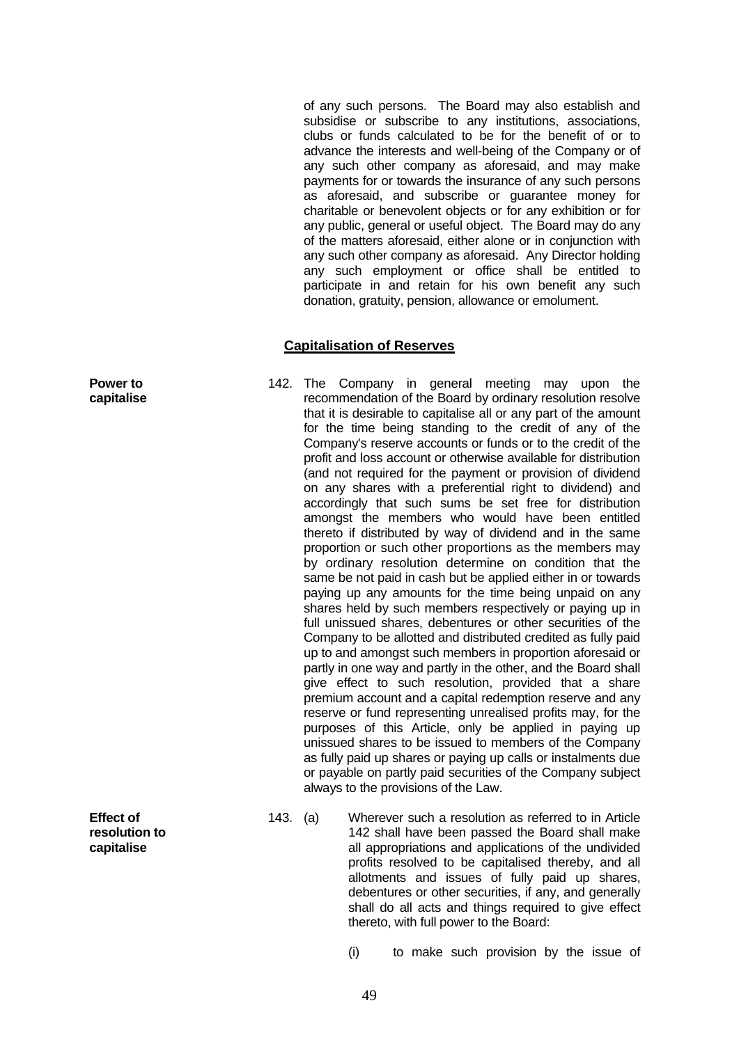of any such persons. The Board may also establish and subsidise or subscribe to any institutions, associations, clubs or funds calculated to be for the benefit of or to advance the interests and well-being of the Company or of any such other company as aforesaid, and may make payments for or towards the insurance of any such persons as aforesaid, and subscribe or guarantee money for charitable or benevolent objects or for any exhibition or for any public, general or useful object. The Board may do any of the matters aforesaid, either alone or in conjunction with any such other company as aforesaid. Any Director holding any such employment or office shall be entitled to participate in and retain for his own benefit any such donation, gratuity, pension, allowance or emolument.

### **Capitalisation of Reserves**

- 142. The Company in general meeting may upon the recommendation of the Board by ordinary resolution resolve that it is desirable to capitalise all or any part of the amount for the time being standing to the credit of any of the Company's reserve accounts or funds or to the credit of the profit and loss account or otherwise available for distribution (and not required for the payment or provision of dividend on any shares with a preferential right to dividend) and accordingly that such sums be set free for distribution amongst the members who would have been entitled thereto if distributed by way of dividend and in the same proportion or such other proportions as the members may by ordinary resolution determine on condition that the same be not paid in cash but be applied either in or towards paying up any amounts for the time being unpaid on any shares held by such members respectively or paying up in full unissued shares, debentures or other securities of the Company to be allotted and distributed credited as fully paid up to and amongst such members in proportion aforesaid or partly in one way and partly in the other, and the Board shall give effect to such resolution, provided that a share premium account and a capital redemption reserve and any reserve or fund representing unrealised profits may, for the purposes of this Article, only be applied in paying up unissued shares to be issued to members of the Company as fully paid up shares or paying up calls or instalments due or payable on partly paid securities of the Company subject always to the provisions of the Law.
- 143. (a) Wherever such a resolution as referred to in Article 142 shall have been passed the Board shall make all appropriations and applications of the undivided profits resolved to be capitalised thereby, and all allotments and issues of fully paid up shares, debentures or other securities, if any, and generally shall do all acts and things required to give effect thereto, with full power to the Board:

(i) to make such provision by the issue of

**Power to capitalise**

**Effect of resolution to capitalise**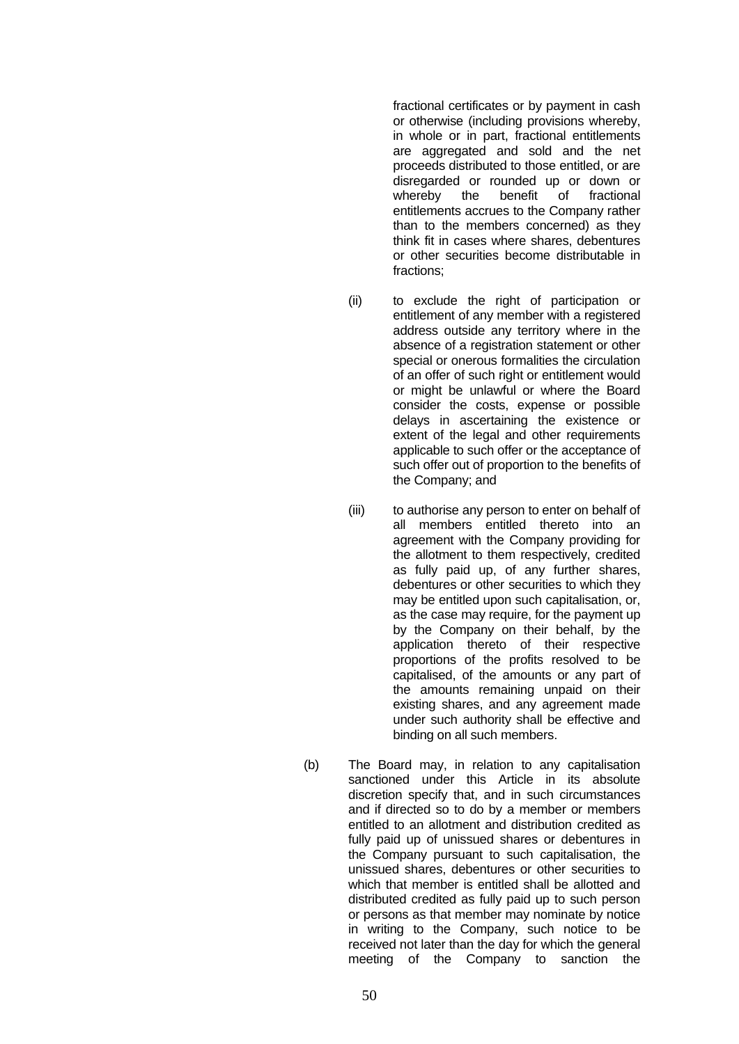fractional certificates or by payment in cash or otherwise (including provisions whereby, in whole or in part, fractional entitlements are aggregated and sold and the net proceeds distributed to those entitled, or are disregarded or rounded up or down or whereby the benefit of fractional entitlements accrues to the Company rather than to the members concerned) as they think fit in cases where shares, debentures or other securities become distributable in fractions;

- (ii) to exclude the right of participation or entitlement of any member with a registered address outside any territory where in the absence of a registration statement or other special or onerous formalities the circulation of an offer of such right or entitlement would or might be unlawful or where the Board consider the costs, expense or possible delays in ascertaining the existence or extent of the legal and other requirements applicable to such offer or the acceptance of such offer out of proportion to the benefits of the Company; and
- (iii) to authorise any person to enter on behalf of all members entitled thereto into an agreement with the Company providing for the allotment to them respectively, credited as fully paid up, of any further shares, debentures or other securities to which they may be entitled upon such capitalisation, or, as the case may require, for the payment up by the Company on their behalf, by the application thereto of their respective proportions of the profits resolved to be capitalised, of the amounts or any part of the amounts remaining unpaid on their existing shares, and any agreement made under such authority shall be effective and binding on all such members.
- (b) The Board may, in relation to any capitalisation sanctioned under this Article in its absolute discretion specify that, and in such circumstances and if directed so to do by a member or members entitled to an allotment and distribution credited as fully paid up of unissued shares or debentures in the Company pursuant to such capitalisation, the unissued shares, debentures or other securities to which that member is entitled shall be allotted and distributed credited as fully paid up to such person or persons as that member may nominate by notice in writing to the Company, such notice to be received not later than the day for which the general meeting of the Company to sanction the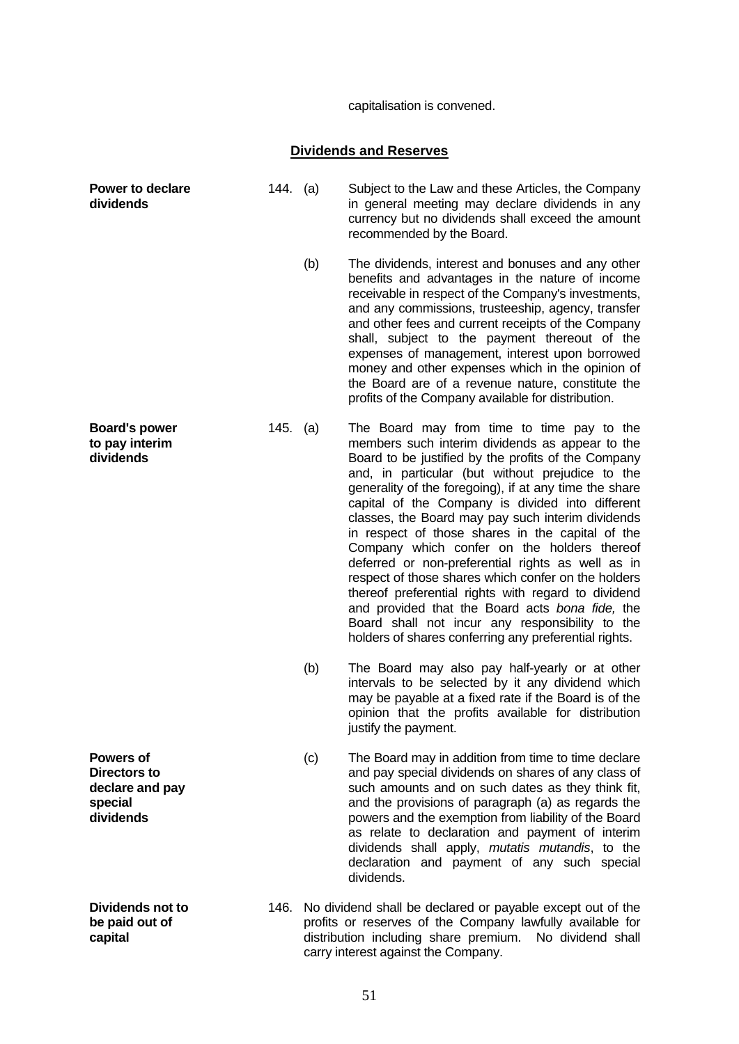capitalisation is convened.

# **Dividends and Reserves**

| <b>Power to declare</b><br>dividends                                 | 144. (a) |     | Subject to the Law and these Articles, the Company<br>in general meeting may declare dividends in any<br>currency but no dividends shall exceed the amount<br>recommended by the Board.                                                                                                                                                                                                                                                                                                                                                                                                                                                                                                                                                                                                                          |
|----------------------------------------------------------------------|----------|-----|------------------------------------------------------------------------------------------------------------------------------------------------------------------------------------------------------------------------------------------------------------------------------------------------------------------------------------------------------------------------------------------------------------------------------------------------------------------------------------------------------------------------------------------------------------------------------------------------------------------------------------------------------------------------------------------------------------------------------------------------------------------------------------------------------------------|
|                                                                      |          | (b) | The dividends, interest and bonuses and any other<br>benefits and advantages in the nature of income<br>receivable in respect of the Company's investments,<br>and any commissions, trusteeship, agency, transfer<br>and other fees and current receipts of the Company<br>shall, subject to the payment thereout of the<br>expenses of management, interest upon borrowed<br>money and other expenses which in the opinion of<br>the Board are of a revenue nature, constitute the<br>profits of the Company available for distribution.                                                                                                                                                                                                                                                                        |
| <b>Board's power</b><br>to pay interim<br>dividends                  | 145. (a) |     | The Board may from time to time pay to the<br>members such interim dividends as appear to the<br>Board to be justified by the profits of the Company<br>and, in particular (but without prejudice to the<br>generality of the foregoing), if at any time the share<br>capital of the Company is divided into different<br>classes, the Board may pay such interim dividends<br>in respect of those shares in the capital of the<br>Company which confer on the holders thereof<br>deferred or non-preferential rights as well as in<br>respect of those shares which confer on the holders<br>thereof preferential rights with regard to dividend<br>and provided that the Board acts bona fide, the<br>Board shall not incur any responsibility to the<br>holders of shares conferring any preferential rights. |
|                                                                      |          | (b) | The Board may also pay half-yearly or at other<br>intervals to be selected by it any dividend which<br>may be payable at a fixed rate if the Board is of the<br>opinion that the profits available for distribution<br>justify the payment.                                                                                                                                                                                                                                                                                                                                                                                                                                                                                                                                                                      |
| Powers of<br>Directors to<br>declare and pay<br>special<br>dividends |          | (c) | The Board may in addition from time to time declare<br>and pay special dividends on shares of any class of<br>such amounts and on such dates as they think fit,<br>and the provisions of paragraph (a) as regards the<br>powers and the exemption from liability of the Board<br>as relate to declaration and payment of interim<br>dividends shall apply, mutatis mutandis, to the<br>declaration and payment of any such special<br>dividends.                                                                                                                                                                                                                                                                                                                                                                 |
| <b>Dividends not to</b><br>be paid out of<br>capital                 | 146.     |     | No dividend shall be declared or payable except out of the<br>profits or reserves of the Company lawfully available for<br>distribution including share premium. No dividend shall<br>carry interest against the Company.                                                                                                                                                                                                                                                                                                                                                                                                                                                                                                                                                                                        |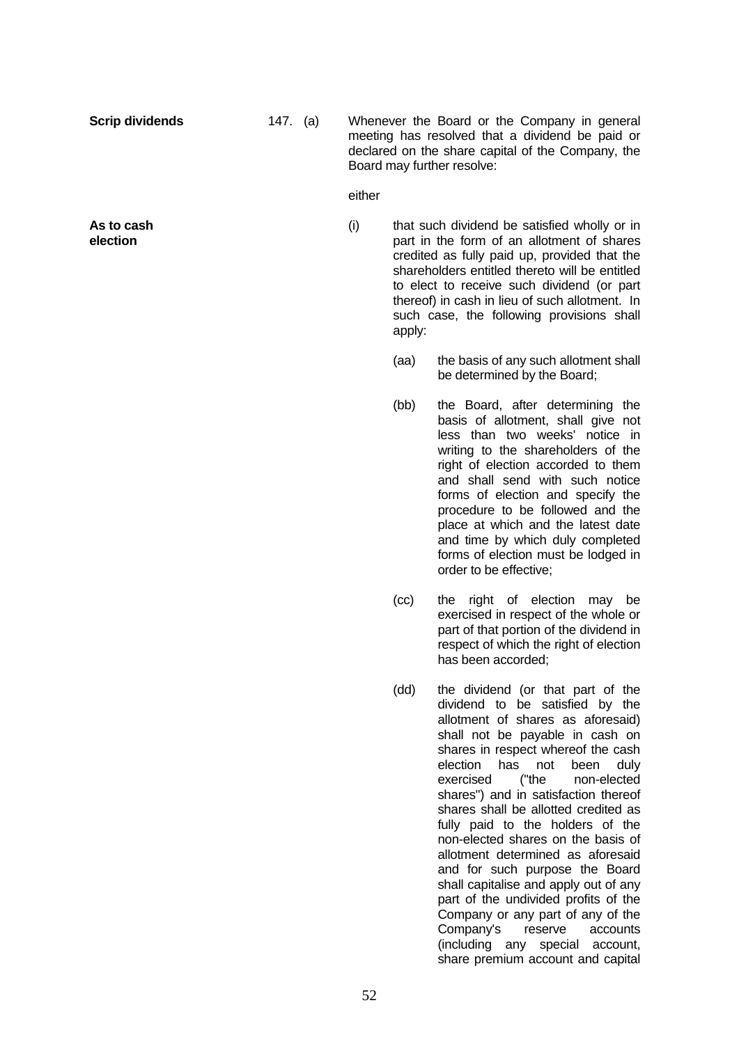**Scrip dividends** 147. (a) Whenever the Board or the Company in general meeting has resolved that a dividend be paid or declared on the share capital of the Company, the Board may further resolve:

#### either

 (i) that such dividend be satisfied wholly or in part in the form of an allotment of shares credited as fully paid up, provided that the shareholders entitled thereto will be entitled to elect to receive such dividend (or part thereof) in cash in lieu of such allotment. In such case, the following provisions shall apply:

- (aa) the basis of any such allotment shall be determined by the Board;
- (bb) the Board, after determining the basis of allotment, shall give not less than two weeks' notice in writing to the shareholders of the right of election accorded to them and shall send with such notice forms of election and specify the procedure to be followed and the place at which and the latest date and time by which duly completed forms of election must be lodged in order to be effective;
- (cc) the right of election may be exercised in respect of the whole or part of that portion of the dividend in respect of which the right of election has been accorded;
- (dd) the dividend (or that part of the dividend to be satisfied by the allotment of shares as aforesaid) shall not be payable in cash on shares in respect whereof the cash election has not been duly exercised ("the non-elected shares") and in satisfaction thereof shares shall be allotted credited as fully paid to the holders of the non-elected shares on the basis of allotment determined as aforesaid and for such purpose the Board shall capitalise and apply out of any part of the undivided profits of the Company or any part of any of the Company's reserve accounts (including any special account, share premium account and capital

**As to cash election**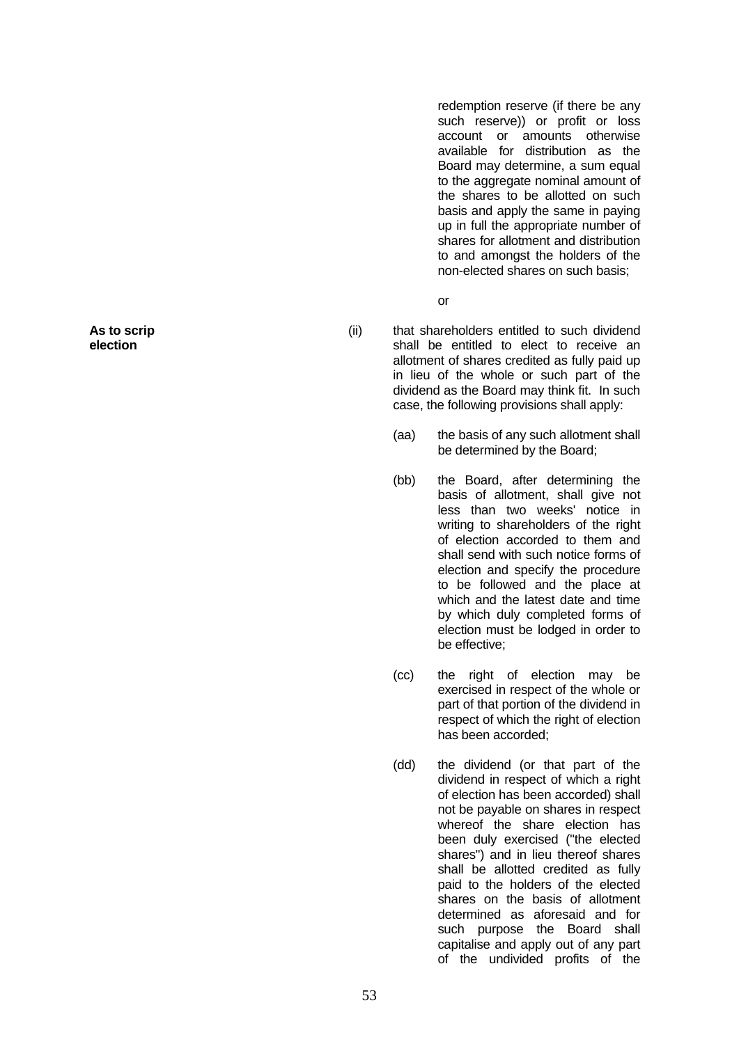redemption reserve (if there be any such reserve)) or profit or loss account or amounts otherwise available for distribution as the Board may determine, a sum equal to the aggregate nominal amount of the shares to be allotted on such basis and apply the same in paying up in full the appropriate number of shares for allotment and distribution to and amongst the holders of the non-elected shares on such basis;

**or** and the state of the state of the state of the state of the state of the state of the state of the state of the state of the state of the state of the state of the state of the state of the state of the state of the s

- (ii) that shareholders entitled to such dividend shall be entitled to elect to receive an allotment of shares credited as fully paid up in lieu of the whole or such part of the dividend as the Board may think fit. In such case, the following provisions shall apply:
	- (aa) the basis of any such allotment shall be determined by the Board;
	- (bb) the Board, after determining the basis of allotment, shall give not less than two weeks' notice in writing to shareholders of the right of election accorded to them and shall send with such notice forms of election and specify the procedure to be followed and the place at which and the latest date and time by which duly completed forms of election must be lodged in order to be effective;
	- (cc) the right of election may be exercised in respect of the whole or part of that portion of the dividend in respect of which the right of election has been accorded;
	- (dd) the dividend (or that part of the dividend in respect of which a right of election has been accorded) shall not be payable on shares in respect whereof the share election has been duly exercised ("the elected shares") and in lieu thereof shares shall be allotted credited as fully paid to the holders of the elected shares on the basis of allotment determined as aforesaid and for such purpose the Board shall capitalise and apply out of any part of the undivided profits of the

**As to scrip election**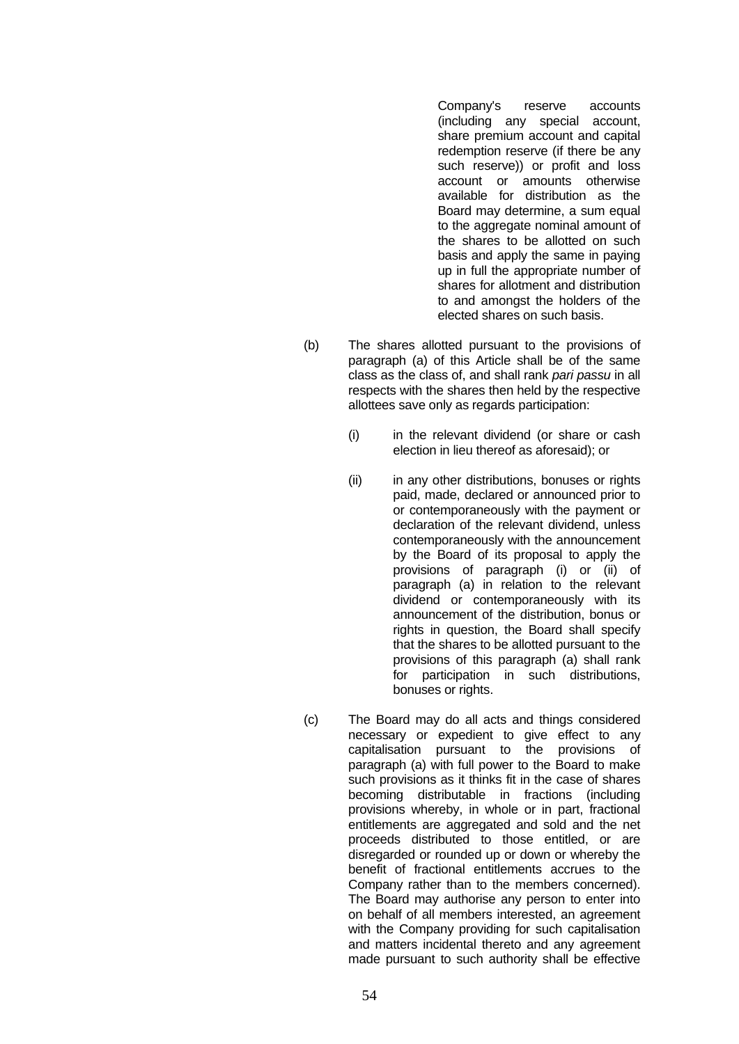Company's reserve accounts (including any special account, share premium account and capital redemption reserve (if there be any such reserve)) or profit and loss account or amounts otherwise available for distribution as the Board may determine, a sum equal to the aggregate nominal amount of the shares to be allotted on such basis and apply the same in paying up in full the appropriate number of shares for allotment and distribution to and amongst the holders of the elected shares on such basis.

- (b) The shares allotted pursuant to the provisions of paragraph (a) of this Article shall be of the same class as the class of, and shall rank *pari passu* in all respects with the shares then held by the respective allottees save only as regards participation:
	- (i) in the relevant dividend (or share or cash election in lieu thereof as aforesaid); or
	- (ii) in any other distributions, bonuses or rights paid, made, declared or announced prior to or contemporaneously with the payment or declaration of the relevant dividend, unless contemporaneously with the announcement by the Board of its proposal to apply the provisions of paragraph (i) or (ii) of paragraph (a) in relation to the relevant dividend or contemporaneously with its announcement of the distribution, bonus or rights in question, the Board shall specify that the shares to be allotted pursuant to the provisions of this paragraph (a) shall rank for participation in such distributions, bonuses or rights.
- (c) The Board may do all acts and things considered necessary or expedient to give effect to any capitalisation pursuant to the provisions of paragraph (a) with full power to the Board to make such provisions as it thinks fit in the case of shares becoming distributable in fractions (including provisions whereby, in whole or in part, fractional entitlements are aggregated and sold and the net proceeds distributed to those entitled, or are disregarded or rounded up or down or whereby the benefit of fractional entitlements accrues to the Company rather than to the members concerned). The Board may authorise any person to enter into on behalf of all members interested, an agreement with the Company providing for such capitalisation and matters incidental thereto and any agreement made pursuant to such authority shall be effective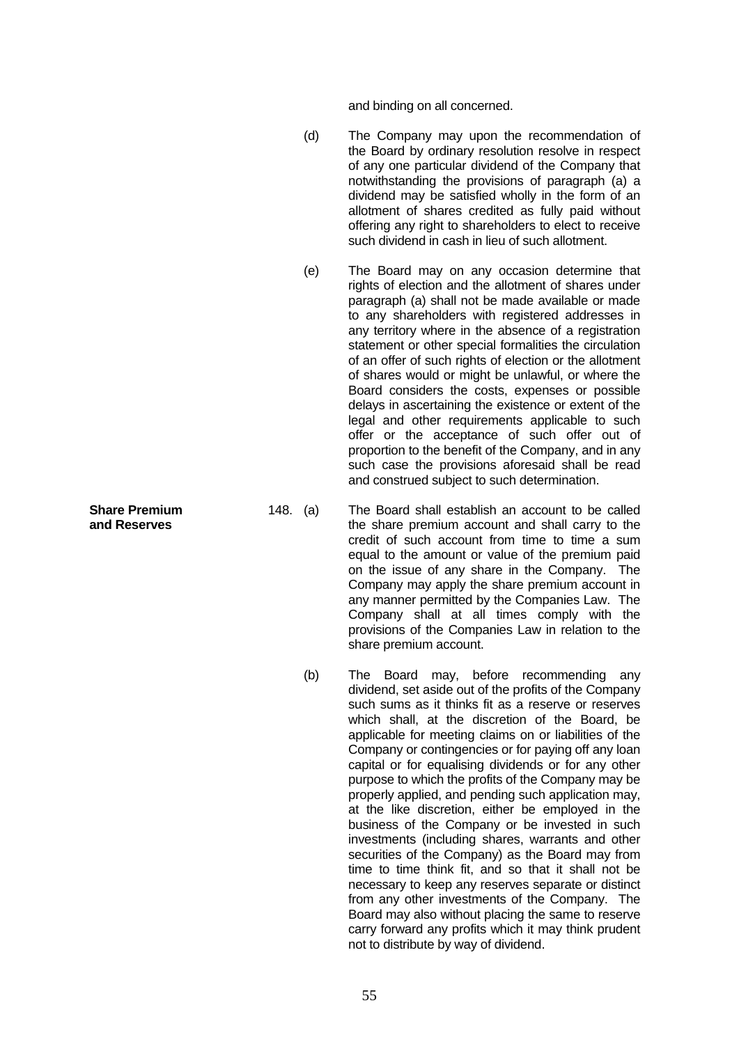and binding on all concerned.

- (d) The Company may upon the recommendation of the Board by ordinary resolution resolve in respect of any one particular dividend of the Company that notwithstanding the provisions of paragraph (a) a dividend may be satisfied wholly in the form of an allotment of shares credited as fully paid without offering any right to shareholders to elect to receive such dividend in cash in lieu of such allotment.
- (e) The Board may on any occasion determine that rights of election and the allotment of shares under paragraph (a) shall not be made available or made to any shareholders with registered addresses in any territory where in the absence of a registration statement or other special formalities the circulation of an offer of such rights of election or the allotment of shares would or might be unlawful, or where the Board considers the costs, expenses or possible delays in ascertaining the existence or extent of the legal and other requirements applicable to such offer or the acceptance of such offer out of proportion to the benefit of the Company, and in any such case the provisions aforesaid shall be read and construed subject to such determination.
- 148. (a) The Board shall establish an account to be called the share premium account and shall carry to the credit of such account from time to time a sum equal to the amount or value of the premium paid on the issue of any share in the Company. The Company may apply the share premium account in any manner permitted by the Companies Law. The Company shall at all times comply with the provisions of the Companies Law in relation to the share premium account.
	- (b) The Board may, before recommending any dividend, set aside out of the profits of the Company such sums as it thinks fit as a reserve or reserves which shall, at the discretion of the Board, be applicable for meeting claims on or liabilities of the Company or contingencies or for paying off any loan capital or for equalising dividends or for any other purpose to which the profits of the Company may be properly applied, and pending such application may, at the like discretion, either be employed in the business of the Company or be invested in such investments (including shares, warrants and other securities of the Company) as the Board may from time to time think fit, and so that it shall not be necessary to keep any reserves separate or distinct from any other investments of the Company. The Board may also without placing the same to reserve carry forward any profits which it may think prudent not to distribute by way of dividend.

**Share Premium and Reserves**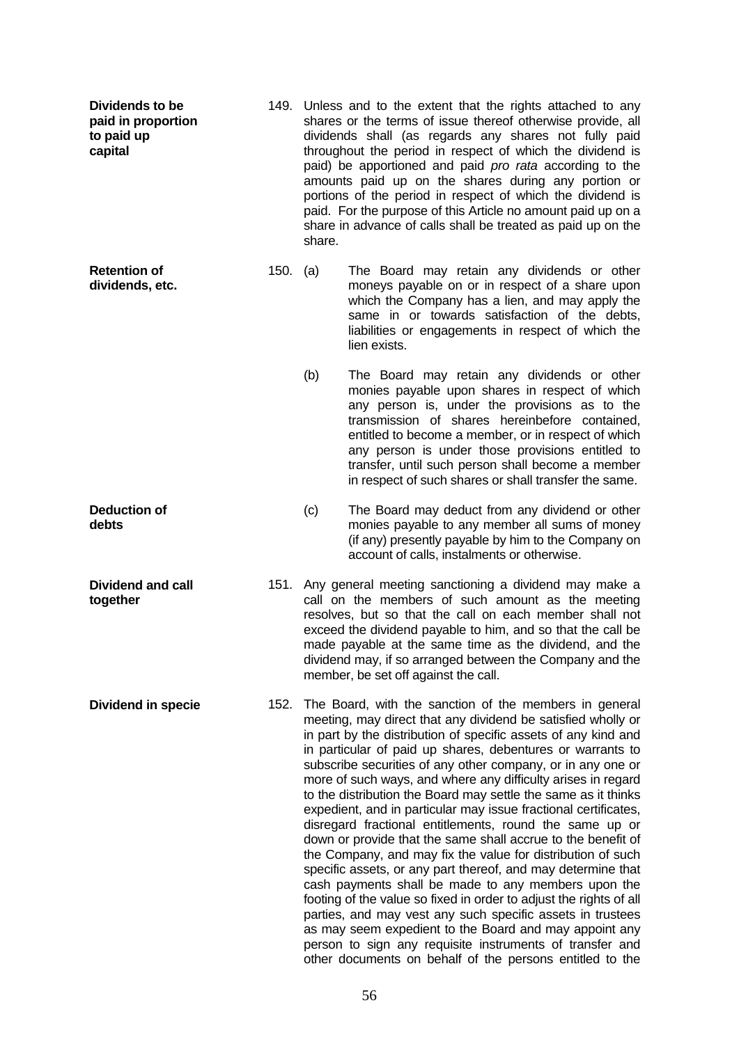| Dividends to be<br>paid in proportion<br>to paid up<br>capital |          | 149. Unless and to the extent that the rights attached to any<br>shares or the terms of issue thereof otherwise provide, all<br>dividends shall (as regards any shares not fully paid<br>throughout the period in respect of which the dividend is<br>paid) be apportioned and paid pro rata according to the<br>amounts paid up on the shares during any portion or<br>portions of the period in respect of which the dividend is<br>paid. For the purpose of this Article no amount paid up on a<br>share in advance of calls shall be treated as paid up on the<br>share.                                                                                                                                                                                                                                                                                                                                                                                                                                                                                                                                                                                      |                                                                                                                                                                                                                                                                                                                                                                                                                           |
|----------------------------------------------------------------|----------|-------------------------------------------------------------------------------------------------------------------------------------------------------------------------------------------------------------------------------------------------------------------------------------------------------------------------------------------------------------------------------------------------------------------------------------------------------------------------------------------------------------------------------------------------------------------------------------------------------------------------------------------------------------------------------------------------------------------------------------------------------------------------------------------------------------------------------------------------------------------------------------------------------------------------------------------------------------------------------------------------------------------------------------------------------------------------------------------------------------------------------------------------------------------|---------------------------------------------------------------------------------------------------------------------------------------------------------------------------------------------------------------------------------------------------------------------------------------------------------------------------------------------------------------------------------------------------------------------------|
| <b>Retention of</b><br>dividends, etc.                         | 150. (a) |                                                                                                                                                                                                                                                                                                                                                                                                                                                                                                                                                                                                                                                                                                                                                                                                                                                                                                                                                                                                                                                                                                                                                                   | The Board may retain any dividends or other<br>moneys payable on or in respect of a share upon<br>which the Company has a lien, and may apply the<br>same in or towards satisfaction of the debts,<br>liabilities or engagements in respect of which the<br>lien exists.                                                                                                                                                  |
|                                                                |          | (b)                                                                                                                                                                                                                                                                                                                                                                                                                                                                                                                                                                                                                                                                                                                                                                                                                                                                                                                                                                                                                                                                                                                                                               | The Board may retain any dividends or other<br>monies payable upon shares in respect of which<br>any person is, under the provisions as to the<br>transmission of shares hereinbefore contained,<br>entitled to become a member, or in respect of which<br>any person is under those provisions entitled to<br>transfer, until such person shall become a member<br>in respect of such shares or shall transfer the same. |
| <b>Deduction of</b><br>debts                                   |          | (c)                                                                                                                                                                                                                                                                                                                                                                                                                                                                                                                                                                                                                                                                                                                                                                                                                                                                                                                                                                                                                                                                                                                                                               | The Board may deduct from any dividend or other<br>monies payable to any member all sums of money<br>(if any) presently payable by him to the Company on<br>account of calls, instalments or otherwise.                                                                                                                                                                                                                   |
| Dividend and call<br>together                                  | 151.     |                                                                                                                                                                                                                                                                                                                                                                                                                                                                                                                                                                                                                                                                                                                                                                                                                                                                                                                                                                                                                                                                                                                                                                   | Any general meeting sanctioning a dividend may make a<br>call on the members of such amount as the meeting<br>resolves, but so that the call on each member shall not<br>exceed the dividend payable to him, and so that the call be<br>made payable at the same time as the dividend, and the<br>dividend may, if so arranged between the Company and the<br>member, be set off against the call.                        |
| <b>Dividend in specie</b>                                      | 152.     | The Board, with the sanction of the members in general<br>meeting, may direct that any dividend be satisfied wholly or<br>in part by the distribution of specific assets of any kind and<br>in particular of paid up shares, debentures or warrants to<br>subscribe securities of any other company, or in any one or<br>more of such ways, and where any difficulty arises in regard<br>to the distribution the Board may settle the same as it thinks<br>expedient, and in particular may issue fractional certificates,<br>disregard fractional entitlements, round the same up or<br>down or provide that the same shall accrue to the benefit of<br>the Company, and may fix the value for distribution of such<br>specific assets, or any part thereof, and may determine that<br>cash payments shall be made to any members upon the<br>footing of the value so fixed in order to adjust the rights of all<br>parties, and may vest any such specific assets in trustees<br>as may seem expedient to the Board and may appoint any<br>person to sign any requisite instruments of transfer and<br>other documents on behalf of the persons entitled to the |                                                                                                                                                                                                                                                                                                                                                                                                                           |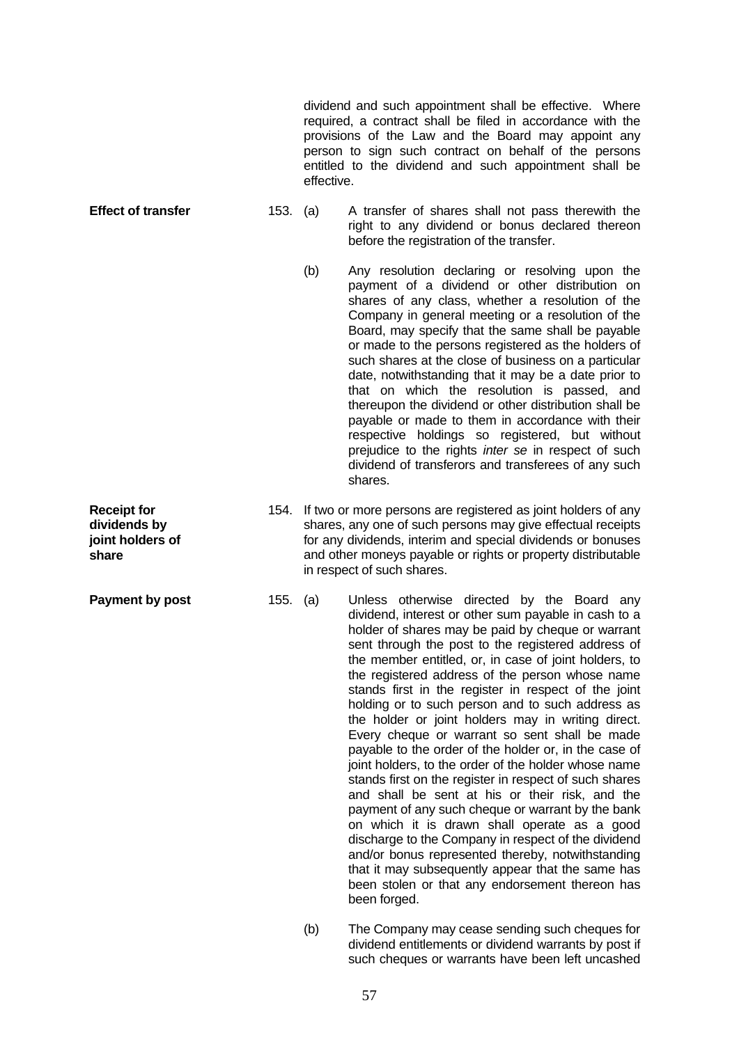dividend and such appointment shall be effective. Where required, a contract shall be filed in accordance with the provisions of the Law and the Board may appoint any person to sign such contract on behalf of the persons entitled to the dividend and such appointment shall be effective.

- **Effect of transfer** 153. (a) A transfer of shares shall not pass therewith the right to any dividend or bonus declared thereon before the registration of the transfer.
	- (b) Any resolution declaring or resolving upon the payment of a dividend or other distribution on shares of any class, whether a resolution of the Company in general meeting or a resolution of the Board, may specify that the same shall be payable or made to the persons registered as the holders of such shares at the close of business on a particular date, notwithstanding that it may be a date prior to that on which the resolution is passed, and thereupon the dividend or other distribution shall be payable or made to them in accordance with their respective holdings so registered, but without prejudice to the rights *inter se* in respect of such dividend of transferors and transferees of any such shares.
	- 154. If two or more persons are registered as joint holders of any shares, any one of such persons may give effectual receipts for any dividends, interim and special dividends or bonuses and other moneys payable or rights or property distributable in respect of such shares.
- **Payment by post** 155. (a) Unless otherwise directed by the Board any dividend, interest or other sum payable in cash to a holder of shares may be paid by cheque or warrant sent through the post to the registered address of the member entitled, or, in case of joint holders, to the registered address of the person whose name stands first in the register in respect of the joint holding or to such person and to such address as the holder or joint holders may in writing direct. Every cheque or warrant so sent shall be made payable to the order of the holder or, in the case of joint holders, to the order of the holder whose name stands first on the register in respect of such shares and shall be sent at his or their risk, and the payment of any such cheque or warrant by the bank on which it is drawn shall operate as a good discharge to the Company in respect of the dividend and/or bonus represented thereby, notwithstanding that it may subsequently appear that the same has been stolen or that any endorsement thereon has been forged.
	- (b) The Company may cease sending such cheques for dividend entitlements or dividend warrants by post if such cheques or warrants have been left uncashed

57

**Receipt for dividends by joint holders of share**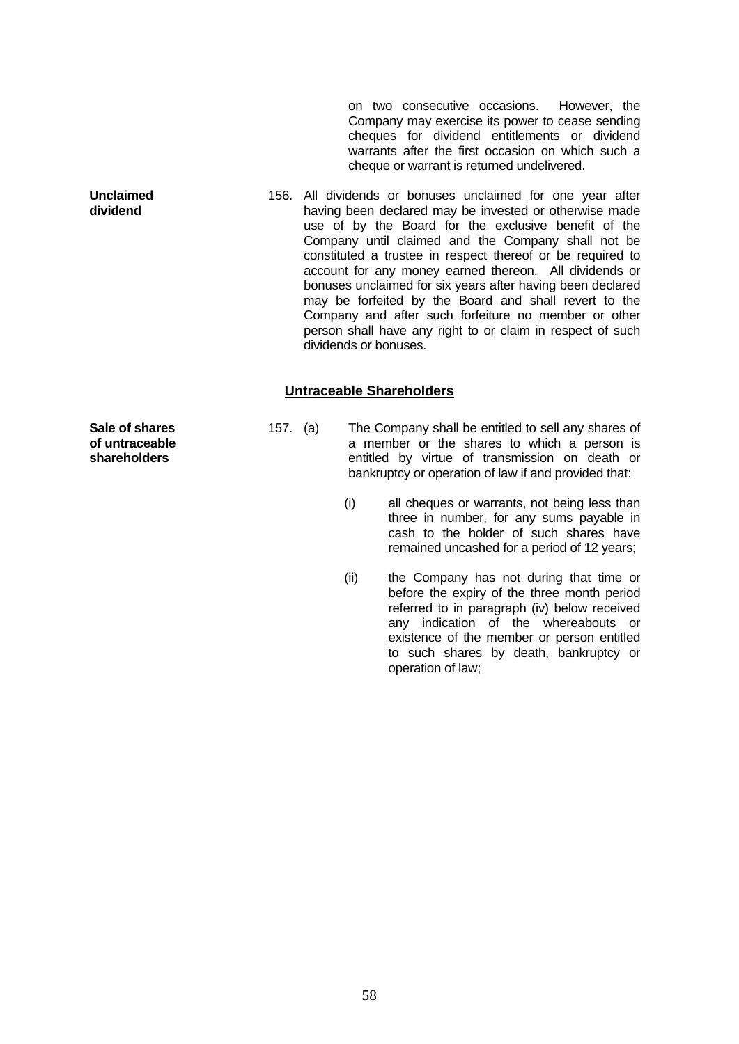on two consecutive occasions. However, the Company may exercise its power to cease sending cheques for dividend entitlements or dividend warrants after the first occasion on which such a cheque or warrant is returned undelivered.

156. All dividends or bonuses unclaimed for one year after having been declared may be invested or otherwise made use of by the Board for the exclusive benefit of the Company until claimed and the Company shall not be constituted a trustee in respect thereof or be required to account for any money earned thereon. All dividends or bonuses unclaimed for six years after having been declared may be forfeited by the Board and shall revert to the Company and after such forfeiture no member or other person shall have any right to or claim in respect of such dividends or bonuses.

### **Untraceable Shareholders**

**Sale of shares of untraceable shareholders**

**Unclaimed dividend**

- 157. (a) The Company shall be entitled to sell any shares of a member or the shares to which a person is entitled by virtue of transmission on death or bankruptcy or operation of law if and provided that:
	- (i) all cheques or warrants, not being less than three in number, for any sums payable in cash to the holder of such shares have remained uncashed for a period of 12 years;
	- (ii) the Company has not during that time or before the expiry of the three month period referred to in paragraph (iv) below received any indication of the whereabouts or existence of the member or person entitled to such shares by death, bankruptcy or operation of law;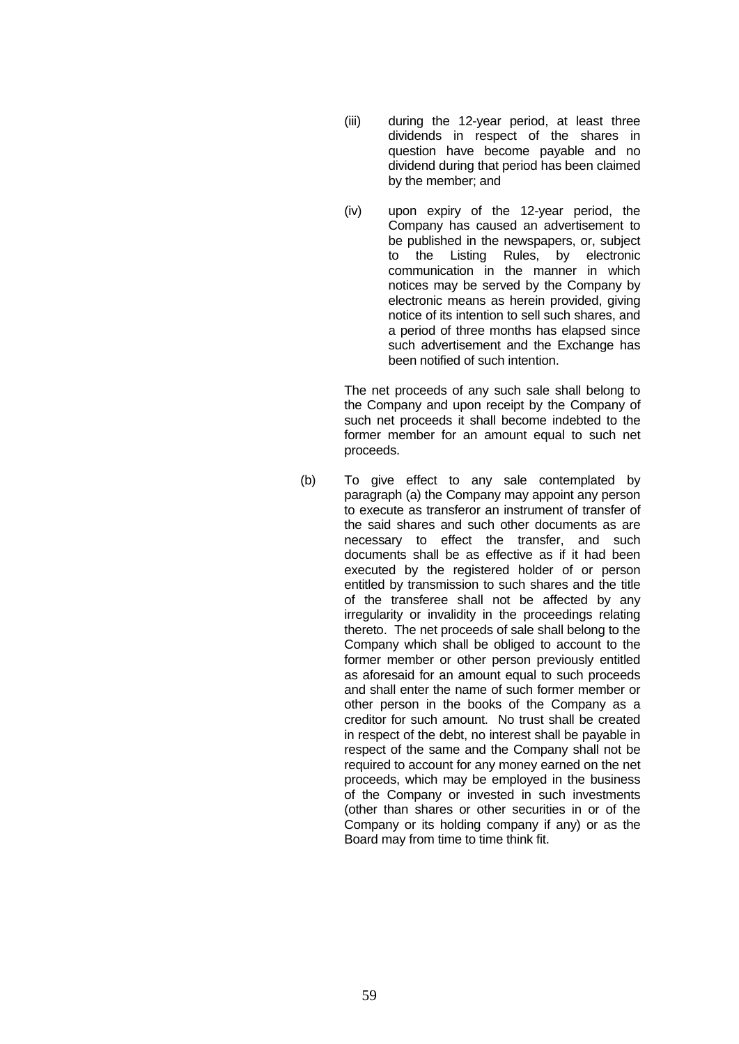- (iii) during the 12-year period, at least three dividends in respect of the shares in question have become payable and no dividend during that period has been claimed by the member; and
- (iv) upon expiry of the 12-year period, the Company has caused an advertisement to be published in the newspapers, or, subject to the Listing Rules, by electronic communication in the manner in which notices may be served by the Company by electronic means as herein provided, giving notice of its intention to sell such shares, and a period of three months has elapsed since such advertisement and the Exchange has been notified of such intention.

The net proceeds of any such sale shall belong to the Company and upon receipt by the Company of such net proceeds it shall become indebted to the former member for an amount equal to such net proceeds.

(b) To give effect to any sale contemplated by paragraph (a) the Company may appoint any person to execute as transferor an instrument of transfer of the said shares and such other documents as are necessary to effect the transfer, and such documents shall be as effective as if it had been executed by the registered holder of or person entitled by transmission to such shares and the title of the transferee shall not be affected by any irregularity or invalidity in the proceedings relating thereto. The net proceeds of sale shall belong to the Company which shall be obliged to account to the former member or other person previously entitled as aforesaid for an amount equal to such proceeds and shall enter the name of such former member or other person in the books of the Company as a creditor for such amount. No trust shall be created in respect of the debt, no interest shall be payable in respect of the same and the Company shall not be required to account for any money earned on the net proceeds, which may be employed in the business of the Company or invested in such investments (other than shares or other securities in or of the Company or its holding company if any) or as the Board may from time to time think fit.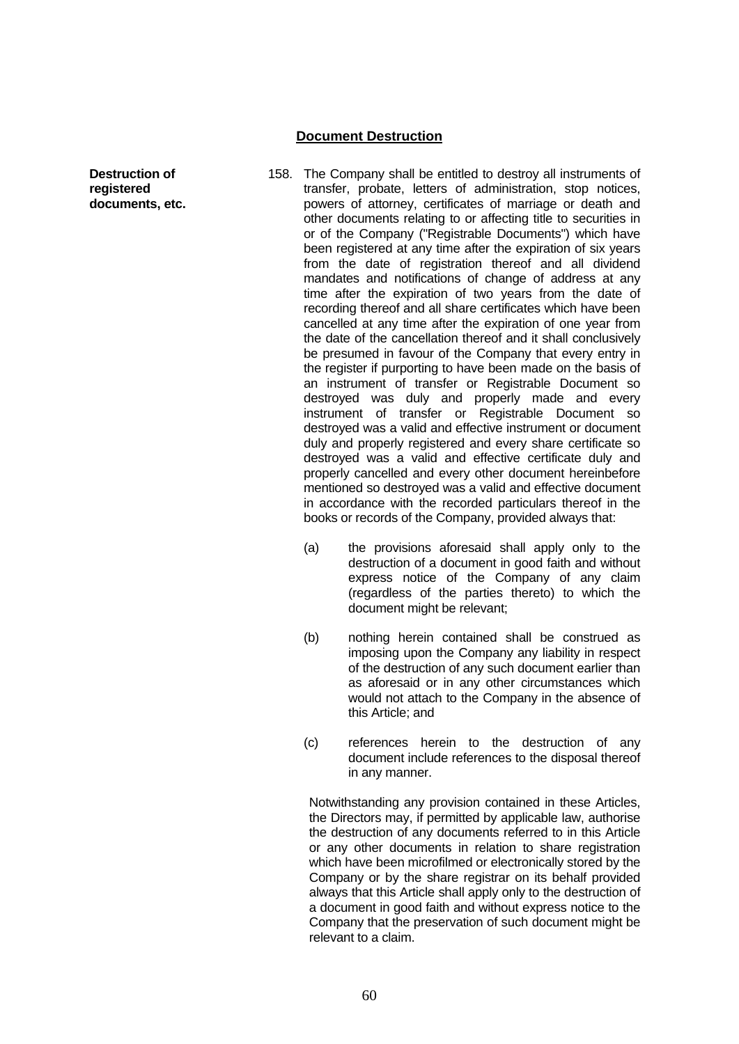#### **Document Destruction**

- **Destruction of registered documents, etc.**
- 158. The Company shall be entitled to destroy all instruments of transfer, probate, letters of administration, stop notices, powers of attorney, certificates of marriage or death and other documents relating to or affecting title to securities in or of the Company ("Registrable Documents") which have been registered at any time after the expiration of six years from the date of registration thereof and all dividend mandates and notifications of change of address at any time after the expiration of two years from the date of recording thereof and all share certificates which have been cancelled at any time after the expiration of one year from the date of the cancellation thereof and it shall conclusively be presumed in favour of the Company that every entry in the register if purporting to have been made on the basis of an instrument of transfer or Registrable Document so destroyed was duly and properly made and every instrument of transfer or Registrable Document so destroyed was a valid and effective instrument or document duly and properly registered and every share certificate so destroyed was a valid and effective certificate duly and properly cancelled and every other document hereinbefore mentioned so destroyed was a valid and effective document in accordance with the recorded particulars thereof in the books or records of the Company, provided always that:
	- (a) the provisions aforesaid shall apply only to the destruction of a document in good faith and without express notice of the Company of any claim (regardless of the parties thereto) to which the document might be relevant;
	- (b) nothing herein contained shall be construed as imposing upon the Company any liability in respect of the destruction of any such document earlier than as aforesaid or in any other circumstances which would not attach to the Company in the absence of this Article; and
	- (c) references herein to the destruction of any document include references to the disposal thereof in any manner.

Notwithstanding any provision contained in these Articles, the Directors may, if permitted by applicable law, authorise the destruction of any documents referred to in this Article or any other documents in relation to share registration which have been microfilmed or electronically stored by the Company or by the share registrar on its behalf provided always that this Article shall apply only to the destruction of a document in good faith and without express notice to the Company that the preservation of such document might be relevant to a claim.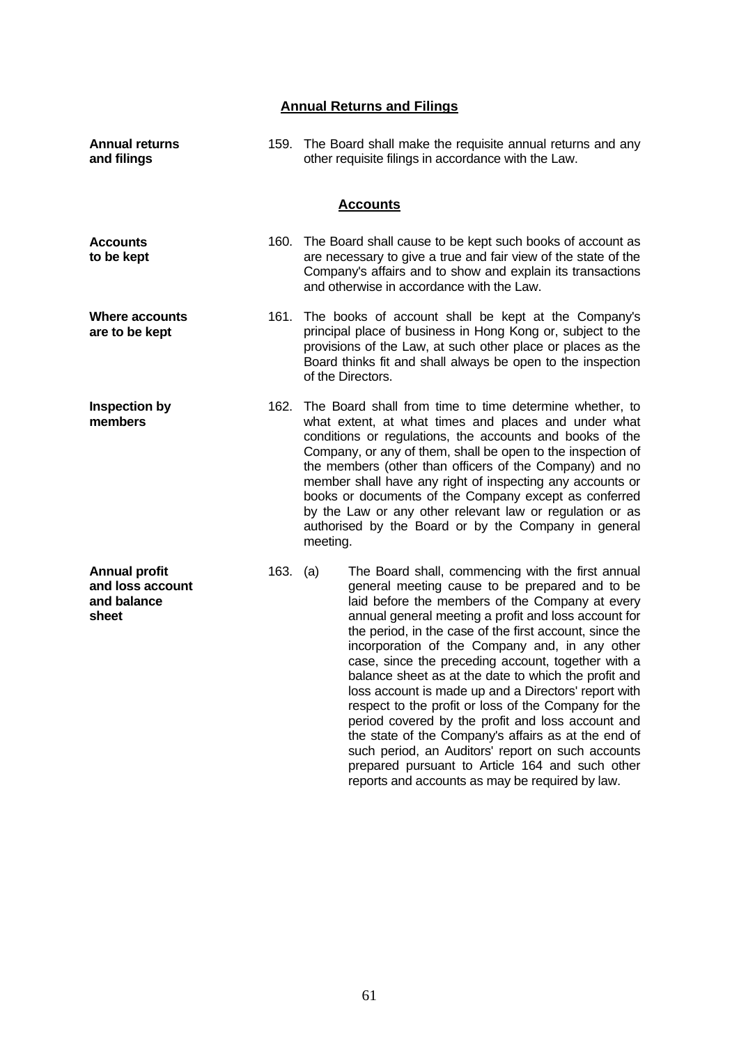# **Annual Returns and Filings**

| <b>Annual returns</b><br>and filings                             |          | 159. The Board shall make the requisite annual returns and any<br>other requisite filings in accordance with the Law.                                                                                                                                                                                                                                                                                                                                                                                                                                                                                                                                                                                                      |  |
|------------------------------------------------------------------|----------|----------------------------------------------------------------------------------------------------------------------------------------------------------------------------------------------------------------------------------------------------------------------------------------------------------------------------------------------------------------------------------------------------------------------------------------------------------------------------------------------------------------------------------------------------------------------------------------------------------------------------------------------------------------------------------------------------------------------------|--|
|                                                                  |          | <b>Accounts</b>                                                                                                                                                                                                                                                                                                                                                                                                                                                                                                                                                                                                                                                                                                            |  |
| <b>Accounts</b><br>to be kept                                    |          | 160. The Board shall cause to be kept such books of account as<br>are necessary to give a true and fair view of the state of the<br>Company's affairs and to show and explain its transactions<br>and otherwise in accordance with the Law.                                                                                                                                                                                                                                                                                                                                                                                                                                                                                |  |
| Where accounts<br>are to be kept                                 |          | 161. The books of account shall be kept at the Company's<br>principal place of business in Hong Kong or, subject to the<br>provisions of the Law, at such other place or places as the<br>Board thinks fit and shall always be open to the inspection<br>of the Directors.                                                                                                                                                                                                                                                                                                                                                                                                                                                 |  |
| <b>Inspection by</b><br>members                                  | 162.     | The Board shall from time to time determine whether, to<br>what extent, at what times and places and under what<br>conditions or regulations, the accounts and books of the<br>Company, or any of them, shall be open to the inspection of<br>the members (other than officers of the Company) and no<br>member shall have any right of inspecting any accounts or<br>books or documents of the Company except as conferred<br>by the Law or any other relevant law or regulation or as<br>authorised by the Board or by the Company in general<br>meeting.                                                                                                                                                                |  |
| <b>Annual profit</b><br>and loss account<br>and balance<br>sheet | 163. (a) | The Board shall, commencing with the first annual<br>general meeting cause to be prepared and to be<br>laid before the members of the Company at every<br>annual general meeting a profit and loss account for<br>the period, in the case of the first account, since the<br>incorporation of the Company and, in any other<br>case, since the preceding account, together with a<br>balance sheet as at the date to which the profit and<br>loss account is made up and a Directors' report with<br>respect to the profit or loss of the Company for the<br>period covered by the profit and loss account and<br>the state of the Company's affairs as at the end of<br>such period, an Auditors' report on such accounts |  |

prepared pursuant to Article 164 and such other reports and accounts as may be required by law.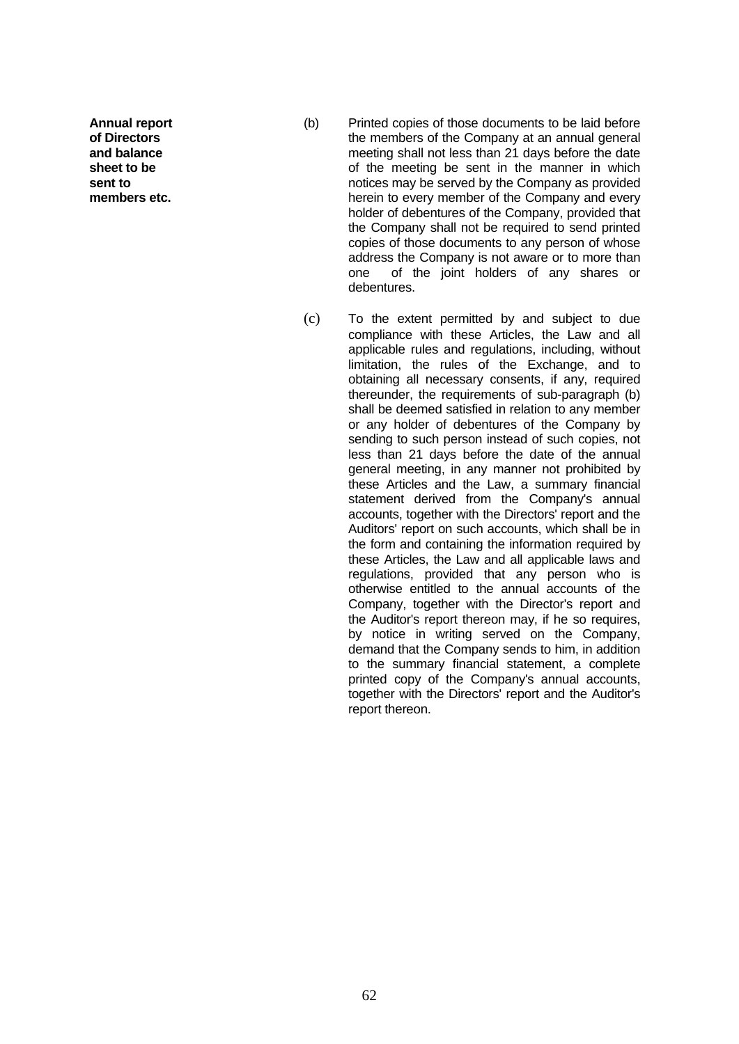**Annual report of Directors and balance sheet to be sent to members etc.**

- (b) Printed copies of those documents to be laid before the members of the Company at an annual general meeting shall not less than 21 days before the date of the meeting be sent in the manner in which notices may be served by the Company as provided herein to every member of the Company and every holder of debentures of the Company, provided that the Company shall not be required to send printed copies of those documents to any person of whose address the Company is not aware or to more than one of the joint holders of any shares or debentures.
- (c) To the extent permitted by and subject to due compliance with these Articles, the Law and all applicable rules and regulations, including, without limitation, the rules of the Exchange, and to obtaining all necessary consents, if any, required thereunder, the requirements of sub-paragraph (b) shall be deemed satisfied in relation to any member or any holder of debentures of the Company by sending to such person instead of such copies, not less than 21 days before the date of the annual general meeting, in any manner not prohibited by these Articles and the Law, a summary financial statement derived from the Company's annual accounts, together with the Directors' report and the Auditors' report on such accounts, which shall be in the form and containing the information required by these Articles, the Law and all applicable laws and regulations, provided that any person who is otherwise entitled to the annual accounts of the Company, together with the Director's report and the Auditor's report thereon may, if he so requires, by notice in writing served on the Company, demand that the Company sends to him, in addition to the summary financial statement, a complete printed copy of the Company's annual accounts, together with the Directors' report and the Auditor's report thereon.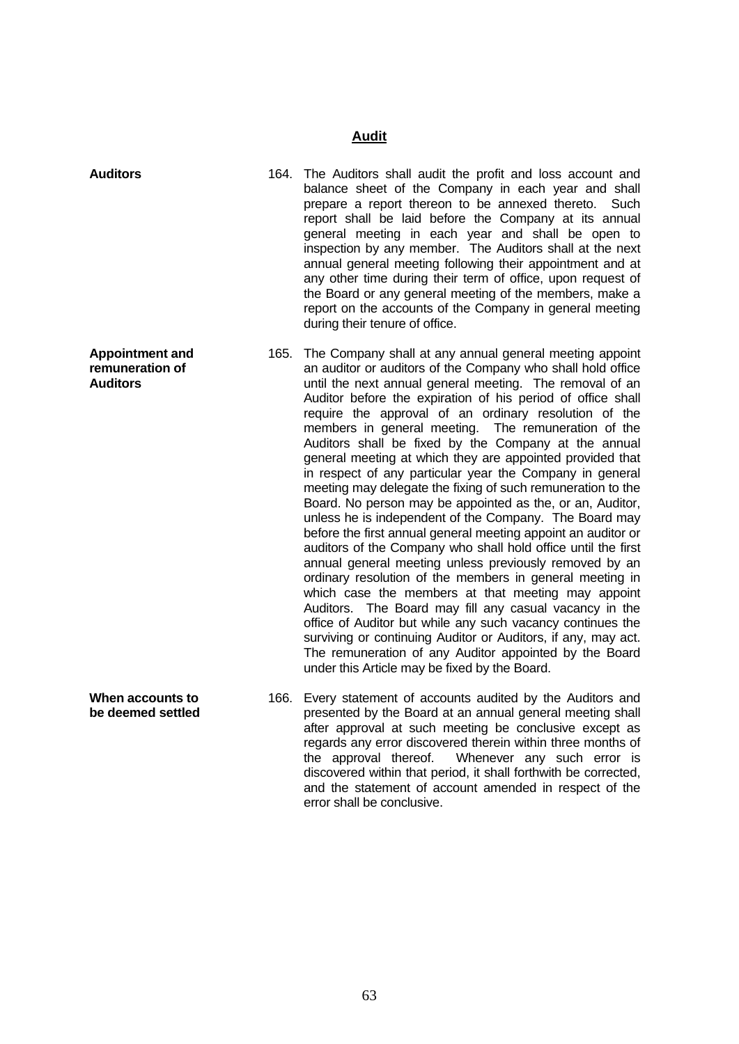# **Audit**

| <b>Auditors</b>                                              |      | 164. The Auditors shall audit the profit and loss account and<br>balance sheet of the Company in each year and shall<br>prepare a report thereon to be annexed thereto.<br>Such<br>report shall be laid before the Company at its annual<br>general meeting in each year and shall be open to<br>inspection by any member. The Auditors shall at the next<br>annual general meeting following their appointment and at<br>any other time during their term of office, upon request of<br>the Board or any general meeting of the members, make a<br>report on the accounts of the Company in general meeting<br>during their tenure of office.                                                                                                                                                                                                                                                                                                                                                                                                                                                                                                                                                                                                                                                                                                             |
|--------------------------------------------------------------|------|------------------------------------------------------------------------------------------------------------------------------------------------------------------------------------------------------------------------------------------------------------------------------------------------------------------------------------------------------------------------------------------------------------------------------------------------------------------------------------------------------------------------------------------------------------------------------------------------------------------------------------------------------------------------------------------------------------------------------------------------------------------------------------------------------------------------------------------------------------------------------------------------------------------------------------------------------------------------------------------------------------------------------------------------------------------------------------------------------------------------------------------------------------------------------------------------------------------------------------------------------------------------------------------------------------------------------------------------------------|
| <b>Appointment and</b><br>remuneration of<br><b>Auditors</b> | 165. | The Company shall at any annual general meeting appoint<br>an auditor or auditors of the Company who shall hold office<br>until the next annual general meeting. The removal of an<br>Auditor before the expiration of his period of office shall<br>require the approval of an ordinary resolution of the<br>members in general meeting. The remuneration of the<br>Auditors shall be fixed by the Company at the annual<br>general meeting at which they are appointed provided that<br>in respect of any particular year the Company in general<br>meeting may delegate the fixing of such remuneration to the<br>Board. No person may be appointed as the, or an, Auditor,<br>unless he is independent of the Company. The Board may<br>before the first annual general meeting appoint an auditor or<br>auditors of the Company who shall hold office until the first<br>annual general meeting unless previously removed by an<br>ordinary resolution of the members in general meeting in<br>which case the members at that meeting may appoint<br>Auditors. The Board may fill any casual vacancy in the<br>office of Auditor but while any such vacancy continues the<br>surviving or continuing Auditor or Auditors, if any, may act.<br>The remuneration of any Auditor appointed by the Board<br>under this Article may be fixed by the Board. |
| When accounts to<br>be deemed settled                        | 166. | Every statement of accounts audited by the Auditors and<br>presented by the Board at an annual general meeting shall<br>after approval at such meeting be conclusive except as<br>regards any error discovered therein within three months of<br>the approval thereof.<br>Whenever any such error is<br>discovered within that period, it shall forthwith be corrected,                                                                                                                                                                                                                                                                                                                                                                                                                                                                                                                                                                                                                                                                                                                                                                                                                                                                                                                                                                                    |

error shall be conclusive.

and the statement of account amended in respect of the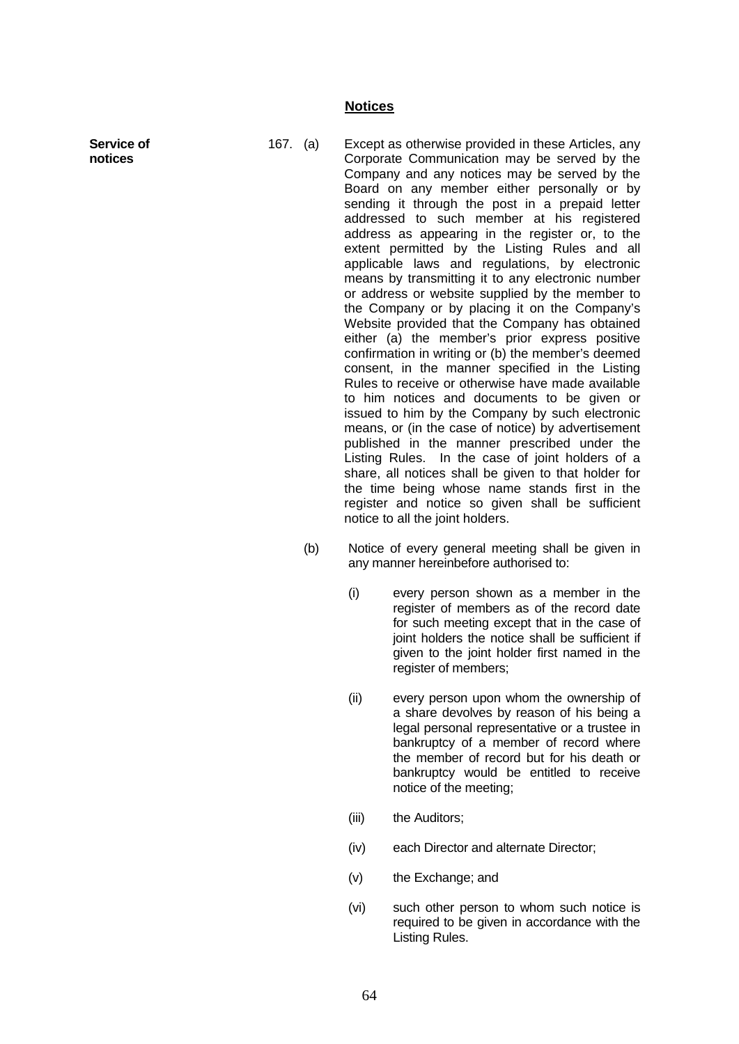#### **Notices**

**Service of notices**

167. (a) Except as otherwise provided in these Articles, any Corporate Communication may be served by the Company and any notices may be served by the Board on any member either personally or by sending it through the post in a prepaid letter addressed to such member at his registered address as appearing in the register or, to the extent permitted by the Listing Rules and all applicable laws and regulations, by electronic means by transmitting it to any electronic number or address or website supplied by the member to the Company or by placing it on the Company's Website provided that the Company has obtained either (a) the member's prior express positive confirmation in writing or (b) the member's deemed consent, in the manner specified in the Listing Rules to receive or otherwise have made available to him notices and documents to be given or issued to him by the Company by such electronic means, or (in the case of notice) by advertisement published in the manner prescribed under the Listing Rules. In the case of joint holders of a share, all notices shall be given to that holder for the time being whose name stands first in the register and notice so given shall be sufficient notice to all the joint holders.

- (b) Notice of every general meeting shall be given in any manner hereinbefore authorised to:
	- (i) every person shown as a member in the register of members as of the record date for such meeting except that in the case of joint holders the notice shall be sufficient if given to the joint holder first named in the register of members:
	- (ii) every person upon whom the ownership of a share devolves by reason of his being a legal personal representative or a trustee in bankruptcy of a member of record where the member of record but for his death or bankruptcy would be entitled to receive notice of the meeting;
	- (iii) the Auditors:
	- (iv) each Director and alternate Director;
	- (v) the Exchange; and
	- (vi) such other person to whom such notice is required to be given in accordance with the Listing Rules.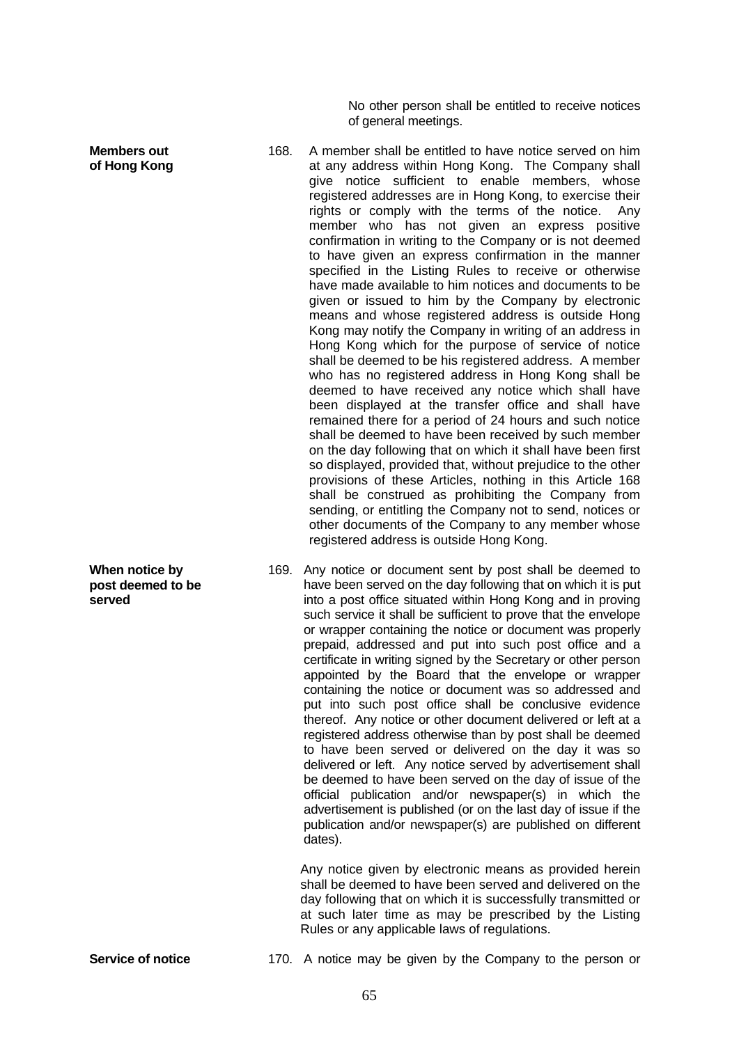No other person shall be entitled to receive notices of general meetings.

- 168. A member shall be entitled to have notice served on him at any address within Hong Kong. The Company shall give notice sufficient to enable members, whose registered addresses are in Hong Kong, to exercise their rights or comply with the terms of the notice. Any member who has not given an express positive confirmation in writing to the Company or is not deemed to have given an express confirmation in the manner specified in the Listing Rules to receive or otherwise have made available to him notices and documents to be given or issued to him by the Company by electronic means and whose registered address is outside Hong Kong may notify the Company in writing of an address in Hong Kong which for the purpose of service of notice shall be deemed to be his registered address. A member who has no registered address in Hong Kong shall be deemed to have received any notice which shall have been displayed at the transfer office and shall have remained there for a period of 24 hours and such notice shall be deemed to have been received by such member on the day following that on which it shall have been first so displayed, provided that, without prejudice to the other provisions of these Articles, nothing in this Article 168 shall be construed as prohibiting the Company from sending, or entitling the Company not to send, notices or other documents of the Company to any member whose registered address is outside Hong Kong.
	- 169. Any notice or document sent by post shall be deemed to have been served on the day following that on which it is put into a post office situated within Hong Kong and in proving such service it shall be sufficient to prove that the envelope or wrapper containing the notice or document was properly prepaid, addressed and put into such post office and a certificate in writing signed by the Secretary or other person appointed by the Board that the envelope or wrapper containing the notice or document was so addressed and put into such post office shall be conclusive evidence thereof. Any notice or other document delivered or left at a registered address otherwise than by post shall be deemed to have been served or delivered on the day it was so delivered or left. Any notice served by advertisement shall be deemed to have been served on the day of issue of the official publication and/or newspaper(s) in which the advertisement is published (or on the last day of issue if the publication and/or newspaper(s) are published on different dates).

Any notice given by electronic means as provided herein shall be deemed to have been served and delivered on the day following that on which it is successfully transmitted or at such later time as may be prescribed by the Listing Rules or any applicable laws of regulations.

**When notice by post deemed to be** 

**served**

**Members out of Hong Kong**

**Service of notice** 170. A notice may be given by the Company to the person or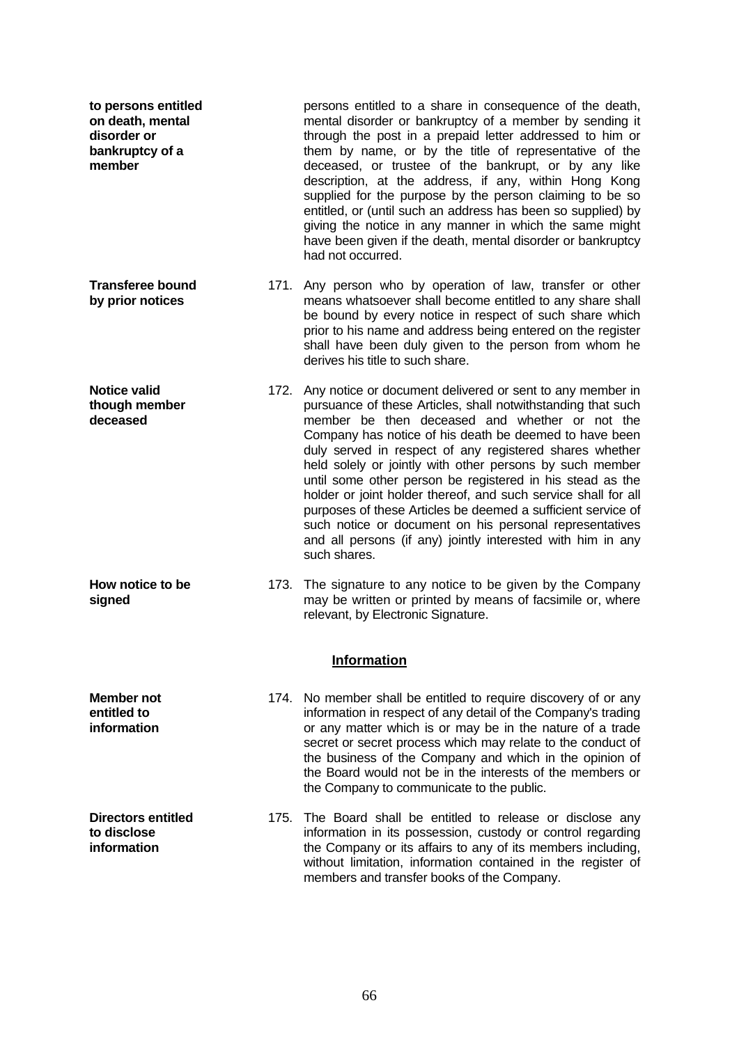| to persons entitled<br>on death, mental<br>disorder or<br>bankruptcy of a<br>member |      | persons entitled to a share in consequence of the death,<br>mental disorder or bankruptcy of a member by sending it<br>through the post in a prepaid letter addressed to him or<br>them by name, or by the title of representative of the<br>deceased, or trustee of the bankrupt, or by any like<br>description, at the address, if any, within Hong Kong<br>supplied for the purpose by the person claiming to be so<br>entitled, or (until such an address has been so supplied) by<br>giving the notice in any manner in which the same might<br>have been given if the death, mental disorder or bankruptcy<br>had not occurred.                                                                      |
|-------------------------------------------------------------------------------------|------|------------------------------------------------------------------------------------------------------------------------------------------------------------------------------------------------------------------------------------------------------------------------------------------------------------------------------------------------------------------------------------------------------------------------------------------------------------------------------------------------------------------------------------------------------------------------------------------------------------------------------------------------------------------------------------------------------------|
| <b>Transferee bound</b><br>by prior notices                                         |      | 171. Any person who by operation of law, transfer or other<br>means whatsoever shall become entitled to any share shall<br>be bound by every notice in respect of such share which<br>prior to his name and address being entered on the register<br>shall have been duly given to the person from whom he<br>derives his title to such share.                                                                                                                                                                                                                                                                                                                                                             |
| <b>Notice valid</b><br>though member<br>deceased                                    |      | 172. Any notice or document delivered or sent to any member in<br>pursuance of these Articles, shall notwithstanding that such<br>member be then deceased and whether or not the<br>Company has notice of his death be deemed to have been<br>duly served in respect of any registered shares whether<br>held solely or jointly with other persons by such member<br>until some other person be registered in his stead as the<br>holder or joint holder thereof, and such service shall for all<br>purposes of these Articles be deemed a sufficient service of<br>such notice or document on his personal representatives<br>and all persons (if any) jointly interested with him in any<br>such shares. |
| How notice to be<br>signed                                                          |      | 173. The signature to any notice to be given by the Company<br>may be written or printed by means of facsimile or, where<br>relevant, by Electronic Signature.<br><b>Information</b>                                                                                                                                                                                                                                                                                                                                                                                                                                                                                                                       |
|                                                                                     |      |                                                                                                                                                                                                                                                                                                                                                                                                                                                                                                                                                                                                                                                                                                            |
| Member not<br>entitled to<br>information                                            |      | 174. No member shall be entitled to require discovery of or any<br>information in respect of any detail of the Company's trading<br>or any matter which is or may be in the nature of a trade<br>secret or secret process which may relate to the conduct of<br>the business of the Company and which in the opinion of<br>the Board would not be in the interests of the members or<br>the Company to communicate to the public.                                                                                                                                                                                                                                                                          |
| <b>Directors entitled</b><br>to disclose<br>information                             | 175. | The Board shall be entitled to release or disclose any<br>information in its possession, custody or control regarding<br>the Company or its affairs to any of its members including,<br>without limitation, information contained in the register of<br>members and transfer books of the Company.                                                                                                                                                                                                                                                                                                                                                                                                         |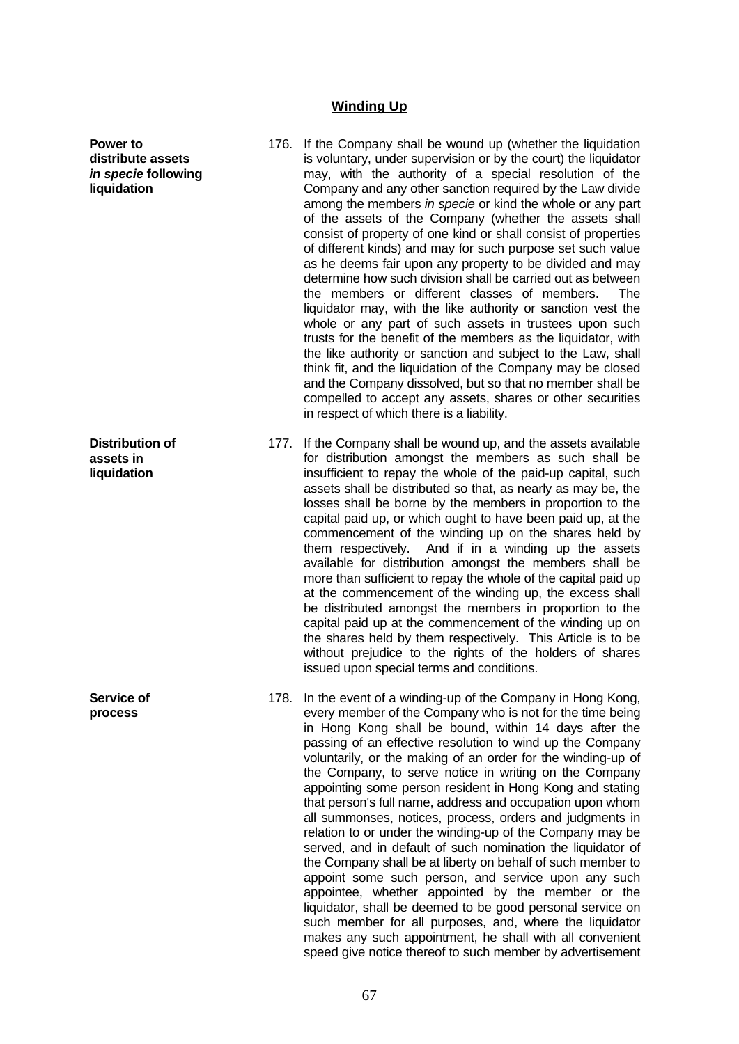### **Winding Up**

**Power to** 

**liquidation** 

**Distribution of assets in liquidation**

**Service of process**

**distribute assets**  *in specie* **following**

- 176. If the Company shall be wound up (whether the liquidation is voluntary, under supervision or by the court) the liquidator may, with the authority of a special resolution of the Company and any other sanction required by the Law divide among the members *in specie* or kind the whole or any part of the assets of the Company (whether the assets shall consist of property of one kind or shall consist of properties of different kinds) and may for such purpose set such value as he deems fair upon any property to be divided and may determine how such division shall be carried out as between the members or different classes of members. The liquidator may, with the like authority or sanction vest the whole or any part of such assets in trustees upon such trusts for the benefit of the members as the liquidator, with the like authority or sanction and subject to the Law, shall think fit, and the liquidation of the Company may be closed and the Company dissolved, but so that no member shall be compelled to accept any assets, shares or other securities in respect of which there is a liability.
- 177. If the Company shall be wound up, and the assets available for distribution amongst the members as such shall be insufficient to repay the whole of the paid-up capital, such assets shall be distributed so that, as nearly as may be, the losses shall be borne by the members in proportion to the capital paid up, or which ought to have been paid up, at the commencement of the winding up on the shares held by them respectively. And if in a winding up the assets available for distribution amongst the members shall be more than sufficient to repay the whole of the capital paid up at the commencement of the winding up, the excess shall be distributed amongst the members in proportion to the capital paid up at the commencement of the winding up on the shares held by them respectively. This Article is to be without prejudice to the rights of the holders of shares issued upon special terms and conditions.
- 178. In the event of a winding-up of the Company in Hong Kong, every member of the Company who is not for the time being in Hong Kong shall be bound, within 14 days after the passing of an effective resolution to wind up the Company voluntarily, or the making of an order for the winding-up of the Company, to serve notice in writing on the Company appointing some person resident in Hong Kong and stating that person's full name, address and occupation upon whom all summonses, notices, process, orders and judgments in relation to or under the winding-up of the Company may be served, and in default of such nomination the liquidator of the Company shall be at liberty on behalf of such member to appoint some such person, and service upon any such appointee, whether appointed by the member or the liquidator, shall be deemed to be good personal service on such member for all purposes, and, where the liquidator makes any such appointment, he shall with all convenient speed give notice thereof to such member by advertisement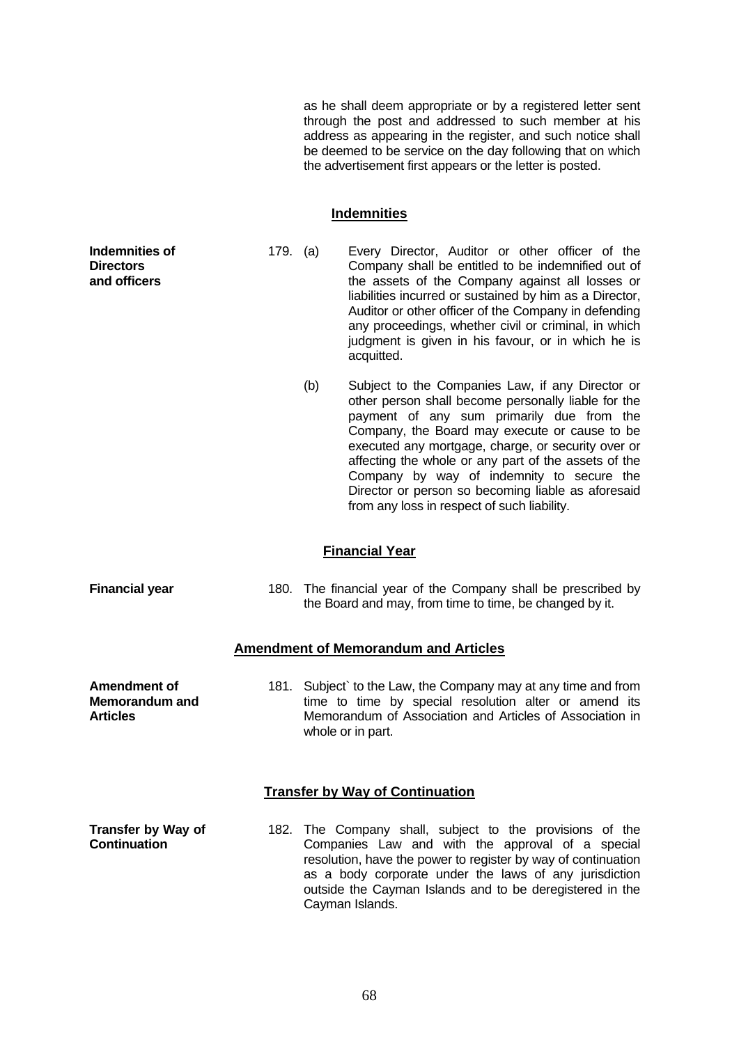as he shall deem appropriate or by a registered letter sent through the post and addressed to such member at his address as appearing in the register, and such notice shall be deemed to be service on the day following that on which the advertisement first appears or the letter is posted.

#### **Indemnities**

179. (a) Every Director, Auditor or other officer of the Company shall be entitled to be indemnified out of the assets of the Company against all losses or liabilities incurred or sustained by him as a Director, Auditor or other officer of the Company in defending any proceedings, whether civil or criminal, in which judgment is given in his favour, or in which he is acquitted.

 (b) Subject to the Companies Law, if any Director or other person shall become personally liable for the payment of any sum primarily due from the Company, the Board may execute or cause to be executed any mortgage, charge, or security over or affecting the whole or any part of the assets of the Company by way of indemnity to secure the Director or person so becoming liable as aforesaid from any loss in respect of such liability.

### **Financial Year**

**Indemnities of Directors and officers**

**Financial year** 180. The financial year of the Company shall be prescribed by the Board and may, from time to time, be changed by it.

## **Amendment of Memorandum and Articles**

**Amendment of Memorandum and Articles** 181. Subject to the Law, the Company may at any time and from time to time by special resolution alter or amend its Memorandum of Association and Articles of Association in whole or in part.

### **Transfer by Way of Continuation**

**Transfer by Way of Continuation** 182. The Company shall, subject to the provisions of the Companies Law and with the approval of a special resolution, have the power to register by way of continuation as a body corporate under the laws of any jurisdiction outside the Cayman Islands and to be deregistered in the Cayman Islands.